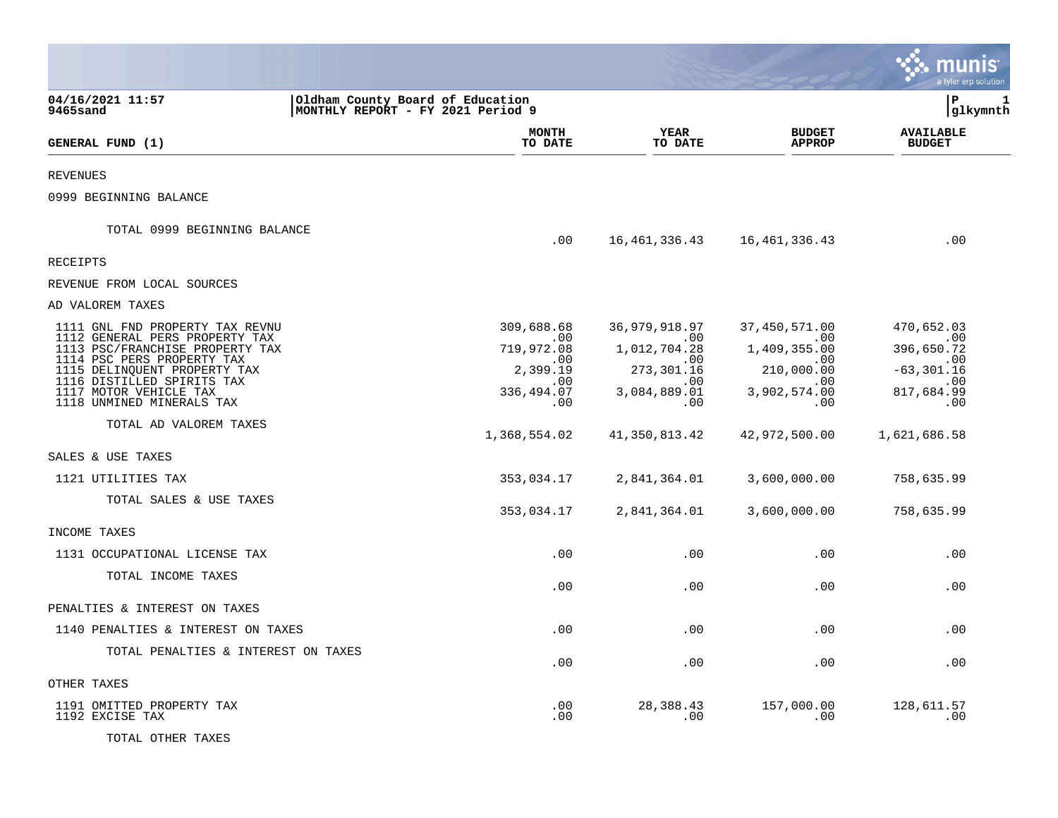|                                                                                                                                                                                                                                                                                                                                                                         |                                                                                                                            |                                                                                                                                           |                                                                                                                                            | a tyler erp solution                                                                                                            |
|-------------------------------------------------------------------------------------------------------------------------------------------------------------------------------------------------------------------------------------------------------------------------------------------------------------------------------------------------------------------------|----------------------------------------------------------------------------------------------------------------------------|-------------------------------------------------------------------------------------------------------------------------------------------|--------------------------------------------------------------------------------------------------------------------------------------------|---------------------------------------------------------------------------------------------------------------------------------|
| 04/16/2021 11:57<br>9465sand                                                                                                                                                                                                                                                                                                                                            | Oldham County Board of Education<br>MONTHLY REPORT - FY 2021 Period 9                                                      |                                                                                                                                           |                                                                                                                                            | l P<br>1<br> glkymnth                                                                                                           |
| GENERAL FUND (1)                                                                                                                                                                                                                                                                                                                                                        | <b>MONTH</b><br>TO DATE                                                                                                    | <b>YEAR</b><br>TO DATE                                                                                                                    | <b>BUDGET</b><br><b>APPROP</b>                                                                                                             | <b>AVAILABLE</b><br><b>BUDGET</b>                                                                                               |
| REVENUES                                                                                                                                                                                                                                                                                                                                                                |                                                                                                                            |                                                                                                                                           |                                                                                                                                            |                                                                                                                                 |
| 0999 BEGINNING BALANCE                                                                                                                                                                                                                                                                                                                                                  |                                                                                                                            |                                                                                                                                           |                                                                                                                                            |                                                                                                                                 |
| TOTAL 0999 BEGINNING BALANCE                                                                                                                                                                                                                                                                                                                                            | .00                                                                                                                        | 16,461,336.43                                                                                                                             | 16, 461, 336. 43                                                                                                                           | .00                                                                                                                             |
| <b>RECEIPTS</b>                                                                                                                                                                                                                                                                                                                                                         |                                                                                                                            |                                                                                                                                           |                                                                                                                                            |                                                                                                                                 |
| REVENUE FROM LOCAL SOURCES                                                                                                                                                                                                                                                                                                                                              |                                                                                                                            |                                                                                                                                           |                                                                                                                                            |                                                                                                                                 |
| AD VALOREM TAXES                                                                                                                                                                                                                                                                                                                                                        |                                                                                                                            |                                                                                                                                           |                                                                                                                                            |                                                                                                                                 |
| 1111 GNL FND PROPERTY TAX REVNU<br>1112 GENERAL PERS PROPERTY TAX<br>1113 PSC/FRANCHISE PROPERTY TAX<br>1114 PSC PERS PROPERTY TAX<br>1115 DELINQUENT PROPERTY TAX<br>1116 DISTILLED SPIRITS TAX<br>1117 MOTOR VEHICLE TAX<br>1118 UNMINED MINERALS TAX<br>TOTAL AD VALOREM TAXES<br>SALES & USE TAXES<br>1121 UTILITIES TAX<br>TOTAL SALES & USE TAXES<br>INCOME TAXES | 309,688.68<br>.00<br>719,972.08<br>.00<br>2,399.19<br>.00<br>336,494.07<br>.00<br>1,368,554.02<br>353,034.17<br>353,034.17 | 36,979,918.97<br>.00<br>1,012,704.28<br>.00.<br>273,301.16<br>.00<br>3,084,889.01<br>.00<br>41,350,813.42<br>2,841,364.01<br>2,841,364.01 | 37, 450, 571.00<br>.00<br>1,409,355.00<br>.00<br>210,000.00<br>.00<br>3,902,574.00<br>.00<br>42,972,500.00<br>3,600,000.00<br>3,600,000.00 | 470,652.03<br>.00<br>396,650.72<br>.00<br>$-63, 301.16$<br>.00<br>817,684.99<br>.00<br>1,621,686.58<br>758,635.99<br>758,635.99 |
| 1131 OCCUPATIONAL LICENSE TAX                                                                                                                                                                                                                                                                                                                                           | .00                                                                                                                        | .00                                                                                                                                       | .00                                                                                                                                        | .00                                                                                                                             |
| TOTAL INCOME TAXES                                                                                                                                                                                                                                                                                                                                                      | .00                                                                                                                        | .00                                                                                                                                       | .00                                                                                                                                        | .00                                                                                                                             |
| PENALTIES & INTEREST ON TAXES                                                                                                                                                                                                                                                                                                                                           |                                                                                                                            |                                                                                                                                           |                                                                                                                                            |                                                                                                                                 |
| 1140 PENALTIES & INTEREST ON TAXES                                                                                                                                                                                                                                                                                                                                      | .00                                                                                                                        | .00                                                                                                                                       | .00                                                                                                                                        | .00                                                                                                                             |
| TOTAL PENALTIES & INTEREST ON TAXES                                                                                                                                                                                                                                                                                                                                     | .00                                                                                                                        | .00                                                                                                                                       | .00                                                                                                                                        | .00                                                                                                                             |
| OTHER TAXES                                                                                                                                                                                                                                                                                                                                                             |                                                                                                                            |                                                                                                                                           |                                                                                                                                            |                                                                                                                                 |
| 1191 OMITTED PROPERTY TAX<br>1192 EXCISE TAX<br>TOTAL OTHER TAXES                                                                                                                                                                                                                                                                                                       | .00<br>.00                                                                                                                 | 28,388.43<br>.00                                                                                                                          | 157,000.00<br>.00                                                                                                                          | 128,611.57<br>.00                                                                                                               |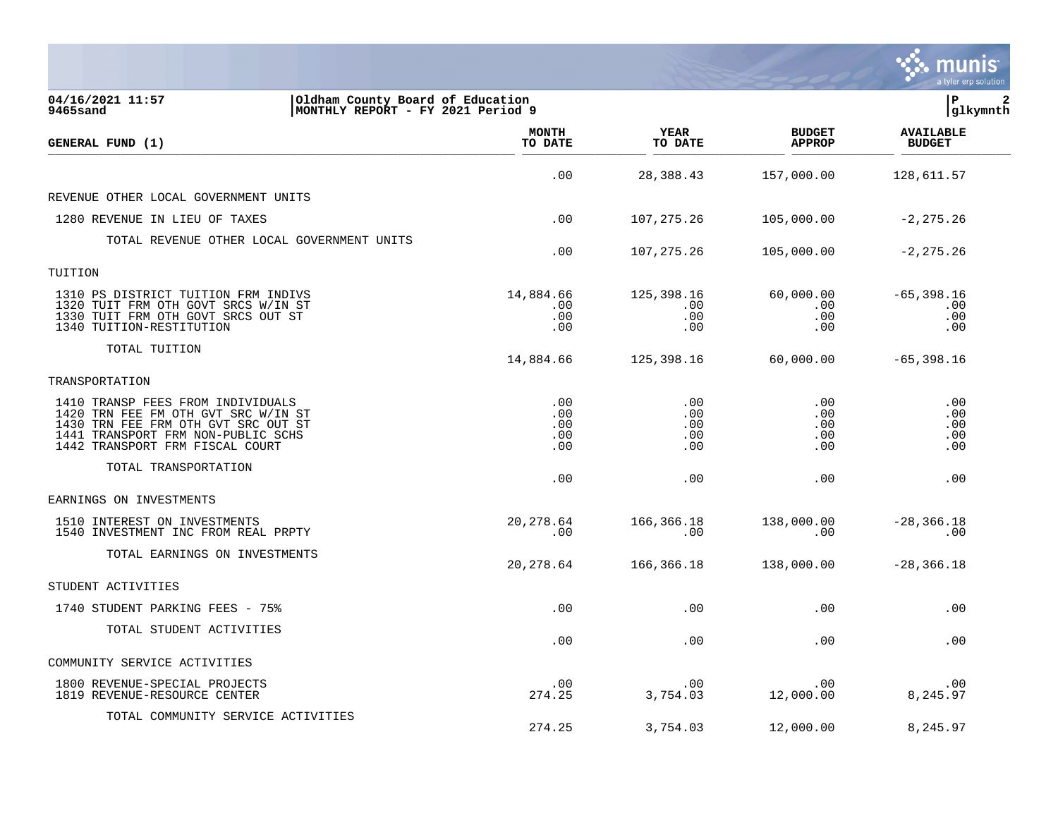|                                                                                                                                                                                          |                                 |                                 |                                 | a tyler erp solution               |
|------------------------------------------------------------------------------------------------------------------------------------------------------------------------------------------|---------------------------------|---------------------------------|---------------------------------|------------------------------------|
| 04/16/2021 11:57<br>Oldham County Board of Education<br>MONTHLY REPORT - FY 2021 Period 9<br>9465sand                                                                                    |                                 |                                 |                                 | l P<br> glkymnth                   |
| GENERAL FUND (1)                                                                                                                                                                         | <b>MONTH</b><br>TO DATE         | YEAR<br>TO DATE                 | <b>BUDGET</b><br><b>APPROP</b>  | <b>AVAILABLE</b><br><b>BUDGET</b>  |
|                                                                                                                                                                                          | .00                             | 28,388.43                       | 157,000.00                      | 128,611.57                         |
| REVENUE OTHER LOCAL GOVERNMENT UNITS                                                                                                                                                     |                                 |                                 |                                 |                                    |
| 1280 REVENUE IN LIEU OF TAXES                                                                                                                                                            | .00                             | 107, 275.26                     | 105,000.00                      | $-2, 275.26$                       |
| TOTAL REVENUE OTHER LOCAL GOVERNMENT UNITS                                                                                                                                               | .00                             | 107, 275. 26                    | 105,000.00                      | $-2, 275.26$                       |
| TUITION                                                                                                                                                                                  |                                 |                                 |                                 |                                    |
| 1310 PS DISTRICT TUITION FRM INDIVS<br>1320 TUIT FRM OTH GOVT SRCS W/IN ST<br>1330 TUIT FRM OTH GOVT SRCS OUT ST<br>1340 TUITION-RESTITUTION                                             | 14,884.66<br>.00<br>.00<br>.00  | 125,398.16<br>.00<br>.00<br>.00 | 60,000.00<br>.00<br>.00<br>.00  | $-65, 398.16$<br>.00<br>.00<br>.00 |
| TOTAL TUITION                                                                                                                                                                            | 14,884.66                       | 125,398.16                      | 60,000.00                       | $-65,398.16$                       |
| TRANSPORTATION                                                                                                                                                                           |                                 |                                 |                                 |                                    |
| 1410 TRANSP FEES FROM INDIVIDUALS<br>1420 TRN FEE FM OTH GVT SRC W/IN ST<br>1430 TRN FEE FRM OTH GVT SRC OUT ST<br>1441 TRANSPORT FRM NON-PUBLIC SCHS<br>1442 TRANSPORT FRM FISCAL COURT | .00<br>.00<br>.00<br>.00<br>.00 | .00<br>.00<br>.00<br>.00<br>.00 | .00<br>.00<br>.00<br>.00<br>.00 | .00<br>.00<br>.00<br>.00<br>.00    |
| TOTAL TRANSPORTATION                                                                                                                                                                     | .00                             | .00                             | .00                             | .00                                |
| EARNINGS ON INVESTMENTS                                                                                                                                                                  |                                 |                                 |                                 |                                    |
| 1510 INTEREST ON INVESTMENTS<br>1540 INVESTMENT INC FROM REAL PRPTY                                                                                                                      | 20, 278.64<br>.00               | 166,366.18<br>.00               | 138,000.00<br>.00               | $-28, 366.18$<br>.00               |
| TOTAL EARNINGS ON INVESTMENTS                                                                                                                                                            | 20, 278.64                      | 166,366.18                      | 138,000.00                      | $-28, 366.18$                      |
| STUDENT ACTIVITIES                                                                                                                                                                       |                                 |                                 |                                 |                                    |
| 1740 STUDENT PARKING FEES - 75%                                                                                                                                                          | .00                             | .00                             | .00                             | .00                                |
| TOTAL STUDENT ACTIVITIES                                                                                                                                                                 | .00                             | .00                             | .00                             | .00                                |
| COMMUNITY SERVICE ACTIVITIES                                                                                                                                                             |                                 |                                 |                                 |                                    |
| 1800 REVENUE-SPECIAL PROJECTS<br>1819 REVENUE-RESOURCE CENTER                                                                                                                            | .00<br>274.25                   | .00<br>3,754.03                 | .00<br>12,000.00                | .00<br>8,245.97                    |
| TOTAL COMMUNITY SERVICE ACTIVITIES                                                                                                                                                       | 274.25                          | 3,754.03                        | 12,000.00                       | 8,245.97                           |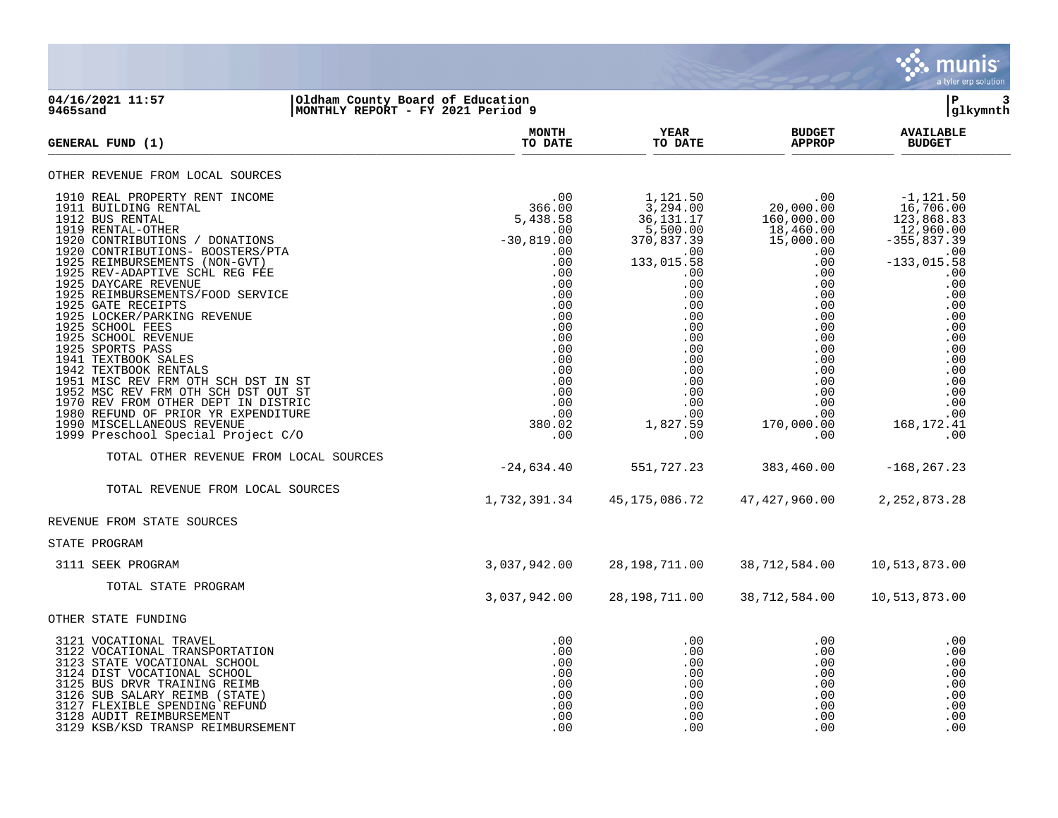

## **04/16/2021 11:57 |Oldham County Board of Education |P 3 9465sand |MONTHLY REPORT - FY 2021 Period 9 |glkymnth**

| <b>GENERAL FUND (1)</b>                                                                                                                                                                                                                                                                                                                                                                                                                                                                                                                                                                                                                                                                                 | <b>MONTH</b><br>TO DATE                                                                                                                                                           | YEAR<br>TO DATE                                                                                                                                                                                            | <b>BUDGET</b><br><b>APPROP</b>                                                                                                                                                                                                                                     | <b>AVAILABLE</b><br><b>BUDGET</b>                                                                                                                                                                                               |
|---------------------------------------------------------------------------------------------------------------------------------------------------------------------------------------------------------------------------------------------------------------------------------------------------------------------------------------------------------------------------------------------------------------------------------------------------------------------------------------------------------------------------------------------------------------------------------------------------------------------------------------------------------------------------------------------------------|-----------------------------------------------------------------------------------------------------------------------------------------------------------------------------------|------------------------------------------------------------------------------------------------------------------------------------------------------------------------------------------------------------|--------------------------------------------------------------------------------------------------------------------------------------------------------------------------------------------------------------------------------------------------------------------|---------------------------------------------------------------------------------------------------------------------------------------------------------------------------------------------------------------------------------|
| OTHER REVENUE FROM LOCAL SOURCES                                                                                                                                                                                                                                                                                                                                                                                                                                                                                                                                                                                                                                                                        |                                                                                                                                                                                   |                                                                                                                                                                                                            |                                                                                                                                                                                                                                                                    |                                                                                                                                                                                                                                 |
| 1910 REAL PROPERTY RENT INCOME<br>1911 BUILDING RENTAL<br>1912 BUS RENTAL<br>1919 RENTAL-OTHER<br>1920 CONTRIBUTIONS / DONATIONS<br>1920 CONTRIBUTIONS- BOOSTERS/PTA<br>1925 REIMBURSEMENTS (NON-GVT)<br>1925 REV-ADAPTIVE SCHL REG FEE<br>1925 DAYCARE REVENUE<br>1925 REIMBURSEMENTS/FOOD SERVICE<br>1925 GATE RECEIPTS<br>1925 LOCKER/PARKING REVENUE<br>1925 SCHOOL FEES<br>1925 SCHOOL REVENUE<br>1925 SPORTS PASS<br>1941 TEXTBOOK SALES<br>1942 TEXTBOOK RENTALS<br>1951 MISC REV FRM OTH SCH DST IN ST<br>1952 MSC REV FRM OTH SCH DST OUT ST<br>1970 REV FROM OTHER DEPT IN DISTRIC<br>1980 REFUND OF PRIOR YR EXPENDITURE<br>1990 MISCELLANEOUS REVENUE<br>1999 Preschool Special Project C/O | .00<br>366.00<br>5,438.58<br>.00<br>$-30,819.00$<br>.00<br>.00<br>.00<br>.00<br>.00<br>.00<br>.00<br>.00<br>.00<br>.00<br>.00<br>.00<br>.00<br>.00<br>.00<br>.00<br>380.02<br>.00 | 1,121.50<br>3,294.00<br>36,131.17<br>5,500.00<br>370,837.39<br>.00<br>133,015.58<br>$.00 \,$<br>.00<br>.00<br>.00<br>.00<br>.00<br>.00<br>.00<br>.00<br>.00<br>.00<br>.00<br>.00<br>.00<br>1,827.59<br>.00 | .00<br>20,000.00<br>160,000.00<br>$18,460.00$<br>$15,000.00$<br>$\begin{array}{c} .00 \\ .00 \end{array}$<br>.00<br>.00<br>.00<br>$.00 \ \,$<br>.00<br>$.00 \ \,$<br>.00<br>.00<br>$.00 \ \rm$<br>.00<br>$.00 \,$<br>.00<br>.00<br>.00<br>.00<br>170,000.00<br>.00 | $-1,121.50$<br>$16,706.00$<br>123,868.83<br>$-12,960.00$<br>-355,837.39<br>.00<br>.00<br>$-133,015.58$<br>.00<br>.00<br>.00<br>.00<br>.00<br>.00<br>.00<br>.00<br>.00<br>.00<br>.00<br>.00<br>.00<br>.00<br>168, 172. 41<br>.00 |
| TOTAL OTHER REVENUE FROM LOCAL SOURCES                                                                                                                                                                                                                                                                                                                                                                                                                                                                                                                                                                                                                                                                  | $-24,634.40$                                                                                                                                                                      | 551,727.23                                                                                                                                                                                                 | 383,460.00                                                                                                                                                                                                                                                         | $-168, 267.23$                                                                                                                                                                                                                  |
| TOTAL REVENUE FROM LOCAL SOURCES                                                                                                                                                                                                                                                                                                                                                                                                                                                                                                                                                                                                                                                                        | 1,732,391.34                                                                                                                                                                      | 45, 175, 086.72                                                                                                                                                                                            | 47,427,960.00                                                                                                                                                                                                                                                      | 2, 252, 873. 28                                                                                                                                                                                                                 |
| REVENUE FROM STATE SOURCES                                                                                                                                                                                                                                                                                                                                                                                                                                                                                                                                                                                                                                                                              |                                                                                                                                                                                   |                                                                                                                                                                                                            |                                                                                                                                                                                                                                                                    |                                                                                                                                                                                                                                 |
| STATE PROGRAM                                                                                                                                                                                                                                                                                                                                                                                                                                                                                                                                                                                                                                                                                           |                                                                                                                                                                                   |                                                                                                                                                                                                            |                                                                                                                                                                                                                                                                    |                                                                                                                                                                                                                                 |
| 3111 SEEK PROGRAM                                                                                                                                                                                                                                                                                                                                                                                                                                                                                                                                                                                                                                                                                       | 3,037,942.00                                                                                                                                                                      | 28,198,711.00                                                                                                                                                                                              | 38,712,584.00                                                                                                                                                                                                                                                      | 10,513,873.00                                                                                                                                                                                                                   |
| TOTAL STATE PROGRAM                                                                                                                                                                                                                                                                                                                                                                                                                                                                                                                                                                                                                                                                                     | 3,037,942.00                                                                                                                                                                      | 28, 198, 711.00                                                                                                                                                                                            | 38,712,584.00                                                                                                                                                                                                                                                      | 10,513,873.00                                                                                                                                                                                                                   |
| OTHER STATE FUNDING                                                                                                                                                                                                                                                                                                                                                                                                                                                                                                                                                                                                                                                                                     |                                                                                                                                                                                   |                                                                                                                                                                                                            |                                                                                                                                                                                                                                                                    |                                                                                                                                                                                                                                 |
| 3121 VOCATIONAL TRAVEL<br>3122 VOCATIONAL TRANSPORTATION<br>3123 STATE VOCATIONAL SCHOOL<br>3124 DIST VOCATIONAL SCHOOL<br>3125 BUS DRVR TRAINING REIMB<br>3126 SUB SALARY REIMB (STATE)<br>3127 FLEXIBLE SPENDING REFUND<br>3128 AUDIT REIMBURSEMENT<br>3129 KSB/KSD TRANSP REIMBURSEMENT                                                                                                                                                                                                                                                                                                                                                                                                              | .00<br>.00<br>.00<br>.00<br>.00<br>.00<br>.00<br>.00<br>.00                                                                                                                       | $.00 \,$<br>.00<br>$.00 \,$<br>$.00 \,$<br>.00<br>.00<br>.00<br>.00<br>.00                                                                                                                                 | $.00 \,$<br>.00<br>$.00 \,$<br>$.00 \ \rm$<br>.00<br>.00<br>.00<br>.00<br>.00                                                                                                                                                                                      | .00<br>.00<br>.00<br>.00<br>.00<br>.00<br>.00<br>.00<br>.00                                                                                                                                                                     |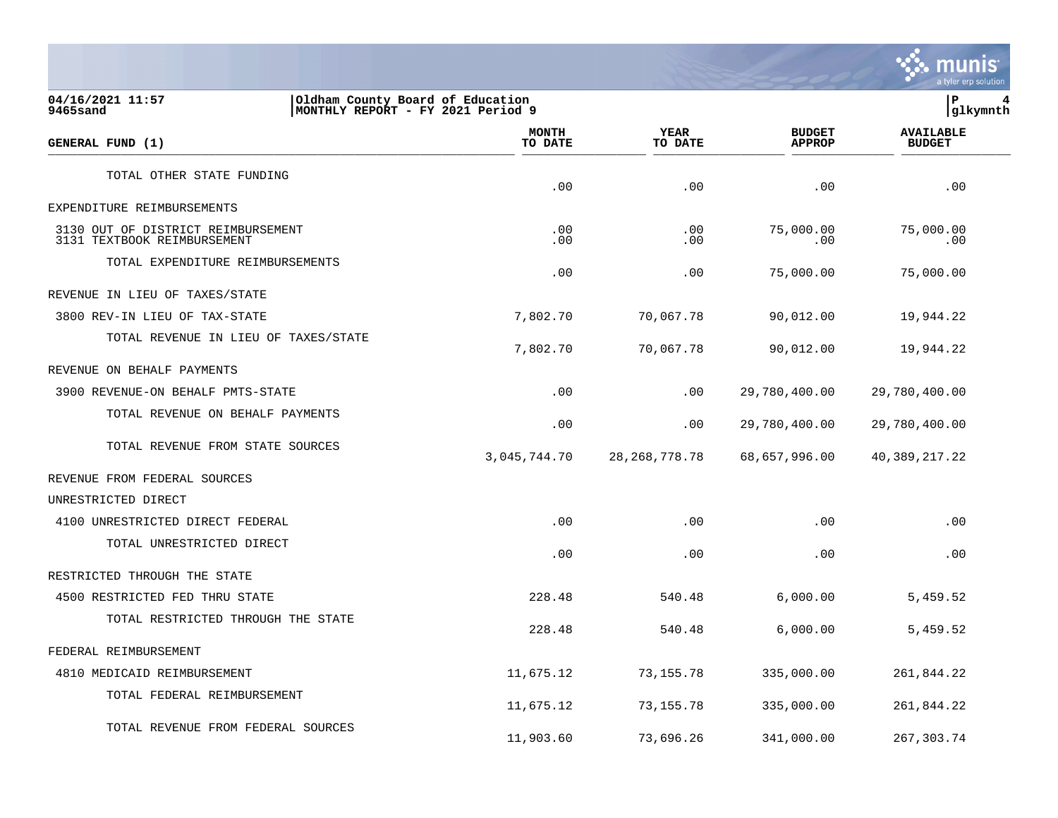

**04/16/2021 11:57 |Oldham County Board of Education |P 4 9465sand |MONTHLY REPORT - FY 2021 Period 9 |glkymnth MONTH AVAILABLE YEAR BUDGET** AVAILABLE **GENERAL FUND (1) TO DATE TO DATE APPROP BUDGET**   $\frac{10 \text{ Bheb}}{10 \text{ Bheb}}$ TOTAL OTHER STATE FUNDING  $.00$  .  $.00$  .  $.00$  .  $.00$  .  $.00$  .  $.00$  .  $.00$  .  $.00$  .  $.00$  .  $.00$  .  $.00$  .  $.00$  .  $.00$  .  $.00$  .  $.00$  .  $.00$  .  $.00$  .  $.00$  .  $.00$  .  $.00$  .  $.00$  .  $.00$  .  $.00$  .  $.00$  .  $.00$  .  $.00$  .  $.00$  .  $.00$ EXPENDITURE REIMBURSEMENTS 3130 OUT OF DISTRICT REIMBURSEMENT .00 .00 75,000.00 75,000.00 3131 TEXTBOOK REIMBURSEMENT TOTAL EXPENDITURE REIMBURSEMENTS  $.00$  .00  $.00$  .00  $.00$  75,000.00  $75,000.00$ REVENUE IN LIEU OF TAXES/STATE 3800 REV-IN LIEU OF TAX-STATE 7,802.70 70,067.78 90,012.00 19,944.22 TOTAL REVENUE IN LIEU OF TAXES/STATE 7,802.70 70,067.78 90,012.00 19,944.22 REVENUE ON BEHALF PAYMENTS 3900 REVENUE-ON BEHALF PMTS-STATE .00 .00 29,780,400.00 29,780,400.00 TOTAL REVENUE ON BEHALF PAYMENTS .00 .00 29,780,400.00 29,780,400.00 TOTAL REVENUE FROM STATE SOURCES 3,045,744.70 28,268,778.78 68,657,996.00 40,389,217.22 REVENUE FROM FEDERAL SOURCES UNRESTRICTED DIRECT 4100 UNRESTRICTED DIRECT FEDERAL .00 .00 .00 .00 TOTAL UNRESTRICTED DIRECT  $.00$  .  $.00$  .  $.00$  .  $.00$  .  $.00$  .  $.00$  .  $.00$  .  $.00$  .  $.00$  .  $.00$  .  $.00$  .  $.00$  .  $.00$  .  $.00$  .  $.00$  .  $.00$  .  $.00$  .  $.00$  .  $.00$  .  $.00$  .  $.00$  .  $.00$  .  $.00$  .  $.00$  .  $.00$  .  $.00$  .  $.00$  .  $.00$ RESTRICTED THROUGH THE STATE 4500 RESTRICTED FED THRU STATE 228.48 540.48 6,000.00 5,459.52 TOTAL RESTRICTED THROUGH THE STATE 228.48 540.48 6,000.00 5,459.52 FEDERAL REIMBURSEMENT 4810 MEDICAID REIMBURSEMENT 11,675.12 73,155.78 335,000.00 261,844.22 TOTAL FEDERAL REIMBURSEMENT 11,675.12 73,155.78 335,000.00 261,844.22

TOTAL REVENUE FROM FEDERAL SOURCES

11,903.60 73,696.26 341,000.00 267,303.74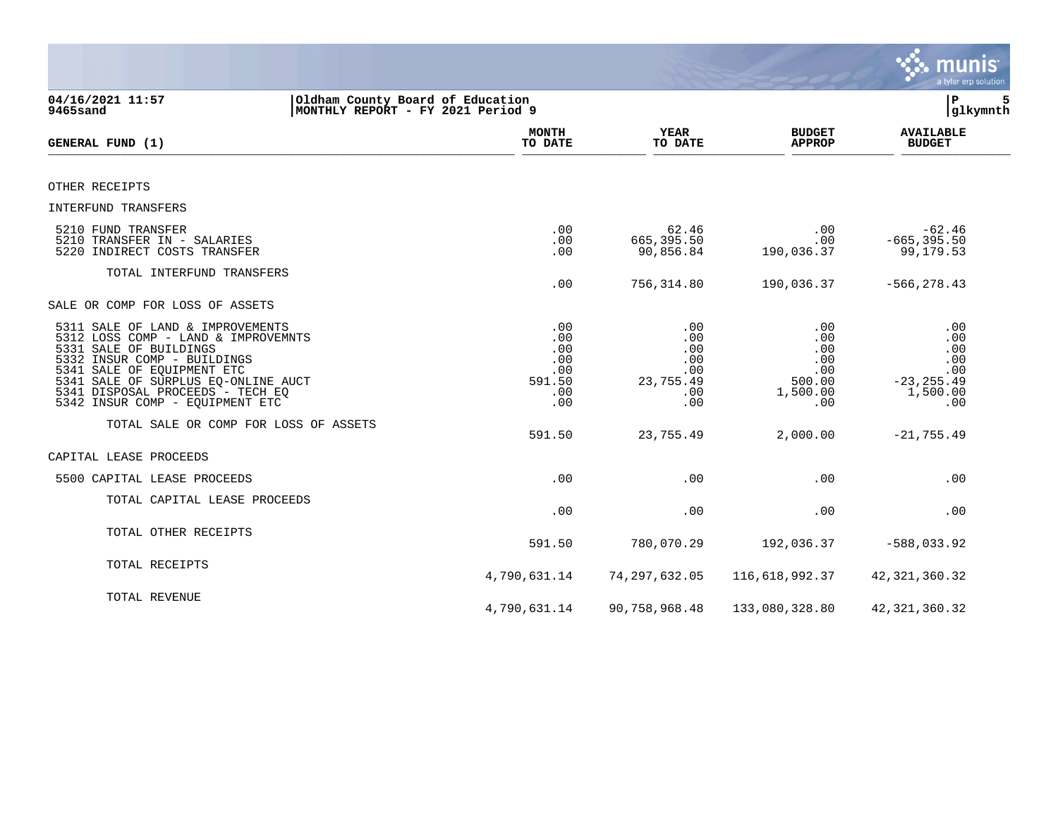|                                                                                                                                                                                                                                                                              |                                                         |                                                            |                                                              | <b>munis</b><br>a tyler erp solution                                |
|------------------------------------------------------------------------------------------------------------------------------------------------------------------------------------------------------------------------------------------------------------------------------|---------------------------------------------------------|------------------------------------------------------------|--------------------------------------------------------------|---------------------------------------------------------------------|
| 04/16/2021 11:57<br>Oldham County Board of Education<br>MONTHLY REPORT - FY 2021 Period 9<br>9465sand                                                                                                                                                                        |                                                         |                                                            |                                                              | 5<br>ΙP<br>glkymnth                                                 |
| GENERAL FUND (1)                                                                                                                                                                                                                                                             | <b>MONTH</b><br>TO DATE                                 | YEAR<br>TO DATE                                            | <b>BUDGET</b><br><b>APPROP</b>                               | <b>AVAILABLE</b><br><b>BUDGET</b>                                   |
| OTHER RECEIPTS                                                                                                                                                                                                                                                               |                                                         |                                                            |                                                              |                                                                     |
| INTERFUND TRANSFERS                                                                                                                                                                                                                                                          |                                                         |                                                            |                                                              |                                                                     |
| 5210 FUND TRANSFER<br>5210 TRANSFER IN - SALARIES<br>5220 INDIRECT COSTS TRANSFER                                                                                                                                                                                            | .00<br>.00<br>.00                                       | 62.46<br>665,395.50<br>90,856.84                           | .00<br>.00<br>190,036.37                                     | $-62.46$<br>$-665, 395.50$<br>99,179.53                             |
| TOTAL INTERFUND TRANSFERS                                                                                                                                                                                                                                                    | .00                                                     | 756,314.80                                                 | 190,036.37                                                   | $-566, 278.43$                                                      |
| SALE OR COMP FOR LOSS OF ASSETS                                                                                                                                                                                                                                              |                                                         |                                                            |                                                              |                                                                     |
| 5311 SALE OF LAND & IMPROVEMENTS<br>5312 LOSS COMP - LAND & IMPROVEMNTS<br>5331 SALE OF BUILDINGS<br>5332 INSUR COMP - BUILDINGS<br>5341 SALE OF EQUIPMENT ETC<br>5341 SALE OF SURPLUS EQ-ONLINE AUCT<br>5341 DISPOSAL PROCEEDS - TECH EQ<br>5342 INSUR COMP - EQUIPMENT ETC | .00<br>.00<br>.00<br>.00<br>.00<br>591.50<br>.00<br>.00 | .00<br>.00<br>.00<br>.00<br>.00<br>23,755.49<br>.00<br>.00 | .00<br>.00<br>.00<br>.00<br>.00<br>500.00<br>1,500.00<br>.00 | .00<br>.00<br>.00<br>.00<br>.00<br>$-23, 255.49$<br>1,500.00<br>.00 |
| TOTAL SALE OR COMP FOR LOSS OF ASSETS                                                                                                                                                                                                                                        | 591.50                                                  | 23,755.49                                                  | 2,000.00                                                     | $-21, 755.49$                                                       |
| CAPITAL LEASE PROCEEDS                                                                                                                                                                                                                                                       |                                                         |                                                            |                                                              |                                                                     |
| 5500 CAPITAL LEASE PROCEEDS                                                                                                                                                                                                                                                  | .00                                                     | .00                                                        | .00                                                          | .00                                                                 |
| TOTAL CAPITAL LEASE PROCEEDS                                                                                                                                                                                                                                                 | .00                                                     | .00                                                        | .00                                                          | .00                                                                 |
| TOTAL OTHER RECEIPTS                                                                                                                                                                                                                                                         | 591.50                                                  | 780,070.29                                                 | 192,036.37                                                   | $-588,033.92$                                                       |
| TOTAL RECEIPTS                                                                                                                                                                                                                                                               | 4,790,631.14                                            | 74, 297, 632.05                                            | 116,618,992.37                                               | 42, 321, 360. 32                                                    |
| TOTAL REVENUE                                                                                                                                                                                                                                                                | 4,790,631.14                                            | 90,758,968.48                                              | 133,080,328.80                                               | 42, 321, 360. 32                                                    |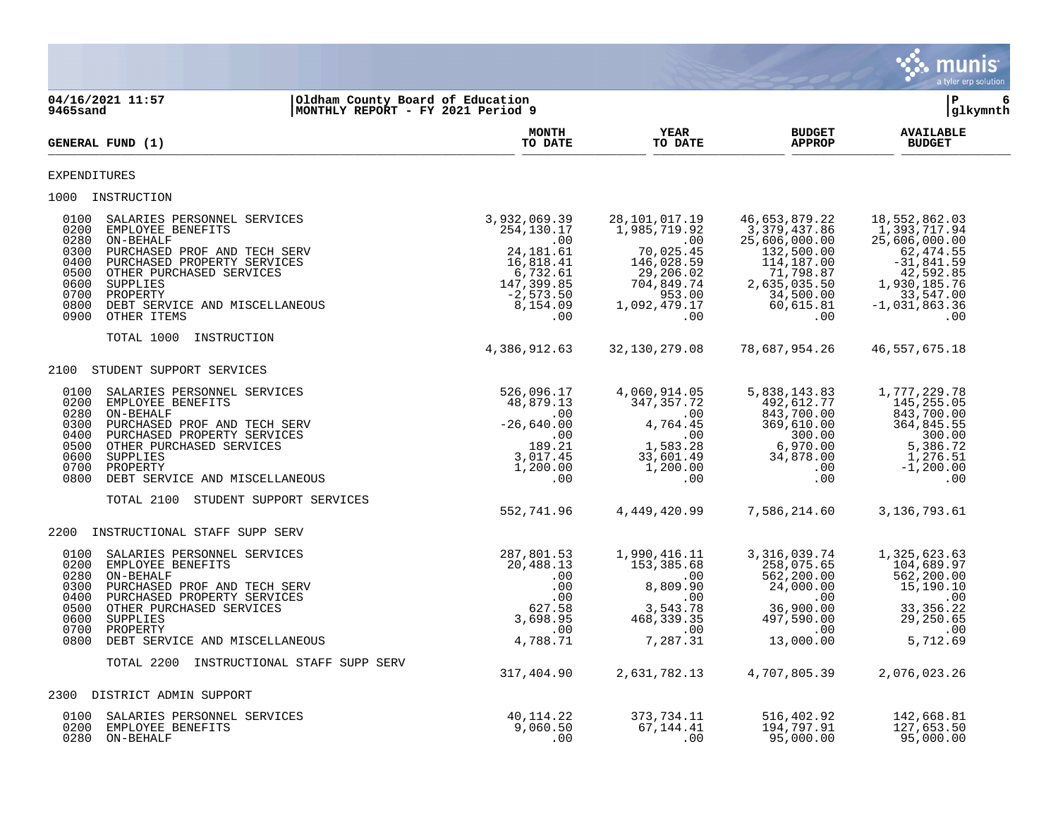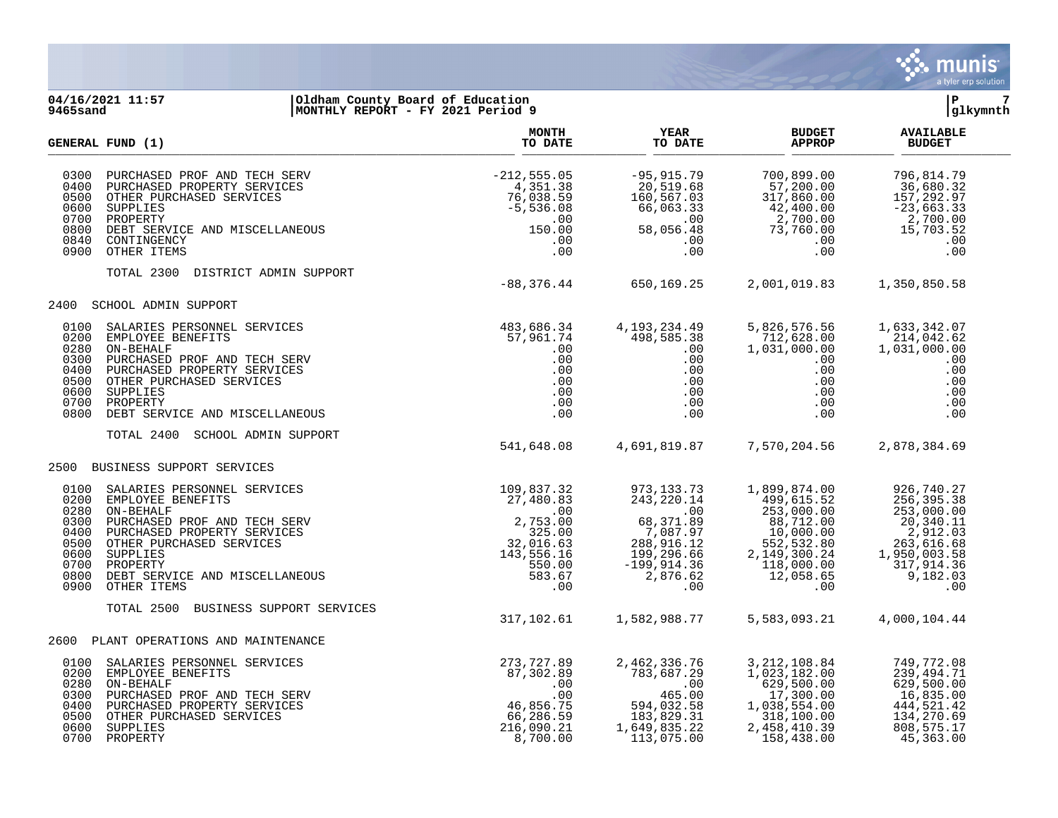

## **04/16/2021 11:57 |Oldham County Board of Education |P 7 9465sand |MONTHLY REPORT - FY 2021 Period 9 |glkymnth**

|                                                                              | <b>GENERAL FUND (1)</b>                                                                                                                                                                                                                                                                                                                                                                                                                                                                         | <b>MONTH</b><br>TO DATE                                                                                    | YEAR<br>TO DATE                                                                                                                                                                                        | <b>BUDGET</b><br><b>APPROP</b>                                                                                                                                                                                                                                                           | <b>AVAILABLE</b><br><b>BUDGET</b>                                                                           |  |
|------------------------------------------------------------------------------|-------------------------------------------------------------------------------------------------------------------------------------------------------------------------------------------------------------------------------------------------------------------------------------------------------------------------------------------------------------------------------------------------------------------------------------------------------------------------------------------------|------------------------------------------------------------------------------------------------------------|--------------------------------------------------------------------------------------------------------------------------------------------------------------------------------------------------------|------------------------------------------------------------------------------------------------------------------------------------------------------------------------------------------------------------------------------------------------------------------------------------------|-------------------------------------------------------------------------------------------------------------|--|
| 0300<br>0400<br>0500<br>0600<br>0700<br>0800<br>0840<br>0900                 | $\begin{tabular}{l l l} \multicolumn{1}{c}{\textbf{FURCHASED} \textbf{ PROPERTY} \textbf{SERVICES} & & & & -212,555.05 \\ \multicolumn{1}{c}{\textbf{FURCHASED} \textbf{ PROPERTY} \textbf{SERVICES} & & & 4,351.38 \\ \multicolumn{1}{c}{\textbf{OTHER} \textbf{ PURVHER} & & & 76,038.59 \\ \multicolumn{1}{c}{\textbf{SUPPLIES} \textbf{S} & & -5,536.08 \\ \multicolumn{1}{c}{\textbf{DEBT} \textbf{SERVICEB} \textbf{AND MISCEL$<br>OTHER ITEMS                                            | .00                                                                                                        |                                                                                                                                                                                                        | $\begin{array}{cccc} -95,915.79 & 700,899.00 & 796,814.79 \\ 20,519.68 & 57,200.00 & 36,680.32 \\ 160,567.03 & 317,860.00 & 157,292.97 \\ 66,063.33 & 42,400.00 & 2,700.00 \\ 58,056.48 & 73,760.00 & 15,703.52 \\ .00 & .00 & .00 & .00 \\ .00 & .00 & .00 & .00 \\ \end{array}$        |                                                                                                             |  |
|                                                                              | TOTAL 2300<br>DISTRICT ADMIN SUPPORT                                                                                                                                                                                                                                                                                                                                                                                                                                                            | $-88,376.44$ 650,169.25                                                                                    |                                                                                                                                                                                                        | 2,001,019.83 1,350,850.58                                                                                                                                                                                                                                                                |                                                                                                             |  |
| 2400                                                                         | SCHOOL ADMIN SUPPORT                                                                                                                                                                                                                                                                                                                                                                                                                                                                            |                                                                                                            |                                                                                                                                                                                                        |                                                                                                                                                                                                                                                                                          |                                                                                                             |  |
| 0100<br>0200<br>0280<br>0300<br>0400<br>0500<br>0600<br>0700<br>0800         | $\begin{tabular}{llllll} \multicolumn{4}{c}{\textbf{SALARIES } } & \textbf{EERSONNEL} & \textbf{SERVICES} & & & & & & & & & & \\ \multicolumn{4}{c}{\textbf{EMPLOYEE } } & \textbf{BENEFTTS} & & & & & & & & & & & \\ \multicolumn{4}{c}{\textbf{EMPLOYEE } } & \textbf{BENEFTTS} & & & & & & & & & & & \\ \multicolumn{4}{c}{\textbf{ON-BEHALE}} & & & & & & & & & & & \\ \multicolumn{4}{c}{\textbf{DURCHASED } } & \textbf{PROPE RTY } & \textbf{SERV ICES} & & & & & & & & \\$<br>ON-BEHALF |                                                                                                            | 4,193,234.49<br>498,585.38<br>$498,585.38$<br>.00<br>.00<br>$\begin{array}{r} .00\ 0.00\ 0.00\ 0.00\ 0.00\ 0.00\ \end{array}$                                                                          | 5,826,576.56<br>712,628.00<br>1,031,000.00<br>.00<br>.00<br>$\begin{array}{c} .00\ 0.00\ 0.00\ 0.00 \end{array}$                                                                                                                                                                         | 1,633,342.07<br>214,042.62<br>1,031,000.00<br>.00<br>.00<br>.00<br>.00<br>.00<br>.00                        |  |
|                                                                              | TOTAL 2400<br>SCHOOL ADMIN SUPPORT                                                                                                                                                                                                                                                                                                                                                                                                                                                              | 541,648.08                                                                                                 | 4,691,819.87 7,570,204.56                                                                                                                                                                              |                                                                                                                                                                                                                                                                                          | 2,878,384.69                                                                                                |  |
|                                                                              | 2500 BUSINESS SUPPORT SERVICES                                                                                                                                                                                                                                                                                                                                                                                                                                                                  |                                                                                                            |                                                                                                                                                                                                        |                                                                                                                                                                                                                                                                                          |                                                                                                             |  |
| 0100<br>0200<br>0280<br>0300<br>0400<br>0500<br>0600<br>0700<br>0800<br>0900 | USINESS SUPPURI DERVICES<br>SALARIES PERSONNEL SERVICES<br>EMPLOYEE BENEFITS<br>ON-BEHALF<br>PURCHASED PROF AND TECH SERV<br>PURCHASED PROPERTY SERVICES<br>OTHER PURCHASED SERVICES<br>OTHER PURCHASED SERVICES<br>SUPPLIES<br>PROPERTY<br>DEBT S                                                                                                                                                                                                                                              |                                                                                                            |                                                                                                                                                                                                        | $\begin{array}{cccc} 973\,, 133\,, 73 & 1\,, 899\,, 874\, .00 & 926\,, 740\,. 27 \\ 243\,, 220\,. 14 & 499\,, 615\,. 52 & 256\,, 395\,. 38 \\ .00 & 253\,, 000\,. 00 & 253\,, 000\,. 00 \\ 68\,, 371\,. 89 & 88\,, 712\,. 00 & 20\,, 340\,. 11 \\ 7\,, 087\,. 97 & 10\,, 000\,. 00 & 2\$ |                                                                                                             |  |
|                                                                              | TOTAL 2500<br>BUSINESS SUPPORT SERVICES                                                                                                                                                                                                                                                                                                                                                                                                                                                         | 317,102.61                                                                                                 | 1,582,988.77                                                                                                                                                                                           | 5,583,093.21                                                                                                                                                                                                                                                                             | 4,000,104.44                                                                                                |  |
|                                                                              | 2600 PLANT OPERATIONS AND MAINTENANCE                                                                                                                                                                                                                                                                                                                                                                                                                                                           |                                                                                                            |                                                                                                                                                                                                        |                                                                                                                                                                                                                                                                                          |                                                                                                             |  |
| 0100<br>0200<br>0280<br>0300<br>0400<br>0500<br>0600                         | ON-BEHALF<br>PURCHASED PROF AND TECH SERV<br>PURCHASED PROF AND TECH SERV<br>OTHER PURCHASED PROPERTY SERVICES<br>OTHER PURCHASED SERVICES<br>ROPERTY<br>ROPERTY<br>0700 PROPERTY                                                                                                                                                                                                                                                                                                               | 273,727.89<br>87,302.89<br>$\cdot\frac{00}{20}$<br>.00<br>46,856.75<br>66,286.59<br>216,090.21<br>8,700.00 | 2,462,336.76<br>783,687.29<br>$\begin{array}{cccc} 100 & 629,500.00 \ 465.00 & 17,300.00 \ 594,032.58 & 1,038,554.00 \ 133,829.31 & 318,100.00 \ 148,410.39 \end{array}$<br>1,649,835.22<br>113,075.00 | $, 212, 108.84$<br>1,023,182.00<br>629,500.00<br>17,300.00<br>38,554.00<br>38,554.00<br>158,438.00                                                                                                                                                                                       | 749,772.08<br>239, 494.71<br>629,500.00<br>16,835.00<br>444,521.42<br>134,270.69<br>808,575.17<br>45,363.00 |  |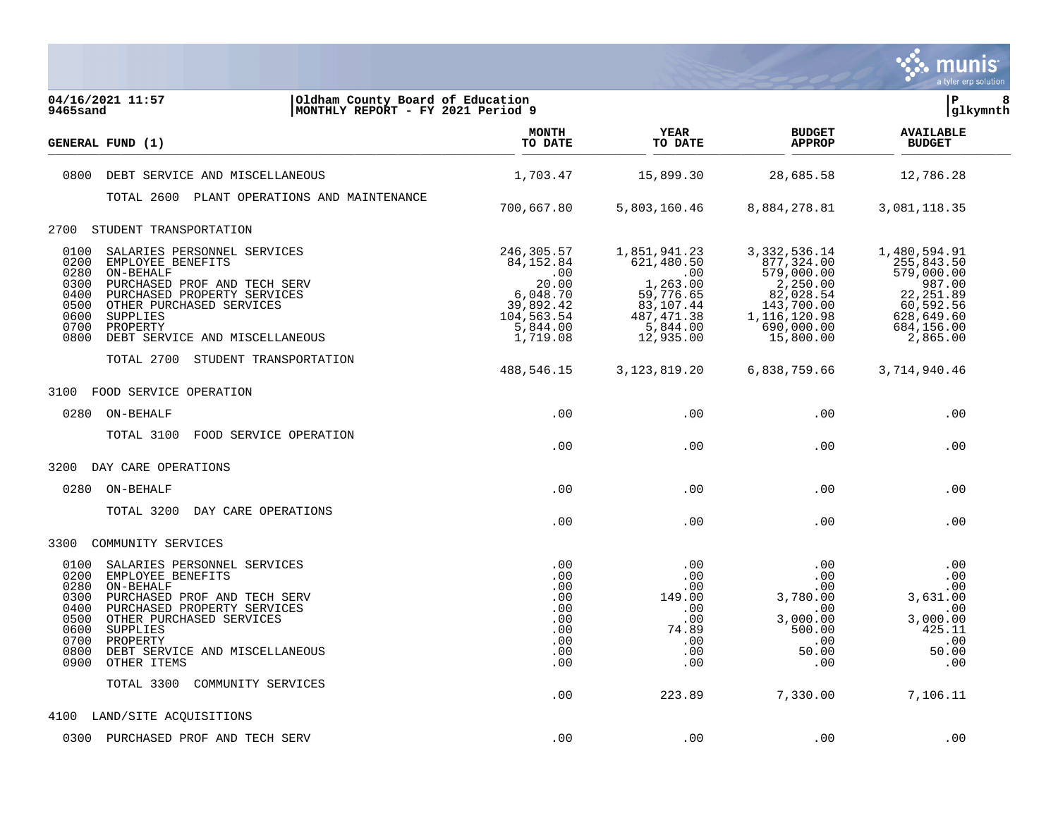

| 04/16/2021 11:57<br>Oldham County Board of Education<br>MONTHLY REPORT - FY 2021 Period 9<br>9465sand                                                                                                                                                                                                             |                                                                                                         |                                                                                                                 |                                                                                                                              | lР<br> glkymnth                                                                                                       | 8 |
|-------------------------------------------------------------------------------------------------------------------------------------------------------------------------------------------------------------------------------------------------------------------------------------------------------------------|---------------------------------------------------------------------------------------------------------|-----------------------------------------------------------------------------------------------------------------|------------------------------------------------------------------------------------------------------------------------------|-----------------------------------------------------------------------------------------------------------------------|---|
| GENERAL FUND (1)                                                                                                                                                                                                                                                                                                  | <b>MONTH</b><br>TO DATE                                                                                 | YEAR<br>TO DATE                                                                                                 | <b>BUDGET</b><br><b>APPROP</b>                                                                                               | <b>AVAILABLE</b><br><b>BUDGET</b>                                                                                     |   |
| 0800<br>DEBT SERVICE AND MISCELLANEOUS                                                                                                                                                                                                                                                                            | 1,703.47                                                                                                | 15,899.30                                                                                                       | 28,685.58                                                                                                                    | 12,786.28                                                                                                             |   |
| TOTAL 2600 PLANT OPERATIONS AND MAINTENANCE                                                                                                                                                                                                                                                                       |                                                                                                         |                                                                                                                 |                                                                                                                              |                                                                                                                       |   |
|                                                                                                                                                                                                                                                                                                                   | 700,667.80                                                                                              | 5,803,160.46                                                                                                    | 8,884,278.81                                                                                                                 | 3,081,118.35                                                                                                          |   |
| 2700<br>STUDENT TRANSPORTATION                                                                                                                                                                                                                                                                                    |                                                                                                         |                                                                                                                 |                                                                                                                              |                                                                                                                       |   |
| 0100<br>SALARIES PERSONNEL SERVICES<br>0200<br>EMPLOYEE BENEFITS<br>0280<br>ON-BEHALF<br>0300<br>PURCHASED PROF AND TECH SERV<br>0400<br>PURCHASED PROPERTY SERVICES<br>0500<br>OTHER PURCHASED SERVICES<br>0600<br>SUPPLIES<br>0700<br>PROPERTY<br>0800<br>DEBT SERVICE AND MISCELLANEOUS                        | 246,305.57<br>84, 152.84<br>.00<br>20.00<br>6,048.70<br>39,892.42<br>104,563.54<br>5,844.00<br>1,719.08 | 1,851,941.23<br>621,480.50<br>.00<br>1,263.00<br>59,776.65<br>83,107.44<br>487, 471.38<br>5,844.00<br>12,935.00 | 3, 332, 536.14<br>877,324.00<br>579,000.00<br>2,250.00<br>82,028.54<br>143,700.00<br>1,116,120.98<br>690,000.00<br>15,800.00 | 1,480,594.91<br>255,843.50<br>579,000.00<br>987.00<br>22, 251.89<br>60,592.56<br>628,649.60<br>684,156.00<br>2,865.00 |   |
| TOTAL 2700 STUDENT TRANSPORTATION                                                                                                                                                                                                                                                                                 | 488,546.15                                                                                              | 3, 123, 819. 20                                                                                                 | 6,838,759.66                                                                                                                 | 3,714,940.46                                                                                                          |   |
| 3100<br>FOOD SERVICE OPERATION                                                                                                                                                                                                                                                                                    |                                                                                                         |                                                                                                                 |                                                                                                                              |                                                                                                                       |   |
| 0280<br>ON-BEHALF                                                                                                                                                                                                                                                                                                 | .00                                                                                                     | .00                                                                                                             | .00                                                                                                                          | .00                                                                                                                   |   |
| FOOD SERVICE OPERATION<br>TOTAL 3100                                                                                                                                                                                                                                                                              | .00                                                                                                     | .00                                                                                                             | .00                                                                                                                          | .00                                                                                                                   |   |
| 3200 DAY CARE OPERATIONS                                                                                                                                                                                                                                                                                          |                                                                                                         |                                                                                                                 |                                                                                                                              |                                                                                                                       |   |
| 0280 ON-BEHALF                                                                                                                                                                                                                                                                                                    | .00                                                                                                     | .00                                                                                                             | .00                                                                                                                          | .00                                                                                                                   |   |
| TOTAL 3200 DAY CARE OPERATIONS                                                                                                                                                                                                                                                                                    | .00                                                                                                     | .00                                                                                                             | .00                                                                                                                          | .00                                                                                                                   |   |
| 3300<br>COMMUNITY SERVICES                                                                                                                                                                                                                                                                                        |                                                                                                         |                                                                                                                 |                                                                                                                              |                                                                                                                       |   |
| 0100<br>SALARIES PERSONNEL SERVICES<br>0200<br>EMPLOYEE BENEFITS<br>0280<br>ON-BEHALF<br>0300<br>PURCHASED PROF AND TECH SERV<br>0400<br>PURCHASED PROPERTY SERVICES<br>0500<br>OTHER PURCHASED SERVICES<br>0600<br>SUPPLIES<br>0700<br>PROPERTY<br>0800<br>DEBT SERVICE AND MISCELLANEOUS<br>0900<br>OTHER ITEMS | .00<br>.00<br>.00<br>.00<br>.00<br>.00<br>.00<br>.00<br>.00<br>.00                                      | .00<br>.00<br>.00<br>149.00<br>.00<br>.00<br>74.89<br>.00<br>.00<br>.00                                         | .00<br>.00<br>.00<br>3,780.00<br>.00<br>3,000.00<br>500.00<br>.00<br>50.00<br>.00                                            | .00<br>.00<br>.00<br>3,631.00<br>.00<br>3,000.00<br>425.11<br>$\,$ .00<br>50.00<br>.00                                |   |
| TOTAL 3300<br>COMMUNITY SERVICES                                                                                                                                                                                                                                                                                  | .00                                                                                                     | 223.89                                                                                                          | 7,330.00                                                                                                                     | 7,106.11                                                                                                              |   |
| LAND/SITE ACQUISITIONS<br>4100                                                                                                                                                                                                                                                                                    |                                                                                                         |                                                                                                                 |                                                                                                                              |                                                                                                                       |   |
| 0300 PURCHASED PROF AND TECH SERV                                                                                                                                                                                                                                                                                 | .00                                                                                                     | .00                                                                                                             | .00                                                                                                                          | .00                                                                                                                   |   |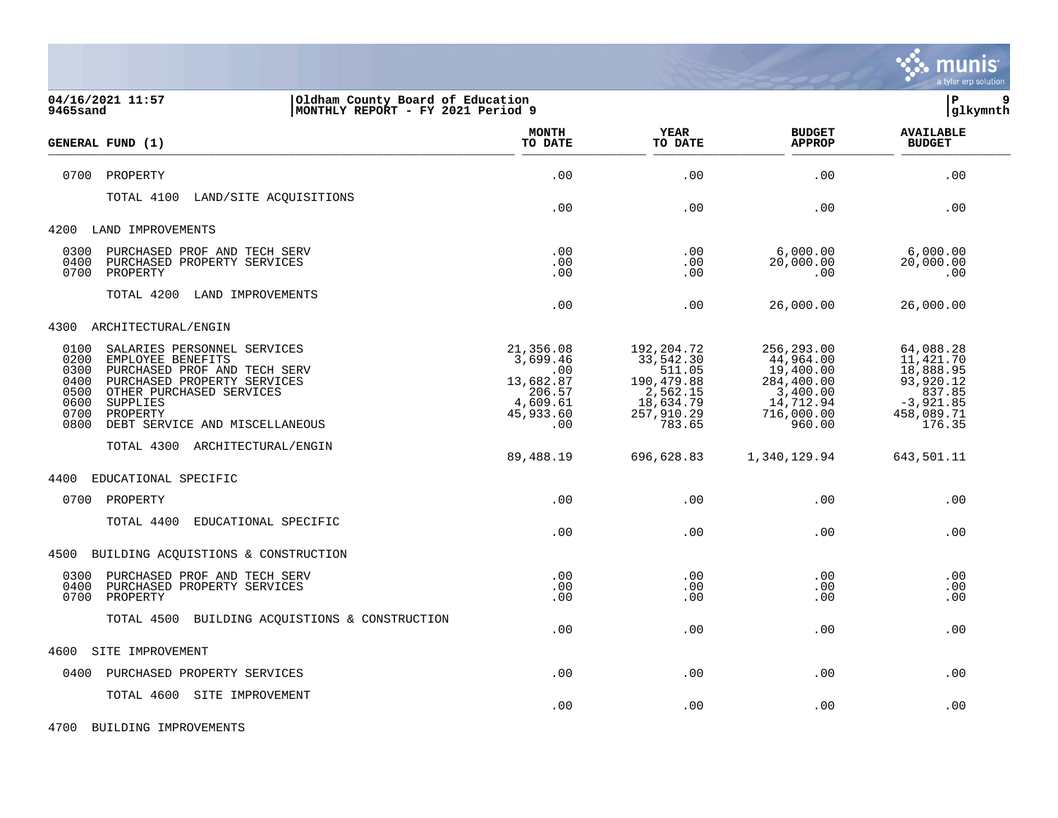

| 04/16/2021 11:57<br>Oldham County Board of Education<br>MONTHLY REPORT - FY 2021 Period 9<br>9465sand                                                                                                                                                                 |                                                                                     |                                                                                                  |                                                                                                     | lР<br>9<br> glkymnth                                                                              |
|-----------------------------------------------------------------------------------------------------------------------------------------------------------------------------------------------------------------------------------------------------------------------|-------------------------------------------------------------------------------------|--------------------------------------------------------------------------------------------------|-----------------------------------------------------------------------------------------------------|---------------------------------------------------------------------------------------------------|
| GENERAL FUND (1)                                                                                                                                                                                                                                                      | <b>MONTH</b><br>TO DATE                                                             | YEAR<br>TO DATE                                                                                  | <b>BUDGET</b><br><b>APPROP</b>                                                                      | <b>AVAILABLE</b><br><b>BUDGET</b>                                                                 |
| 0700<br>PROPERTY                                                                                                                                                                                                                                                      | .00                                                                                 | .00                                                                                              | .00                                                                                                 | .00                                                                                               |
| TOTAL 4100<br>LAND/SITE ACQUISITIONS                                                                                                                                                                                                                                  | .00                                                                                 | .00                                                                                              | .00                                                                                                 | .00                                                                                               |
| 4200<br>LAND IMPROVEMENTS                                                                                                                                                                                                                                             |                                                                                     |                                                                                                  |                                                                                                     |                                                                                                   |
| 0300<br>PURCHASED PROF AND TECH SERV<br>0400<br>PURCHASED PROPERTY SERVICES<br>0700<br>PROPERTY                                                                                                                                                                       | .00<br>.00<br>.00                                                                   | .00<br>.00<br>.00                                                                                | 6,000.00<br>20,000.00<br>.00                                                                        | 6,000.00<br>20,000.00<br>.00                                                                      |
| TOTAL 4200<br>LAND IMPROVEMENTS                                                                                                                                                                                                                                       | .00                                                                                 | .00                                                                                              | 26,000.00                                                                                           | 26,000.00                                                                                         |
| 4300<br>ARCHITECTURAL/ENGIN                                                                                                                                                                                                                                           |                                                                                     |                                                                                                  |                                                                                                     |                                                                                                   |
| 0100<br>SALARIES PERSONNEL SERVICES<br>0200<br>EMPLOYEE BENEFITS<br>0300<br>PURCHASED PROF AND TECH SERV<br>0400<br>PURCHASED PROPERTY SERVICES<br>0500<br>OTHER PURCHASED SERVICES<br>0600<br>SUPPLIES<br>0700<br>PROPERTY<br>0800<br>DEBT SERVICE AND MISCELLANEOUS | 21,356.08<br>3,699.46<br>.00<br>13,682.87<br>206.57<br>4,609.61<br>45,933.60<br>.00 | 192,204.72<br>33,542.30<br>511.05<br>190,479.88<br>2,562.15<br>18,634.79<br>257,910.29<br>783.65 | 256,293.00<br>44,964.00<br>19,400.00<br>284,400.00<br>3,400.00<br>14,712.94<br>716,000.00<br>960.00 | 64,088.28<br>11,421.70<br>18,888.95<br>93,920.12<br>837.85<br>$-3,921.85$<br>458,089.71<br>176.35 |
| TOTAL 4300 ARCHITECTURAL/ENGIN                                                                                                                                                                                                                                        | 89,488.19                                                                           | 696,628.83                                                                                       | 1,340,129.94                                                                                        | 643,501.11                                                                                        |
| EDUCATIONAL SPECIFIC<br>4400                                                                                                                                                                                                                                          |                                                                                     |                                                                                                  |                                                                                                     |                                                                                                   |
| 0700 PROPERTY                                                                                                                                                                                                                                                         | .00                                                                                 | .00                                                                                              | .00                                                                                                 | .00                                                                                               |
| TOTAL 4400<br>EDUCATIONAL SPECIFIC                                                                                                                                                                                                                                    | .00                                                                                 | .00                                                                                              | .00                                                                                                 | .00                                                                                               |
| BUILDING ACQUISTIONS & CONSTRUCTION<br>4500                                                                                                                                                                                                                           |                                                                                     |                                                                                                  |                                                                                                     |                                                                                                   |
| 0300<br>PURCHASED PROF AND TECH SERV<br>0400<br>PURCHASED PROPERTY SERVICES<br>0700<br>PROPERTY                                                                                                                                                                       | .00<br>.00<br>.00                                                                   | .00<br>.00<br>.00                                                                                | .00<br>.00<br>.00                                                                                   | .00<br>.00<br>.00                                                                                 |
| TOTAL 4500<br>BUILDING ACQUISTIONS & CONSTRUCTION                                                                                                                                                                                                                     | .00                                                                                 | .00                                                                                              | .00                                                                                                 | .00                                                                                               |
| 4600<br>SITE IMPROVEMENT                                                                                                                                                                                                                                              |                                                                                     |                                                                                                  |                                                                                                     |                                                                                                   |
| PURCHASED PROPERTY SERVICES<br>0400                                                                                                                                                                                                                                   | .00                                                                                 | .00                                                                                              | .00                                                                                                 | .00                                                                                               |
| TOTAL 4600 SITE IMPROVEMENT                                                                                                                                                                                                                                           | .00                                                                                 | .00                                                                                              | .00                                                                                                 | .00                                                                                               |

4700 BUILDING IMPROVEMENTS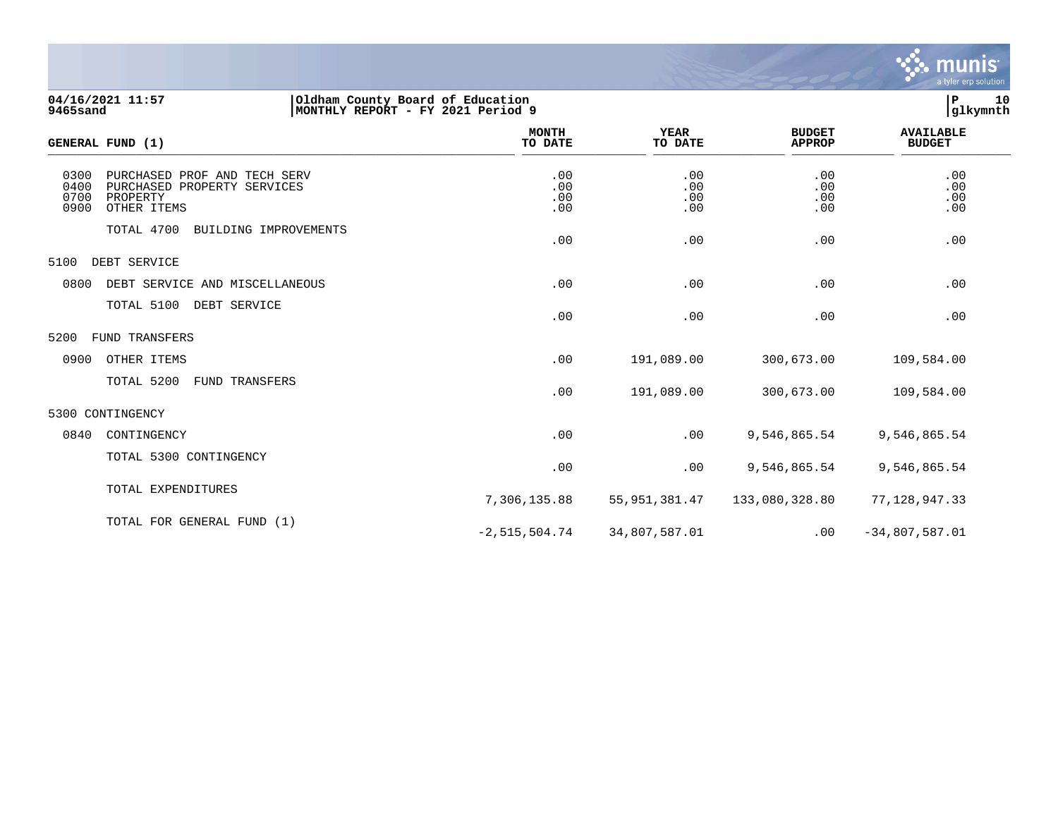

7,306,135.88 55,951,381.47 133,080,328.80 77,128,947.33

 $-2,515,504.74$   $34,807,587.01$  .00  $-34,807,587.01$ 

| 04/16/2021 11:57<br>9465sand | Oldham County Board of Education<br>MONTHLY REPORT - FY 2021 Period 9                  |                          |                          |                                | 10<br>l P<br> glkymnth            |
|------------------------------|----------------------------------------------------------------------------------------|--------------------------|--------------------------|--------------------------------|-----------------------------------|
| GENERAL FUND (1)             |                                                                                        | <b>MONTH</b><br>TO DATE  | <b>YEAR</b><br>TO DATE   | <b>BUDGET</b><br><b>APPROP</b> | <b>AVAILABLE</b><br><b>BUDGET</b> |
| 0300<br>0400<br>0700<br>0900 | PURCHASED PROF AND TECH SERV<br>PURCHASED PROPERTY SERVICES<br>PROPERTY<br>OTHER ITEMS | .00<br>.00<br>.00<br>.00 | .00<br>.00<br>.00<br>.00 | .00<br>.00<br>.00<br>.00       | .00<br>.00<br>.00<br>.00          |
|                              | TOTAL 4700<br>BUILDING IMPROVEMENTS                                                    | .00                      | .00                      | .00                            | .00                               |
| 5100                         | DEBT SERVICE                                                                           |                          |                          |                                |                                   |
| 0800                         | DEBT SERVICE AND MISCELLANEOUS                                                         | .00                      | .00                      | .00                            | .00                               |
|                              | TOTAL 5100<br>DEBT SERVICE                                                             | .00                      | .00                      | .00                            | .00                               |
| 5200                         | <b>FUND TRANSFERS</b>                                                                  |                          |                          |                                |                                   |
| 0900                         | OTHER ITEMS                                                                            | .00                      | 191,089.00               | 300,673.00                     | 109,584.00                        |
|                              | TOTAL 5200<br>FUND<br>TRANSFERS                                                        | .00                      | 191,089.00               | 300,673.00                     | 109,584.00                        |
| 5300 CONTINGENCY             |                                                                                        |                          |                          |                                |                                   |
| 0840                         | CONTINGENCY                                                                            | .00                      | .00                      | 9,546,865.54                   | 9,546,865.54                      |
|                              | TOTAL 5300 CONTINGENCY                                                                 | .00                      | .00                      | 9,546,865.54                   | 9,546,865.54                      |

TOTAL EXPENDITURES

TOTAL FOR GENERAL FUND (1)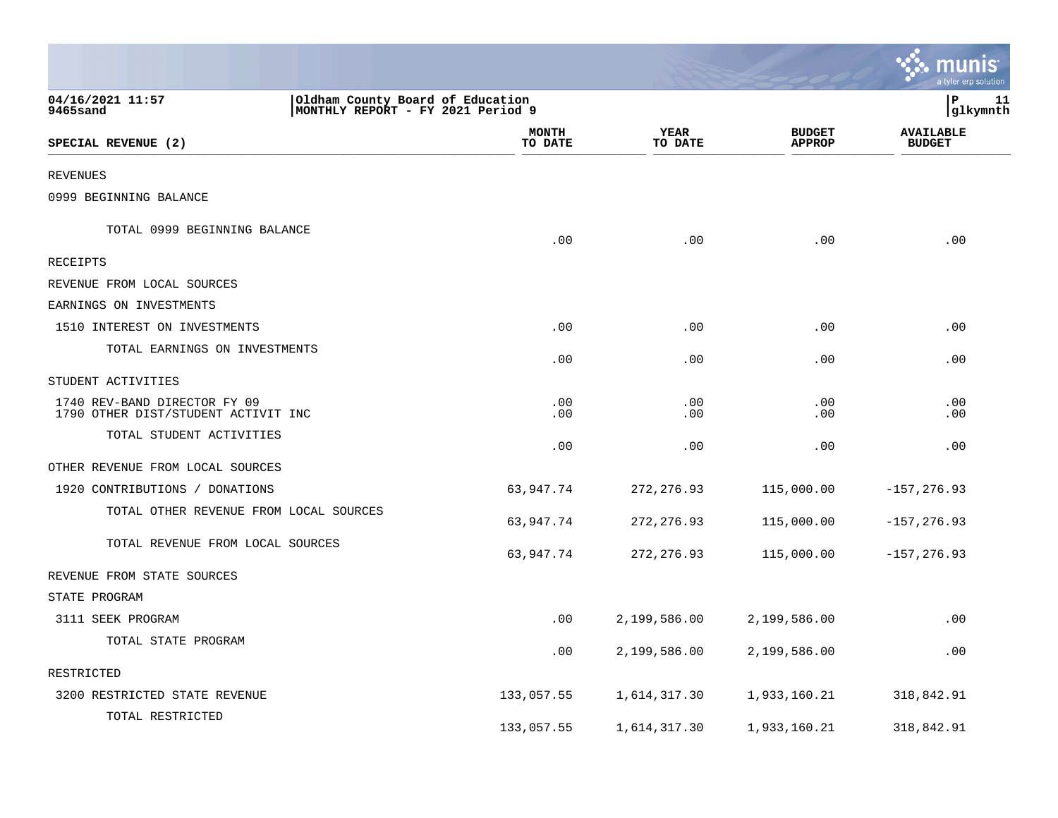|                                                                     |                                                                        |                         |                        |                                | ः munis<br>a tyler erp solution   |
|---------------------------------------------------------------------|------------------------------------------------------------------------|-------------------------|------------------------|--------------------------------|-----------------------------------|
| 04/16/2021 11:57<br>9465sand                                        | Oldham County Board of Education<br> MONTHLY REPORT - FY 2021 Period 9 |                         |                        |                                | lР<br>11<br> glkymnth             |
| SPECIAL REVENUE (2)                                                 |                                                                        | <b>MONTH</b><br>TO DATE | <b>YEAR</b><br>TO DATE | <b>BUDGET</b><br><b>APPROP</b> | <b>AVAILABLE</b><br><b>BUDGET</b> |
| <b>REVENUES</b>                                                     |                                                                        |                         |                        |                                |                                   |
| 0999 BEGINNING BALANCE                                              |                                                                        |                         |                        |                                |                                   |
| TOTAL 0999 BEGINNING BALANCE                                        |                                                                        | .00                     | .00                    | .00                            | .00                               |
| RECEIPTS                                                            |                                                                        |                         |                        |                                |                                   |
| REVENUE FROM LOCAL SOURCES                                          |                                                                        |                         |                        |                                |                                   |
| EARNINGS ON INVESTMENTS                                             |                                                                        |                         |                        |                                |                                   |
| 1510 INTEREST ON INVESTMENTS                                        |                                                                        | .00                     | .00                    | .00                            | .00                               |
| TOTAL EARNINGS ON INVESTMENTS                                       |                                                                        | .00                     | .00                    | .00                            | .00                               |
| STUDENT ACTIVITIES                                                  |                                                                        |                         |                        |                                |                                   |
| 1740 REV-BAND DIRECTOR FY 09<br>1790 OTHER DIST/STUDENT ACTIVIT INC |                                                                        | .00<br>.00              | .00<br>.00             | .00<br>.00                     | .00<br>.00                        |
| TOTAL STUDENT ACTIVITIES                                            |                                                                        | .00                     | .00                    | .00                            | .00                               |
| OTHER REVENUE FROM LOCAL SOURCES                                    |                                                                        |                         |                        |                                |                                   |
| 1920 CONTRIBUTIONS / DONATIONS                                      |                                                                        | 63,947.74               | 272, 276.93            | 115,000.00                     | $-157, 276.93$                    |
| TOTAL OTHER REVENUE FROM LOCAL SOURCES                              |                                                                        | 63,947.74               | 272, 276.93            | 115,000.00                     | $-157, 276.93$                    |
| TOTAL REVENUE FROM LOCAL SOURCES                                    |                                                                        | 63,947.74               | 272, 276.93            | 115,000.00                     | $-157, 276.93$                    |
| REVENUE FROM STATE SOURCES                                          |                                                                        |                         |                        |                                |                                   |
| STATE PROGRAM                                                       |                                                                        |                         |                        |                                |                                   |
| 3111 SEEK PROGRAM                                                   |                                                                        | .00                     | 2,199,586.00           | 2,199,586.00                   | .00                               |
| TOTAL STATE PROGRAM                                                 |                                                                        | .00                     | 2,199,586.00           | 2,199,586.00                   | .00                               |
| RESTRICTED                                                          |                                                                        |                         |                        |                                |                                   |
| 3200 RESTRICTED STATE REVENUE                                       |                                                                        | 133,057.55              | 1,614,317.30           | 1,933,160.21                   | 318,842.91                        |
| TOTAL RESTRICTED                                                    |                                                                        | 133,057.55              | 1,614,317.30           | 1,933,160.21                   | 318,842.91                        |

 $\mathcal{L}$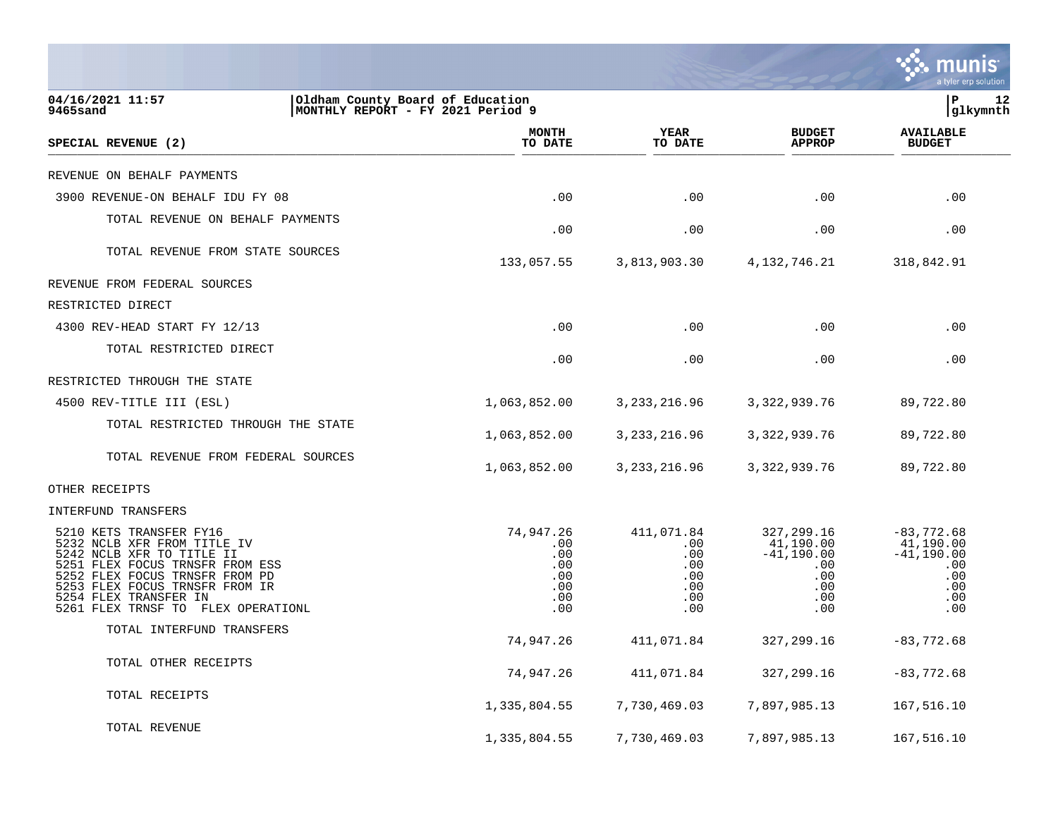|                                                                                                                                                                                                                                                              |                                                            |                                                             |                                                                                             | a tyler erp solution                                                          |
|--------------------------------------------------------------------------------------------------------------------------------------------------------------------------------------------------------------------------------------------------------------|------------------------------------------------------------|-------------------------------------------------------------|---------------------------------------------------------------------------------------------|-------------------------------------------------------------------------------|
| 04/16/2021 11:57<br>Oldham County Board of Education<br>MONTHLY REPORT - FY 2021 Period 9<br>9465sand                                                                                                                                                        |                                                            |                                                             |                                                                                             | P<br>12<br> glkymnth                                                          |
| <b>SPECIAL REVENUE (2)</b>                                                                                                                                                                                                                                   | <b>MONTH</b><br>TO DATE                                    | YEAR<br>TO DATE                                             | <b>BUDGET</b><br><b>APPROP</b>                                                              | <b>AVAILABLE</b><br><b>BUDGET</b>                                             |
| REVENUE ON BEHALF PAYMENTS                                                                                                                                                                                                                                   |                                                            |                                                             |                                                                                             |                                                                               |
| 3900 REVENUE-ON BEHALF IDU FY 08                                                                                                                                                                                                                             | .00                                                        | .00                                                         | .00                                                                                         | .00                                                                           |
| TOTAL REVENUE ON BEHALF PAYMENTS                                                                                                                                                                                                                             | .00                                                        | .00                                                         | .00                                                                                         | .00                                                                           |
| TOTAL REVENUE FROM STATE SOURCES                                                                                                                                                                                                                             | 133,057.55                                                 | 3,813,903.30                                                | 4, 132, 746. 21                                                                             | 318,842.91                                                                    |
| REVENUE FROM FEDERAL SOURCES                                                                                                                                                                                                                                 |                                                            |                                                             |                                                                                             |                                                                               |
| RESTRICTED DIRECT                                                                                                                                                                                                                                            |                                                            |                                                             |                                                                                             |                                                                               |
| 4300 REV-HEAD START FY 12/13                                                                                                                                                                                                                                 | .00                                                        | .00                                                         | .00                                                                                         | .00                                                                           |
| TOTAL RESTRICTED DIRECT                                                                                                                                                                                                                                      | .00                                                        | .00                                                         | $.00 \,$                                                                                    | .00                                                                           |
| RESTRICTED THROUGH THE STATE                                                                                                                                                                                                                                 |                                                            |                                                             |                                                                                             |                                                                               |
| 4500 REV-TITLE III (ESL)                                                                                                                                                                                                                                     | 1,063,852.00                                               | 3, 233, 216.96                                              | 3, 322, 939.76                                                                              | 89,722.80                                                                     |
| TOTAL RESTRICTED THROUGH THE STATE                                                                                                                                                                                                                           | 1,063,852.00                                               | 3, 233, 216.96                                              | 3, 322, 939.76                                                                              | 89,722.80                                                                     |
| TOTAL REVENUE FROM FEDERAL SOURCES                                                                                                                                                                                                                           | 1,063,852.00                                               | 3, 233, 216.96                                              | 3, 322, 939.76                                                                              | 89,722.80                                                                     |
| OTHER RECEIPTS                                                                                                                                                                                                                                               |                                                            |                                                             |                                                                                             |                                                                               |
| INTERFUND TRANSFERS                                                                                                                                                                                                                                          |                                                            |                                                             |                                                                                             |                                                                               |
| 5210 KETS TRANSFER FY16<br>5232 NCLB XFR FROM TITLE IV<br>5242 NCLB XFR TO TITLE II<br>5251 FLEX FOCUS TRNSFR FROM ESS<br>5252 FLEX FOCUS TRNSFR FROM PD<br>5253 FLEX FOCUS TRNSFR FROM IR<br>5254 FLEX TRANSFER IN<br>5261 FLEX TRNSF TO<br>FLEX OPERATIONL | 74,947.26<br>.00<br>.00<br>.00<br>.00<br>.00<br>.00<br>.00 | 411,071.84<br>.00<br>.00<br>.00<br>.00<br>.00<br>.00<br>.00 | 327, 299.16<br>41,190.00<br>$-41,190.00$<br>$.00 \,$<br>$.00 \,$<br>.00.<br>$.00 \,$<br>.00 | $-83,772.68$<br>41,190.00<br>$-41, 190.00$<br>.00<br>.00<br>.00<br>.00<br>.00 |
| TOTAL INTERFUND TRANSFERS                                                                                                                                                                                                                                    | 74,947.26                                                  | 411,071.84                                                  | 327, 299.16                                                                                 | $-83,772.68$                                                                  |
| TOTAL OTHER RECEIPTS                                                                                                                                                                                                                                         | 74,947.26                                                  | 411,071.84                                                  | 327, 299.16                                                                                 | $-83,772.68$                                                                  |
| TOTAL RECEIPTS                                                                                                                                                                                                                                               | 1,335,804.55                                               | 7,730,469.03                                                | 7,897,985.13                                                                                | 167,516.10                                                                    |
| TOTAL REVENUE                                                                                                                                                                                                                                                | 1,335,804.55                                               | 7,730,469.03                                                | 7,897,985.13                                                                                | 167,516.10                                                                    |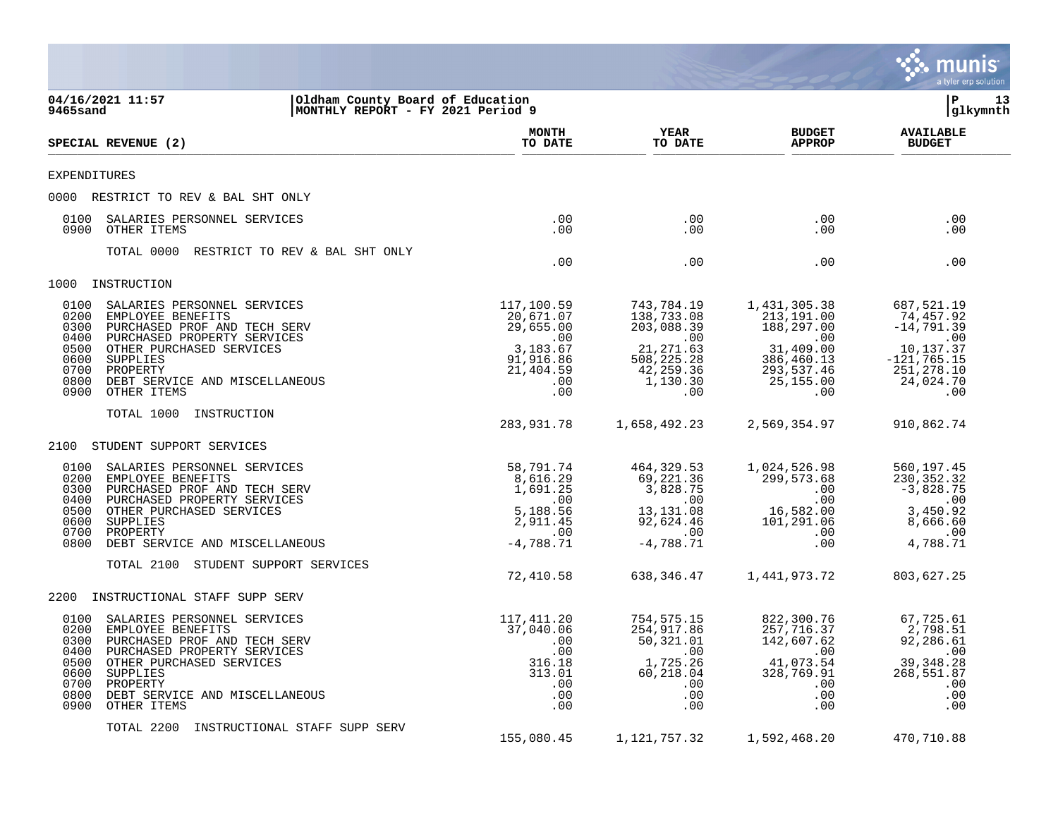|                                                                                                                                                                                                                                                                                              |                                                                                                 |                                                                                                                 |                                                                                                                         | munis<br>a tyler erp solution                                                                                    |
|----------------------------------------------------------------------------------------------------------------------------------------------------------------------------------------------------------------------------------------------------------------------------------------------|-------------------------------------------------------------------------------------------------|-----------------------------------------------------------------------------------------------------------------|-------------------------------------------------------------------------------------------------------------------------|------------------------------------------------------------------------------------------------------------------|
| 04/16/2021 11:57<br>Oldham County Board of Education<br>MONTHLY REPORT - FY 2021 Period 9<br>9465sand                                                                                                                                                                                        |                                                                                                 |                                                                                                                 |                                                                                                                         | lР<br>13<br>glkymnth                                                                                             |
| SPECIAL REVENUE (2)                                                                                                                                                                                                                                                                          | <b>MONTH</b><br>TO DATE                                                                         | YEAR<br>TO DATE                                                                                                 | <b>BUDGET</b><br><b>APPROP</b>                                                                                          | <b>AVAILABLE</b><br><b>BUDGET</b>                                                                                |
| <b>EXPENDITURES</b>                                                                                                                                                                                                                                                                          |                                                                                                 |                                                                                                                 |                                                                                                                         |                                                                                                                  |
| 0000 RESTRICT TO REV & BAL SHT ONLY                                                                                                                                                                                                                                                          |                                                                                                 |                                                                                                                 |                                                                                                                         |                                                                                                                  |
| 0100<br>SALARIES PERSONNEL SERVICES<br>0900<br>OTHER ITEMS                                                                                                                                                                                                                                   | $.00 \,$<br>.00                                                                                 | .00<br>.00                                                                                                      | $.00 \,$<br>$.00 \,$                                                                                                    | .00<br>.00                                                                                                       |
| TOTAL 0000<br>RESTRICT TO REV & BAL SHT ONLY                                                                                                                                                                                                                                                 | .00                                                                                             | .00                                                                                                             | $.00 \,$                                                                                                                | .00                                                                                                              |
| INSTRUCTION<br>1000                                                                                                                                                                                                                                                                          |                                                                                                 |                                                                                                                 |                                                                                                                         |                                                                                                                  |
| 0100<br>SALARIES PERSONNEL SERVICES<br>0200<br>EMPLOYEE BENEFITS<br>0300<br>PURCHASED PROF AND TECH SERV<br>0400<br>PURCHASED PROPERTY SERVICES<br>OTHER PURCHASED SERVICES<br>0500<br>0600<br>SUPPLIES<br>0700<br>PROPERTY<br>0800<br>DEBT SERVICE AND MISCELLANEOUS<br>0900<br>OTHER ITEMS | 117,100.59<br>20,671.07<br>29,655.00<br>.00<br>3,183.67<br>91,916.86<br>21,404.59<br>.00<br>.00 | 743,784.19<br>138,733.08<br>203,088.39<br>$\sim 00$<br>21, 271.63<br>508,225.28<br>42,259.36<br>1,130.30<br>.00 | 1,431,305.38<br>213,191.00<br>188,297.00<br>$\sim 00$<br>31,409.00<br>386,460.13<br>293,537.46<br>25,155.00<br>$.00 \,$ | 687,521.19<br>74,457.92<br>$-14, 791.39$<br>.00<br>10,137.37<br>$-121, 765.15$<br>251,278.10<br>24,024.70<br>.00 |
| TOTAL 1000<br>INSTRUCTION                                                                                                                                                                                                                                                                    | 283,931.78                                                                                      | 1,658,492.23                                                                                                    | 2,569,354.97                                                                                                            | 910,862.74                                                                                                       |
| 2100<br>STUDENT SUPPORT SERVICES                                                                                                                                                                                                                                                             |                                                                                                 |                                                                                                                 |                                                                                                                         |                                                                                                                  |
| 0100<br>SALARIES PERSONNEL SERVICES<br>0200<br>EMPLOYEE BENEFITS<br>0300<br>PURCHASED PROF AND TECH SERV<br>PURCHASED PROPERTY SERVICES<br>0400<br>0500<br>OTHER PURCHASED SERVICES<br>0600<br>SUPPLIES<br>0700<br>PROPERTY<br>0800<br>DEBT SERVICE AND MISCELLANEOUS                        | 58,791.74<br>8,616.29<br>1,691.25<br>.00<br>5,188.56<br>2,911.45<br>.00<br>$-4,788.71$          | 464, 329.53<br>69,221.36<br>3,828.75<br>.00<br>13,131.08<br>92,624.46<br>.00<br>$-4,788.71$                     | 1,024,526.98<br>299,573.68<br>$.00 \,$<br>$.00 \,$<br>16,582.00<br>101,291.06<br>$.00 \,$<br>.00                        | 560,197.45<br>230,352.32<br>$-3,828.75$<br>.00<br>3,450.92<br>8,666.60<br>.00<br>4,788.71                        |
| TOTAL 2100<br>STUDENT SUPPORT SERVICES                                                                                                                                                                                                                                                       | 72,410.58                                                                                       | 638,346.47                                                                                                      | 1,441,973.72                                                                                                            | 803,627.25                                                                                                       |
| 2200<br>INSTRUCTIONAL STAFF SUPP SERV                                                                                                                                                                                                                                                        |                                                                                                 |                                                                                                                 |                                                                                                                         |                                                                                                                  |
| 0100<br>SALARIES PERSONNEL SERVICES<br>0200<br>EMPLOYEE BENEFITS<br>0300 PURCHASED PROF AND TECH SERV<br>0400 PURCHASED PROPERTY SERVICES<br>0500 OTHER PURCHASED SERVICES<br>0600 SUPPLIES<br>0700 PROPERTY<br>0800<br>DEBT SERVICE AND MISCELLANEOUS<br>0900<br>OTHER ITEMS                | 117,411.20<br>37,040.06<br>.00<br>.00<br>316.18<br>313.01<br>.00.<br>.00<br>.00                 | 754,575.15<br>254,917.86<br>50,321.01<br>.00<br>1,725.26<br>60,218.04<br>$.00 \,$<br>.00<br>.00                 | 822,300.76<br>257,716.37<br>142,607.62<br>.00<br>41,073.54<br>328,769.91<br>$.00 \,$<br>.00<br>$.00 \,$                 | 67,725.61<br>2,798.51<br>92,286.61<br>.00<br>39,348.28<br>268,551.87<br>.00<br>.00<br>.00                        |
| TOTAL 2200<br>INSTRUCTIONAL STAFF SUPP SERV                                                                                                                                                                                                                                                  | 155,080.45                                                                                      | 1,121,757.32                                                                                                    | 1,592,468.20                                                                                                            | 470,710.88                                                                                                       |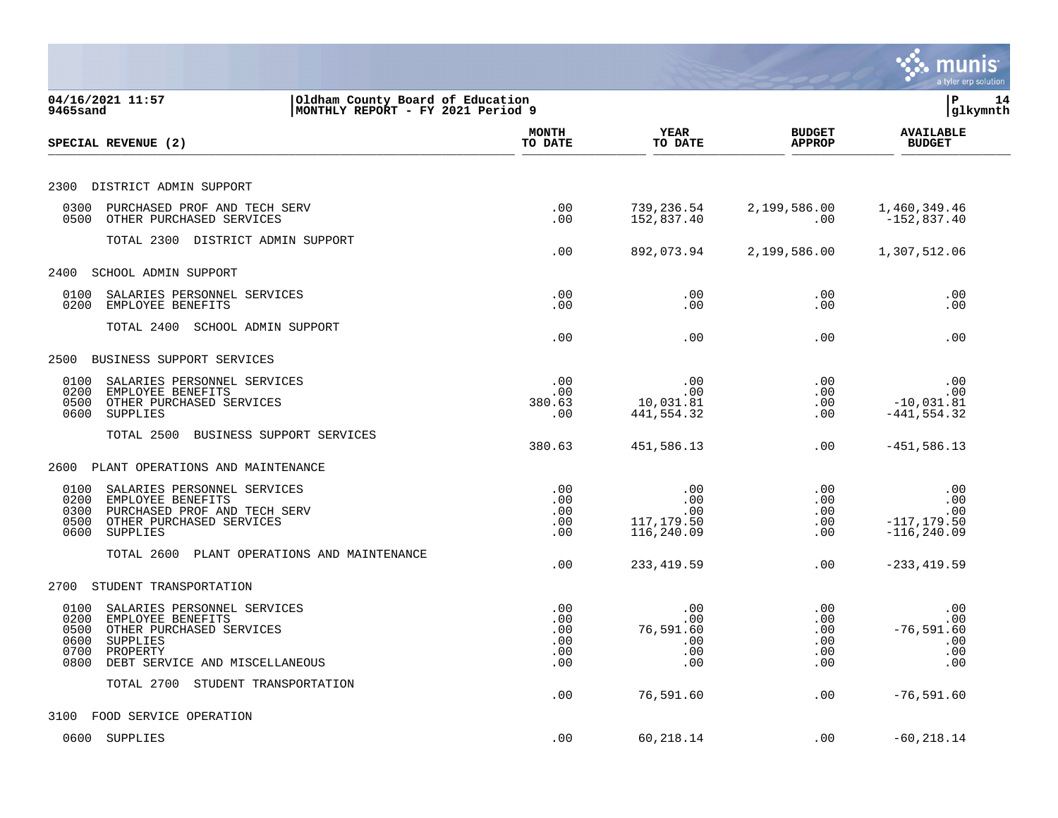|                                                                                                                                                                                     |                                        |                                                                       |                                                   | munis<br>a tyler erp solution                         |
|-------------------------------------------------------------------------------------------------------------------------------------------------------------------------------------|----------------------------------------|-----------------------------------------------------------------------|---------------------------------------------------|-------------------------------------------------------|
| 04/16/2021 11:57<br>Oldham County Board of Education<br>9465sand<br>MONTHLY REPORT - FY 2021 Period 9                                                                               |                                        |                                                                       |                                                   | P<br>14<br> glkymnth                                  |
| SPECIAL REVENUE (2)                                                                                                                                                                 | <b>MONTH</b><br>TO DATE                | <b>YEAR</b><br>TO DATE                                                | <b>BUDGET</b><br><b>APPROP</b>                    | <b>AVAILABLE</b><br><b>BUDGET</b>                     |
| DISTRICT ADMIN SUPPORT<br>2300                                                                                                                                                      |                                        |                                                                       |                                                   |                                                       |
| 0300<br>PURCHASED PROF AND TECH SERV<br>0500<br>OTHER PURCHASED SERVICES                                                                                                            | .00<br>.00                             | 739,236.54<br>152,837.40                                              | 2,199,586.00<br>$.00 \,$                          | 1,460,349.46<br>$-152,837.40$                         |
| TOTAL 2300 DISTRICT ADMIN SUPPORT                                                                                                                                                   | .00                                    | 892,073.94                                                            | 2,199,586.00                                      | 1,307,512.06                                          |
| 2400<br>SCHOOL ADMIN SUPPORT                                                                                                                                                        |                                        |                                                                       |                                                   |                                                       |
| 0100<br>SALARIES PERSONNEL SERVICES<br>0200<br>EMPLOYEE BENEFITS                                                                                                                    | .00<br>.00                             | .00<br>.00                                                            | .00<br>.00                                        | .00<br>.00                                            |
| TOTAL 2400<br>SCHOOL ADMIN SUPPORT                                                                                                                                                  | .00                                    | .00                                                                   | $.00 \,$                                          | .00                                                   |
| 2500<br>BUSINESS SUPPORT SERVICES                                                                                                                                                   |                                        |                                                                       |                                                   |                                                       |
| 0100<br>SALARIES PERSONNEL SERVICES<br>0200<br>EMPLOYEE BENEFITS<br>0500<br>OTHER PURCHASED SERVICES<br>0600<br>SUPPLIES                                                            | .00<br>.00<br>380.63<br>.00            | .00<br>.00<br>10,031.81<br>441,554.32                                 | $.00 \,$<br>.00<br>$.00 \,$<br>$.00 \ \rm$        | .00<br>.00<br>$-10,031.81$<br>$-441, 554.32$          |
| TOTAL 2500<br>BUSINESS SUPPORT SERVICES                                                                                                                                             | 380.63                                 | 451,586.13                                                            | $.00 \,$                                          | $-451,586.13$                                         |
| 2600<br>PLANT OPERATIONS AND MAINTENANCE                                                                                                                                            |                                        |                                                                       |                                                   |                                                       |
| 0100<br>SALARIES PERSONNEL SERVICES<br>0200<br>EMPLOYEE BENEFITS<br>0300<br>PURCHASED PROF AND TECH SERV<br>0500<br>OTHER PURCHASED SERVICES<br>0600<br>SUPPLIES                    | .00<br>.00<br>.00<br>.00<br>.00        | .00<br>.00<br>.00<br>117,179.50<br>116,240.09                         | $.00 \ \rm$<br>$.00 \,$<br>$.00 \,$<br>.00<br>.00 | .00<br>.00<br>.00<br>$-117, 179.50$<br>$-116, 240.09$ |
| TOTAL 2600<br>PLANT OPERATIONS AND MAINTENANCE                                                                                                                                      | .00                                    | 233, 419.59                                                           | $.00 \,$                                          | $-233, 419.59$                                        |
| STUDENT TRANSPORTATION<br>2700                                                                                                                                                      |                                        |                                                                       |                                                   |                                                       |
| 0100<br>SALARIES PERSONNEL SERVICES<br>0200<br>EMPLOYEE BENEFITS<br>0500<br>OTHER PURCHASED SERVICES<br>0600<br>SUPPLIES<br>0700 PROPERTY<br>0800<br>DEBT SERVICE AND MISCELLANEOUS | .00<br>.00<br>.00<br>.00<br>.00<br>.00 | .00<br>.00<br>76,591.60<br>$\overline{\phantom{0}}$ .00<br>.00<br>.00 | .00<br>$.00 \,$<br>.00<br>.00<br>.00<br>$.00 \,$  | .00<br>.00<br>$-76,591.60$<br>$\sim 00$<br>.00<br>.00 |
| TOTAL 2700 STUDENT TRANSPORTATION                                                                                                                                                   | .00                                    | 76,591.60                                                             | .00                                               | $-76, 591.60$                                         |
| 3100 FOOD SERVICE OPERATION                                                                                                                                                         |                                        |                                                                       |                                                   |                                                       |
| 0600 SUPPLIES                                                                                                                                                                       | .00                                    | 60,218.14                                                             | $.00 \,$                                          | $-60, 218.14$                                         |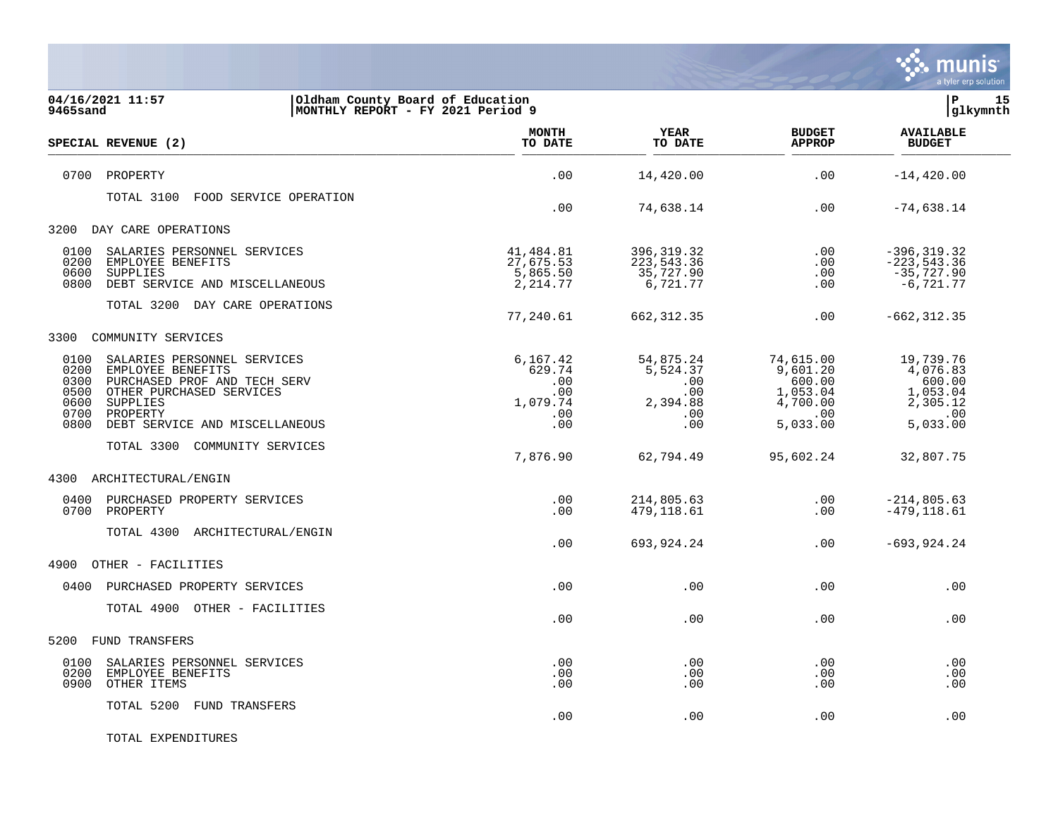

| 04/16/2021 11:57<br>Oldham County Board of Education<br>MONTHLY REPORT - FY 2021 Period 9<br>9465sand                                                                                                                          |                                                            |                                                               |                                                                                 | 15<br> P<br>glkymnth                                                       |  |
|--------------------------------------------------------------------------------------------------------------------------------------------------------------------------------------------------------------------------------|------------------------------------------------------------|---------------------------------------------------------------|---------------------------------------------------------------------------------|----------------------------------------------------------------------------|--|
| SPECIAL REVENUE (2)                                                                                                                                                                                                            | <b>MONTH</b><br>TO DATE                                    | <b>YEAR</b><br>TO DATE                                        | <b>BUDGET</b><br><b>APPROP</b>                                                  | <b>AVAILABLE</b><br><b>BUDGET</b>                                          |  |
| 0700<br>PROPERTY                                                                                                                                                                                                               | .00                                                        | 14,420.00                                                     | .00                                                                             | $-14, 420.00$                                                              |  |
| FOOD SERVICE OPERATION<br>TOTAL 3100                                                                                                                                                                                           | .00                                                        | 74,638.14                                                     | .00                                                                             | $-74,638.14$                                                               |  |
| 3200<br>DAY CARE OPERATIONS                                                                                                                                                                                                    |                                                            |                                                               |                                                                                 |                                                                            |  |
| 0100<br>SALARIES PERSONNEL SERVICES<br>0200<br>EMPLOYEE BENEFITS<br>0600<br>SUPPLIES<br>0800<br>DEBT SERVICE AND MISCELLANEOUS                                                                                                 | 41,484.81<br>27,675.53<br>5,865.50<br>2, 214.77            | 396, 319. 32<br>223, 543.36<br>35,727.90<br>6,721.77          | .00<br>$.00 \,$<br>.00<br>.00                                                   | $-396, 319.32$<br>$-223, 543.36$<br>$-35,727.90$<br>$-6, 721.77$           |  |
| TOTAL 3200 DAY CARE OPERATIONS                                                                                                                                                                                                 | 77,240.61                                                  | 662, 312.35                                                   | .00                                                                             | $-662, 312.35$                                                             |  |
| 3300<br>COMMUNITY SERVICES                                                                                                                                                                                                     |                                                            |                                                               |                                                                                 |                                                                            |  |
| SALARIES PERSONNEL SERVICES<br>0100<br>0200<br>EMPLOYEE BENEFITS<br>0300<br>PURCHASED PROF AND TECH SERV<br>0500<br>OTHER PURCHASED SERVICES<br>0600<br>SUPPLIES<br>0700<br>PROPERTY<br>0800<br>DEBT SERVICE AND MISCELLANEOUS | 6,167.42<br>629.74<br>.00<br>.00<br>1,079.74<br>.00<br>.00 | 54,875.24<br>5,524.37<br>.00<br>.00<br>2,394.88<br>.00<br>.00 | 74,615.00<br>9,601.20<br>600.00<br>1,053.04<br>4,700.00<br>$.00 \,$<br>5,033.00 | 19,739.76<br>4,076.83<br>600.00<br>1,053.04<br>2,305.12<br>.00<br>5,033.00 |  |
| TOTAL 3300<br>COMMUNITY SERVICES                                                                                                                                                                                               | 7,876.90                                                   | 62,794.49                                                     | 95,602.24                                                                       | 32,807.75                                                                  |  |
| ARCHITECTURAL/ENGIN<br>4300                                                                                                                                                                                                    |                                                            |                                                               |                                                                                 |                                                                            |  |
| 0400<br>PURCHASED PROPERTY SERVICES<br>0700<br>PROPERTY                                                                                                                                                                        | .00<br>.00                                                 | 214,805.63<br>479,118.61                                      | .00<br>.00                                                                      | $-214,805.63$<br>$-479, 118.61$                                            |  |
| TOTAL 4300<br>ARCHITECTURAL/ENGIN                                                                                                                                                                                              | .00                                                        | 693,924.24                                                    | .00                                                                             | $-693, 924.24$                                                             |  |
| OTHER - FACILITIES<br>4900                                                                                                                                                                                                     |                                                            |                                                               |                                                                                 |                                                                            |  |
| 0400<br>PURCHASED PROPERTY SERVICES                                                                                                                                                                                            | .00                                                        | .00                                                           | .00                                                                             | .00                                                                        |  |
| TOTAL 4900 OTHER - FACILITIES                                                                                                                                                                                                  | .00                                                        | .00                                                           | .00                                                                             | .00                                                                        |  |
| 5200<br>FUND TRANSFERS                                                                                                                                                                                                         |                                                            |                                                               |                                                                                 |                                                                            |  |
| 0100<br>SALARIES PERSONNEL SERVICES<br>0200<br>EMPLOYEE BENEFITS<br>0900<br>OTHER ITEMS                                                                                                                                        | .00<br>.00<br>.00                                          | .00<br>.00<br>.00                                             | $.00 \,$<br>$.00 \,$<br>.00                                                     | .00<br>.00<br>.00                                                          |  |
| TOTAL 5200<br><b>FUND TRANSFERS</b>                                                                                                                                                                                            | .00                                                        | .00                                                           | .00                                                                             | .00                                                                        |  |

TOTAL EXPENDITURES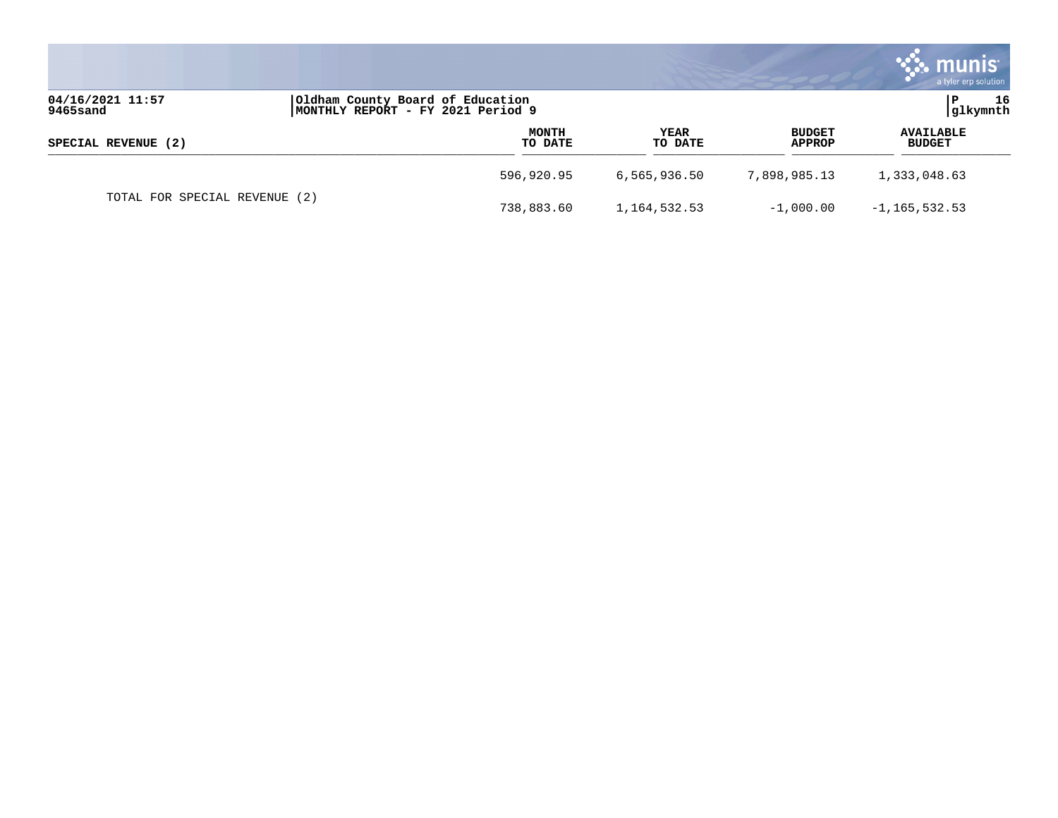|                              |                                                                       |                  |                 |                                | munis <sup>®</sup><br>a tyler erp solution |
|------------------------------|-----------------------------------------------------------------------|------------------|-----------------|--------------------------------|--------------------------------------------|
| 04/16/2021 11:57<br>9465sand | Oldham County Board of Education<br>MONTHLY REPORT - FY 2021 Period 9 |                  |                 |                                | 16<br>P<br>glkymnth                        |
| SPECIAL REVENUE (2)          |                                                                       | MONTH<br>TO DATE | YEAR<br>TO DATE | <b>BUDGET</b><br><b>APPROP</b> | <b>AVAILABLE</b><br><b>BUDGET</b>          |
|                              | 596,920.95                                                            |                  | 6,565,936.50    | 7,898,985.13                   | 1,333,048.63                               |
| TOTAL FOR SPECIAL REVENUE    | (2)<br>738,883.60                                                     |                  | 1, 164, 532. 53 | $-1,000.00$                    | $-1, 165, 532.53$                          |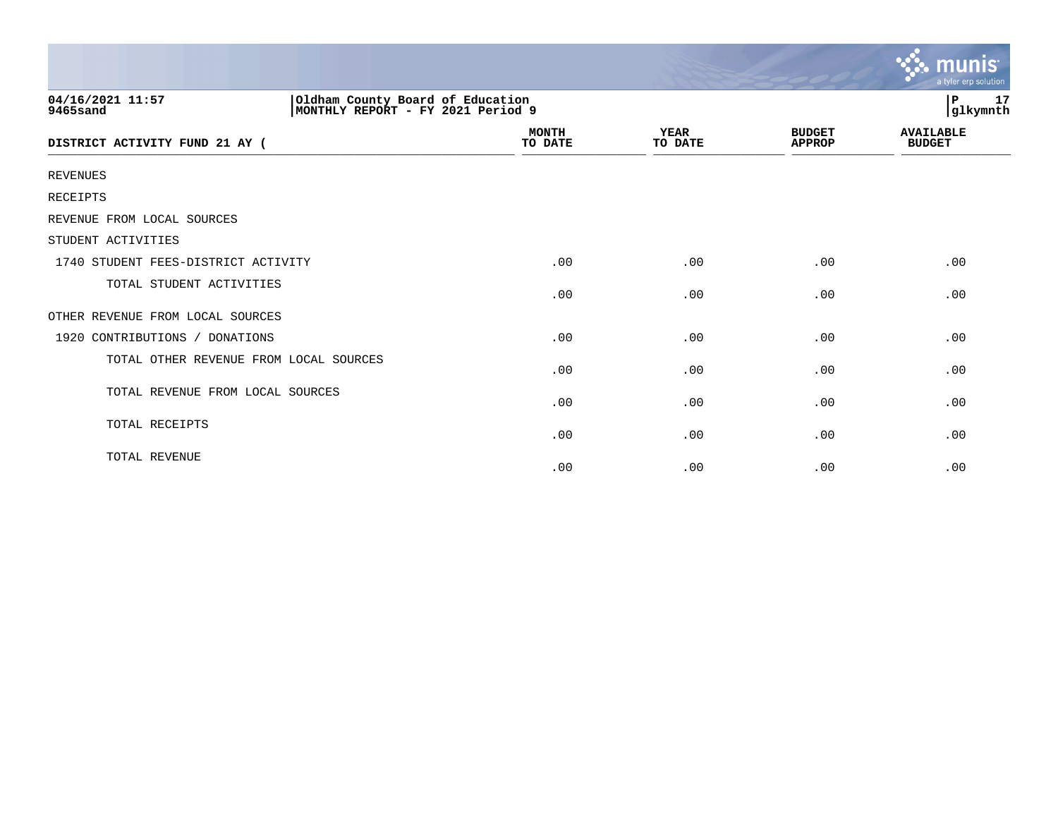|                                                                                                       |                         |                        |                                | munis<br>a tyler erp solution     |
|-------------------------------------------------------------------------------------------------------|-------------------------|------------------------|--------------------------------|-----------------------------------|
| 04/16/2021 11:57<br>Oldham County Board of Education<br>MONTHLY REPORT - FY 2021 Period 9<br>9465sand |                         |                        |                                | lР<br>17<br>glkymnth              |
| DISTRICT ACTIVITY FUND 21 AY (                                                                        | <b>MONTH</b><br>TO DATE | <b>YEAR</b><br>TO DATE | <b>BUDGET</b><br><b>APPROP</b> | <b>AVAILABLE</b><br><b>BUDGET</b> |
| <b>REVENUES</b>                                                                                       |                         |                        |                                |                                   |
| RECEIPTS                                                                                              |                         |                        |                                |                                   |
| REVENUE FROM LOCAL SOURCES                                                                            |                         |                        |                                |                                   |
| STUDENT ACTIVITIES                                                                                    |                         |                        |                                |                                   |
| 1740 STUDENT FEES-DISTRICT ACTIVITY                                                                   | .00                     | .00                    | .00                            | .00                               |
| TOTAL STUDENT ACTIVITIES                                                                              | .00                     | .00                    | .00                            | .00                               |
| OTHER REVENUE FROM LOCAL SOURCES                                                                      |                         |                        |                                |                                   |
| 1920 CONTRIBUTIONS / DONATIONS                                                                        | .00                     | .00                    | .00                            | .00                               |
| TOTAL OTHER REVENUE FROM LOCAL SOURCES                                                                | .00                     | .00                    | .00                            | .00                               |
| TOTAL REVENUE FROM LOCAL SOURCES                                                                      | .00                     | .00                    | .00                            | .00                               |
| TOTAL RECEIPTS                                                                                        | .00                     | .00                    | .00                            | .00                               |
| TOTAL REVENUE                                                                                         | .00                     | .00                    | .00                            | .00                               |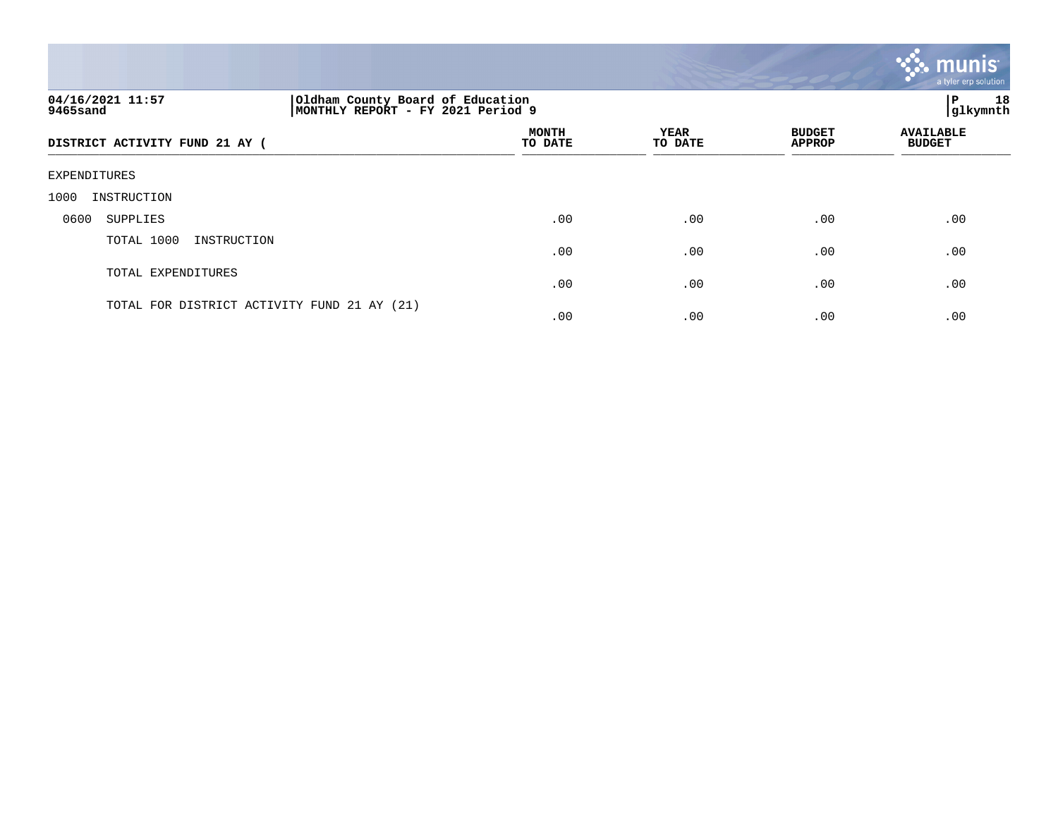|                                |                                                                       |                 |                                | munis<br>a tyler erp solution     |
|--------------------------------|-----------------------------------------------------------------------|-----------------|--------------------------------|-----------------------------------|
| 04/16/2021 11:57<br>9465sand   | Oldham County Board of Education<br>MONTHLY REPORT - FY 2021 Period 9 |                 |                                | 18<br> P<br>glkymnth              |
| DISTRICT ACTIVITY FUND 21 AY ( | <b>MONTH</b><br>TO DATE                                               | YEAR<br>TO DATE | <b>BUDGET</b><br><b>APPROP</b> | <b>AVAILABLE</b><br><b>BUDGET</b> |
| EXPENDITURES                   |                                                                       |                 |                                |                                   |
| 1000<br>INSTRUCTION            |                                                                       |                 |                                |                                   |
| 0600<br>SUPPLIES               | .00                                                                   | .00             | .00                            | .00                               |
| TOTAL 1000<br>INSTRUCTION      | .00                                                                   | .00             | .00                            | .00                               |
| TOTAL EXPENDITURES             | .00                                                                   | .00             | .00                            | .00                               |

.00 .00 .00 .00

TOTAL FOR DISTRICT ACTIVITY FUND 21 AY (21)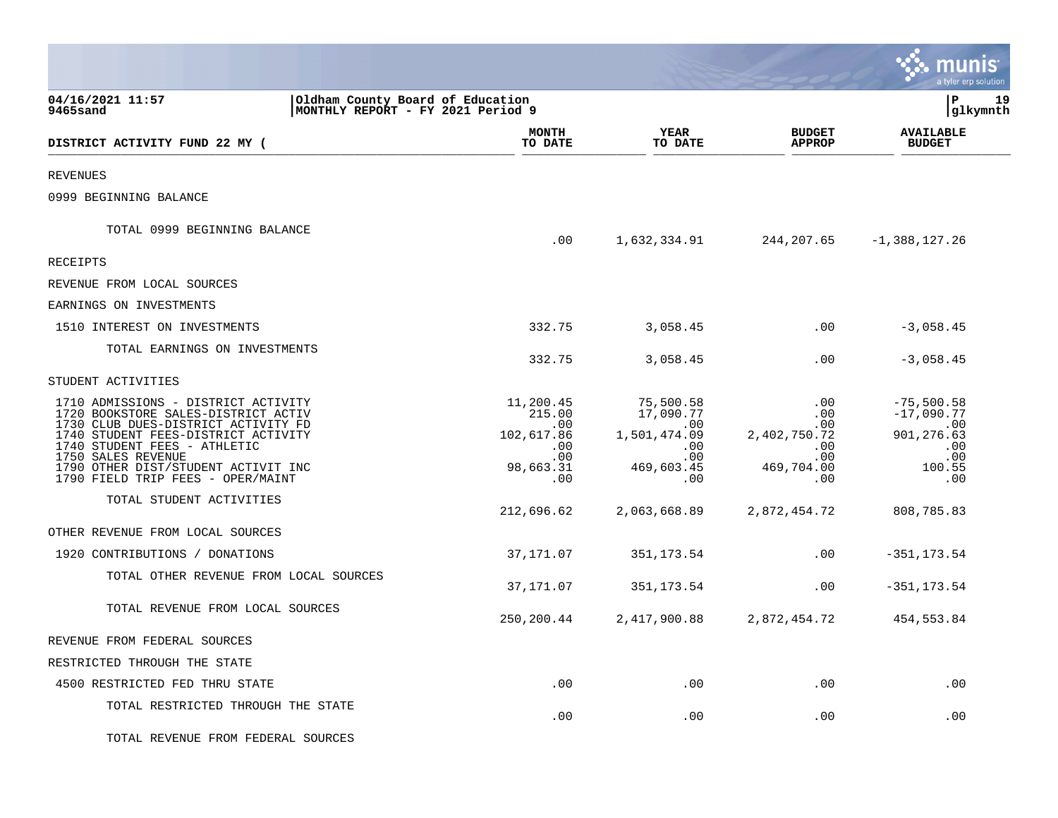|                                                                                                                                                                                                                                                                                            |                                                                                      |                                                                                  |                                                                                          | nıs<br>a tyler erp solution                                                       |
|--------------------------------------------------------------------------------------------------------------------------------------------------------------------------------------------------------------------------------------------------------------------------------------------|--------------------------------------------------------------------------------------|----------------------------------------------------------------------------------|------------------------------------------------------------------------------------------|-----------------------------------------------------------------------------------|
| 04/16/2021 11:57<br>Oldham County Board of Education<br>9465sand                                                                                                                                                                                                                           | MONTHLY REPORT - FY 2021 Period 9                                                    |                                                                                  |                                                                                          | lР<br>19<br> glkymnth                                                             |
| DISTRICT ACTIVITY FUND 22 MY (                                                                                                                                                                                                                                                             | <b>MONTH</b><br>TO DATE                                                              | YEAR<br>TO DATE                                                                  | <b>BUDGET</b><br><b>APPROP</b>                                                           | <b>AVAILABLE</b><br><b>BUDGET</b>                                                 |
| <b>REVENUES</b>                                                                                                                                                                                                                                                                            |                                                                                      |                                                                                  |                                                                                          |                                                                                   |
| 0999 BEGINNING BALANCE                                                                                                                                                                                                                                                                     |                                                                                      |                                                                                  |                                                                                          |                                                                                   |
| TOTAL 0999 BEGINNING BALANCE                                                                                                                                                                                                                                                               | .00                                                                                  | 1,632,334.91                                                                     | 244,207.65                                                                               | $-1,388,127.26$                                                                   |
| <b>RECEIPTS</b>                                                                                                                                                                                                                                                                            |                                                                                      |                                                                                  |                                                                                          |                                                                                   |
| REVENUE FROM LOCAL SOURCES                                                                                                                                                                                                                                                                 |                                                                                      |                                                                                  |                                                                                          |                                                                                   |
| EARNINGS ON INVESTMENTS                                                                                                                                                                                                                                                                    |                                                                                      |                                                                                  |                                                                                          |                                                                                   |
| 1510 INTEREST ON INVESTMENTS                                                                                                                                                                                                                                                               | 332.75                                                                               | 3,058.45                                                                         | .00                                                                                      | $-3,058.45$                                                                       |
| TOTAL EARNINGS ON INVESTMENTS                                                                                                                                                                                                                                                              | 332.75                                                                               | 3,058.45                                                                         | .00                                                                                      | $-3,058.45$                                                                       |
| STUDENT ACTIVITIES                                                                                                                                                                                                                                                                         |                                                                                      |                                                                                  |                                                                                          |                                                                                   |
| 1710 ADMISSIONS - DISTRICT ACTIVITY<br>1720 BOOKSTORE SALES-DISTRICT ACTIV<br>1730 CLUB DUES-DISTRICT ACTIVITY FD<br>1740 STUDENT FEES-DISTRICT ACTIVITY<br>1740 STUDENT FEES - ATHLETIC<br>1750 SALES REVENUE<br>1790 OTHER DIST/STUDENT ACTIVIT INC<br>1790 FIELD TRIP FEES - OPER/MAINT | 11,200.45<br>215.00<br>$.00 \,$<br>102,617.86<br>.00<br>$.00 \,$<br>98,663.31<br>.00 | 75,500.58<br>17,090.77<br>.00<br>1,501,474.09<br>.00<br>.00<br>469,603.45<br>.00 | $.00 \,$<br>$.00 \,$<br>$.00 \,$<br>2,402,750.72<br>.00<br>$.00 \,$<br>469,704.00<br>.00 | $-75,500.58$<br>$-17,090.77$<br>.00<br>901, 276.63<br>.00<br>.00<br>100.55<br>.00 |
| TOTAL STUDENT ACTIVITIES                                                                                                                                                                                                                                                                   | 212,696.62                                                                           | 2,063,668.89                                                                     | 2,872,454.72                                                                             | 808,785.83                                                                        |
| OTHER REVENUE FROM LOCAL SOURCES                                                                                                                                                                                                                                                           |                                                                                      |                                                                                  |                                                                                          |                                                                                   |
| 1920 CONTRIBUTIONS / DONATIONS                                                                                                                                                                                                                                                             | 37,171.07                                                                            | 351, 173.54                                                                      | .00                                                                                      | $-351, 173.54$                                                                    |
| TOTAL OTHER REVENUE FROM LOCAL SOURCES                                                                                                                                                                                                                                                     | 37,171.07                                                                            | 351, 173.54                                                                      | $.00 \,$                                                                                 | $-351, 173.54$                                                                    |
| TOTAL REVENUE FROM LOCAL SOURCES                                                                                                                                                                                                                                                           | 250,200.44                                                                           | 2,417,900.88                                                                     | 2,872,454.72                                                                             | 454,553.84                                                                        |
| REVENUE FROM FEDERAL SOURCES                                                                                                                                                                                                                                                               |                                                                                      |                                                                                  |                                                                                          |                                                                                   |
| RESTRICTED THROUGH THE STATE                                                                                                                                                                                                                                                               |                                                                                      |                                                                                  |                                                                                          |                                                                                   |
| 4500 RESTRICTED FED THRU STATE                                                                                                                                                                                                                                                             | .00                                                                                  | .00                                                                              | $.00 \,$                                                                                 | .00                                                                               |
| TOTAL RESTRICTED THROUGH THE STATE                                                                                                                                                                                                                                                         | .00                                                                                  | .00                                                                              | .00                                                                                      | .00                                                                               |
| TOTAL REVENUE FROM FEDERAL SOURCES                                                                                                                                                                                                                                                         |                                                                                      |                                                                                  |                                                                                          |                                                                                   |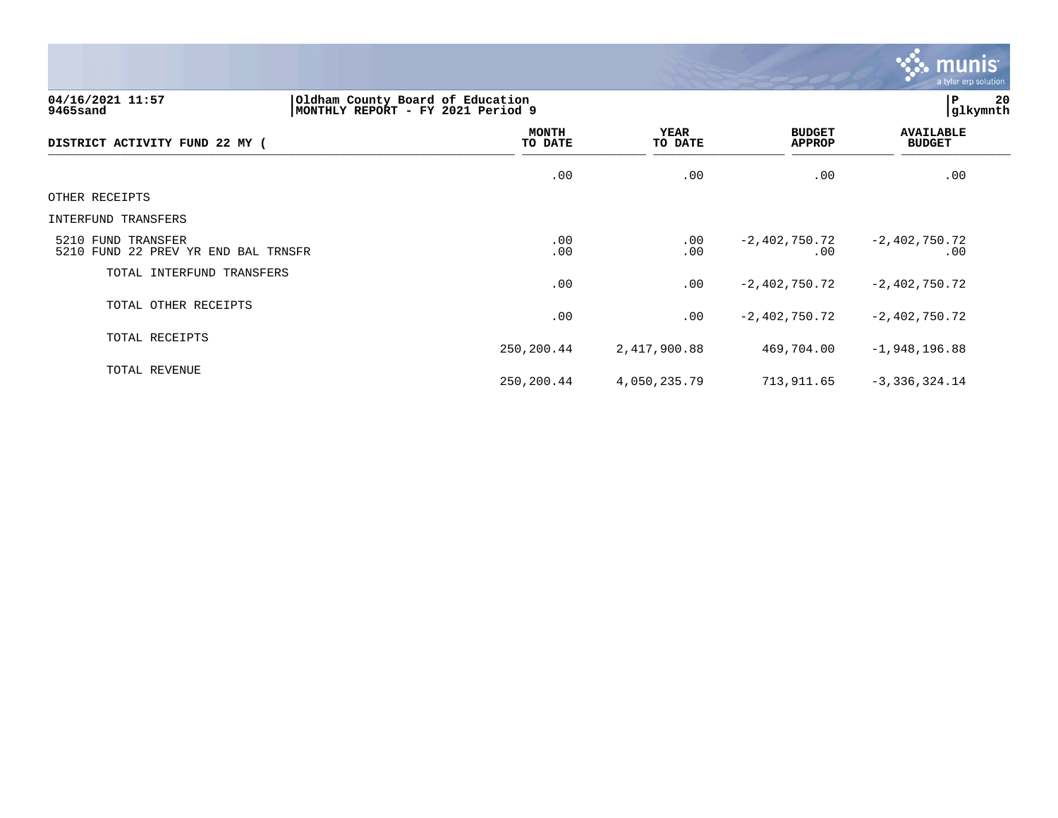

250,200.44 2,417,900.88 469,704.00 -1,948,196.88

250,200.44 4,050,235.79 713,911.65 -3,336,324.14

**04/16/2021 11:57 |Oldham County Board of Education |P 20 9465sand |MONTHLY REPORT - FY 2021 Period 9 |glkymnth MONTH AVAILABLE YEAR BUDGET** AVAILABLE **DISTRICT ACTIVITY FUND 22 MY ( TO DATE TO DATE APPROP BUDGET**  \_\_\_\_\_\_\_\_\_\_\_\_\_\_\_\_\_\_\_\_\_\_\_\_\_\_\_\_\_\_\_\_\_\_\_\_\_\_\_\_\_\_\_\_\_\_\_\_\_\_\_\_\_\_\_\_\_\_\_\_\_\_\_\_ \_\_\_\_\_\_\_\_\_\_\_\_\_\_\_\_\_ \_\_\_\_\_\_\_\_\_\_\_\_\_\_\_\_\_\_ \_\_\_\_\_\_\_\_\_\_\_\_\_\_ \_\_\_\_\_\_\_\_\_\_\_\_\_\_\_  $.00$  .  $.00$  .  $.00$  .  $.00$  .  $.00$  .  $.00$  .  $.00$  .  $.00$  .  $.00$  .  $.00$  .  $.00$  .  $.00$  .  $.00$  .  $.00$  .  $.00$  .  $.00$  .  $.00$  .  $.00$  .  $.00$  .  $.00$  .  $.00$  .  $.00$  .  $.00$  .  $.00$  .  $.00$  .  $.00$  .  $.00$  .  $.00$ OTHER RECEIPTS INTERFUND TRANSFERS 5210 FUND TRANSFER .00 .00 -2,402,750.72 -2,402,750.72 5210 FUND 22 PREV YR END BAL TRNSFR TOTAL INTERFUND TRANSFERS .00 .00 -2,402,750.72 -2,402,750.72 TOTAL OTHER RECEIPTS .00 .00 -2,402,750.72 -2,402,750.72

TOTAL RECEIPTS

TOTAL REVENUE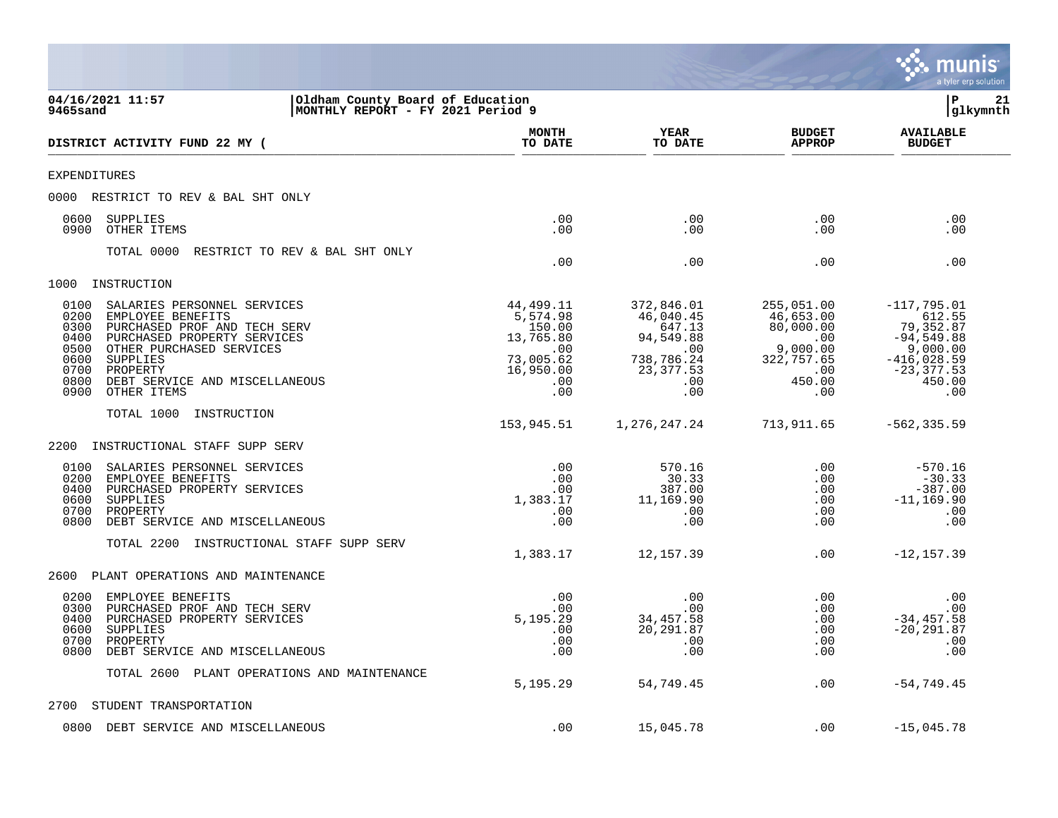|                                                                                                                                                                                                                                                                                                     |                                                                                             |                                                                                                |                                                                                                    | a tyler erp solution                                                                                                |
|-----------------------------------------------------------------------------------------------------------------------------------------------------------------------------------------------------------------------------------------------------------------------------------------------------|---------------------------------------------------------------------------------------------|------------------------------------------------------------------------------------------------|----------------------------------------------------------------------------------------------------|---------------------------------------------------------------------------------------------------------------------|
| 04/16/2021 11:57<br>Oldham County Board of Education<br>MONTHLY REPORT - FY 2021 Period 9<br>9465sand                                                                                                                                                                                               |                                                                                             |                                                                                                |                                                                                                    | l P<br>21<br> glkymnth                                                                                              |
| DISTRICT ACTIVITY FUND 22 MY (                                                                                                                                                                                                                                                                      | <b>MONTH</b><br>TO DATE                                                                     | YEAR<br>TO DATE                                                                                | <b>BUDGET</b><br><b>APPROP</b>                                                                     | <b>AVAILABLE</b><br><b>BUDGET</b>                                                                                   |
| <b>EXPENDITURES</b>                                                                                                                                                                                                                                                                                 |                                                                                             |                                                                                                |                                                                                                    |                                                                                                                     |
| 0000 RESTRICT TO REV & BAL SHT ONLY                                                                                                                                                                                                                                                                 |                                                                                             |                                                                                                |                                                                                                    |                                                                                                                     |
| 0600<br><b>SUPPLIES</b><br>OTHER ITEMS<br>0900                                                                                                                                                                                                                                                      | .00<br>.00.                                                                                 | .00<br>.00                                                                                     | .00<br>.00                                                                                         | .00<br>.00                                                                                                          |
| TOTAL 0000<br>RESTRICT TO REV & BAL SHT ONLY                                                                                                                                                                                                                                                        | .00                                                                                         | .00                                                                                            | .00                                                                                                | .00                                                                                                                 |
| 1000<br>INSTRUCTION                                                                                                                                                                                                                                                                                 |                                                                                             |                                                                                                |                                                                                                    |                                                                                                                     |
| 0100<br>SALARIES PERSONNEL SERVICES<br>0200<br>EMPLOYEE BENEFITS<br>0300<br>PURCHASED PROF AND TECH SERV<br>0400<br>PURCHASED PROPERTY SERVICES<br>0500<br>OTHER PURCHASED SERVICES<br>0600<br><b>SUPPLIES</b><br>0700<br>PROPERTY<br>0800<br>DEBT SERVICE AND MISCELLANEOUS<br>0900<br>OTHER ITEMS | 44,499.11<br>5,574.98<br>150.00<br>13,765.80<br>.00<br>73,005.62<br>16,950.00<br>.00<br>.00 | 372,846.01<br>46,040.45<br>647.13<br>94,549.88<br>.00<br>738,786.24<br>23,377.53<br>.00<br>.00 | 255,051.00<br>46,653.00<br>80,000.00<br>.00<br>9,000.00<br>322,757.65<br>$.00 \,$<br>450.00<br>.00 | $-117,795.01$<br>612.55<br>79,352.87<br>$-94,549.88$<br>9,000.00<br>$-416,028.59$<br>$-23, 377.53$<br>450.00<br>.00 |
| TOTAL 1000<br>INSTRUCTION                                                                                                                                                                                                                                                                           |                                                                                             |                                                                                                |                                                                                                    |                                                                                                                     |
|                                                                                                                                                                                                                                                                                                     | 153,945.51                                                                                  | 1,276,247.24                                                                                   | 713,911.65                                                                                         | $-562, 335.59$                                                                                                      |
| 2200<br>INSTRUCTIONAL STAFF SUPP SERV<br>0100<br>SALARIES PERSONNEL SERVICES<br>0200<br>EMPLOYEE BENEFITS<br>0400<br>PURCHASED PROPERTY SERVICES<br>0600<br>SUPPLIES<br>0700<br>PROPERTY<br>0800<br>DEBT SERVICE AND MISCELLANEOUS                                                                  | .00<br>.00<br>.00<br>1,383.17<br>.00<br>.00                                                 | 570.16<br>30.33<br>387.00<br>11,169.90<br>.00<br>.00                                           | .00<br>.00<br>.00<br>.00<br>.00<br>.00                                                             | $-570.16$<br>$-30.33$<br>$-387.00$<br>$-11, 169.90$<br>.00<br>.00                                                   |
| TOTAL 2200<br>INSTRUCTIONAL STAFF SUPP SERV                                                                                                                                                                                                                                                         | 1,383.17                                                                                    | 12,157.39                                                                                      | .00                                                                                                | $-12, 157.39$                                                                                                       |
| 2600<br>PLANT OPERATIONS AND MAINTENANCE                                                                                                                                                                                                                                                            |                                                                                             |                                                                                                |                                                                                                    |                                                                                                                     |
| 0200<br>EMPLOYEE BENEFITS<br>0300<br>PURCHASED PROF AND TECH SERV<br>PURCHASED PROPERTY SERVICES<br>0400<br>0600<br>SUPPLIES<br>0700<br>PROPERTY<br>0800<br>DEBT SERVICE AND MISCELLANEOUS                                                                                                          | .00<br>.00<br>5,195.29<br>.00<br>.00<br>.00                                                 | .00<br>.00<br>34,457.58<br>20,291.87<br>.00<br>.00                                             | $.00 \,$<br>.00<br>.00<br>.00<br>.00<br>.00                                                        | .00<br>.00<br>$-34, 457.58$<br>$-20, 291.87$<br>.00<br>.00                                                          |
| TOTAL 2600 PLANT OPERATIONS AND MAINTENANCE                                                                                                                                                                                                                                                         | 5,195.29                                                                                    | 54,749.45                                                                                      | .00                                                                                                | $-54, 749.45$                                                                                                       |
| 2700<br>STUDENT TRANSPORTATION                                                                                                                                                                                                                                                                      |                                                                                             |                                                                                                |                                                                                                    |                                                                                                                     |
| 0800<br>DEBT SERVICE AND MISCELLANEOUS                                                                                                                                                                                                                                                              | .00                                                                                         | 15,045.78                                                                                      | .00                                                                                                | $-15,045.78$                                                                                                        |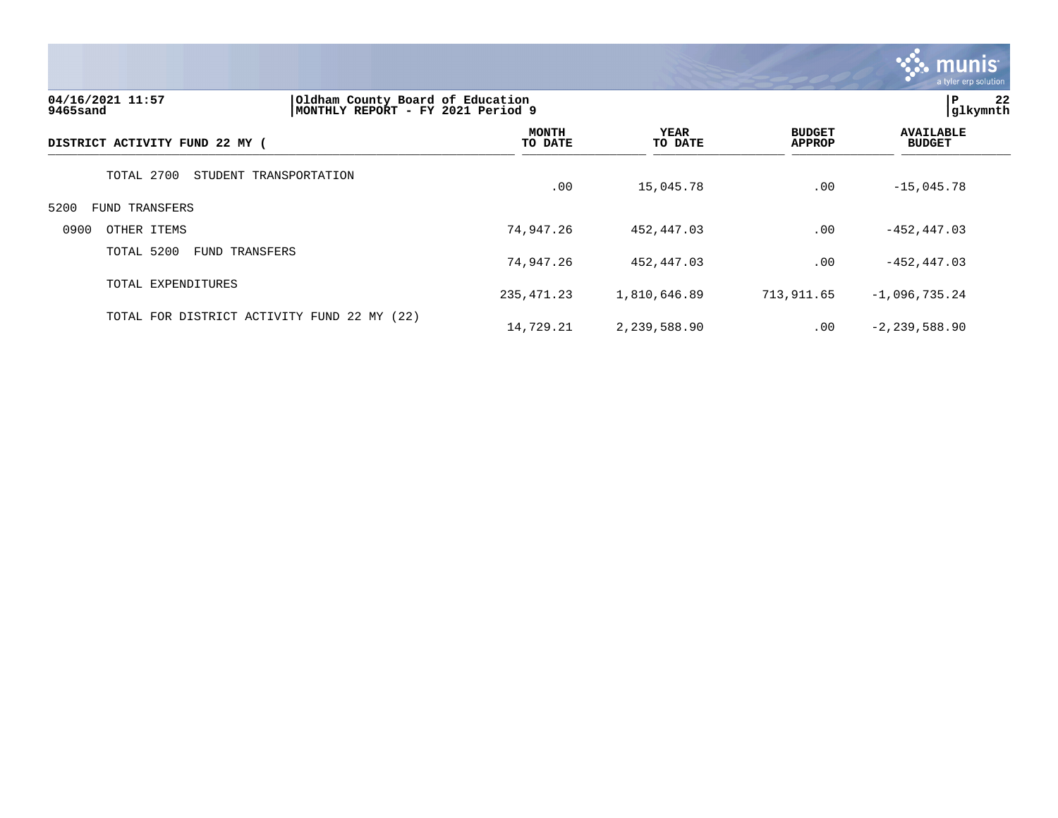

| 04/16/2021 11:57<br>9465sand        | Oldham County Board of Education<br>MONTHLY REPORT - FY 2021 Period 9 |                         |                        |                                | 22<br>ΙP<br> glkymnth             |
|-------------------------------------|-----------------------------------------------------------------------|-------------------------|------------------------|--------------------------------|-----------------------------------|
| DISTRICT ACTIVITY FUND 22 MY (      |                                                                       | <b>MONTH</b><br>TO DATE | <b>YEAR</b><br>TO DATE | <b>BUDGET</b><br><b>APPROP</b> | <b>AVAILABLE</b><br><b>BUDGET</b> |
| TOTAL 2700                          | STUDENT TRANSPORTATION                                                | .00                     | 15,045.78              | .00                            | $-15,045.78$                      |
| 5200<br><b>FUND TRANSFERS</b>       |                                                                       |                         |                        |                                |                                   |
| 0900<br>OTHER ITEMS                 |                                                                       | 74,947.26               | 452,447.03             | .00                            | $-452, 447.03$                    |
| TOTAL 5200<br><b>FUND TRANSFERS</b> |                                                                       | 74,947.26               | 452,447.03             | .00                            | $-452, 447.03$                    |
| TOTAL EXPENDITURES                  |                                                                       | 235, 471.23             | 1,810,646.89           | 713,911.65                     | $-1,096,735.24$                   |
|                                     | TOTAL FOR DISTRICT ACTIVITY FUND 22 MY (22)                           | 14,729.21               | 2,239,588.90           | .00                            | $-2, 239, 588.90$                 |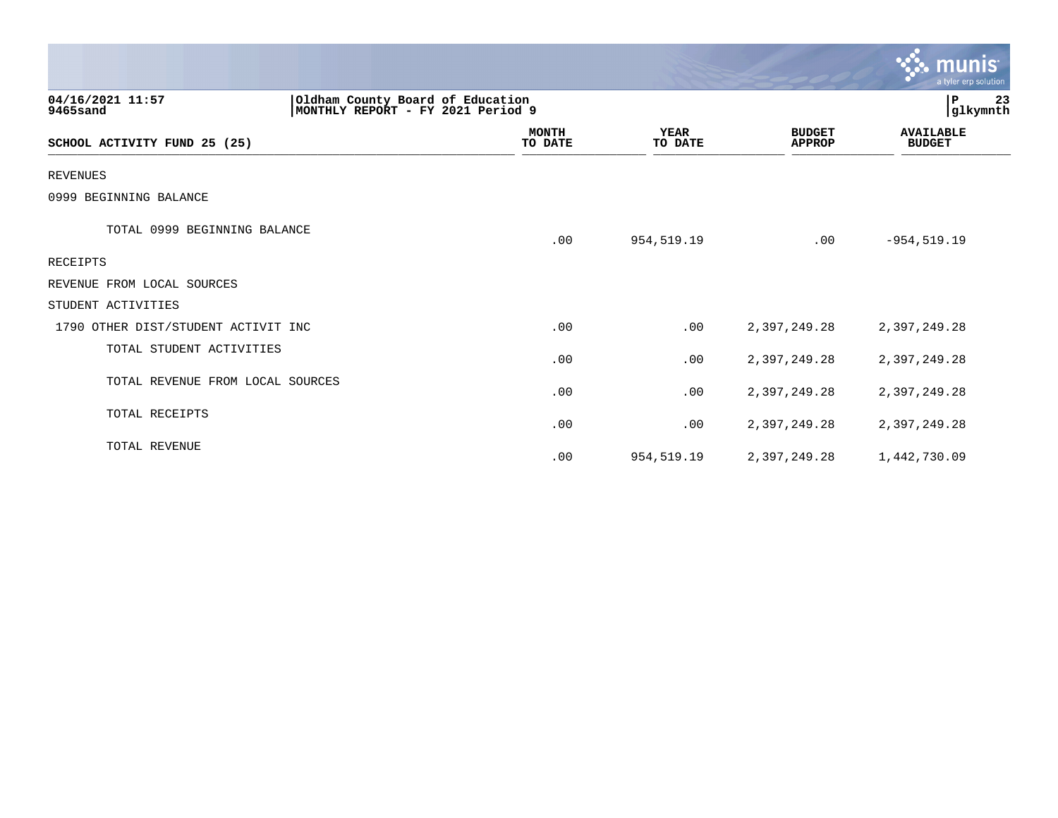|                                     |                                                                        |                        |                                | $\sim$ munis<br>a tyler erp solution |
|-------------------------------------|------------------------------------------------------------------------|------------------------|--------------------------------|--------------------------------------|
| 04/16/2021 11:57<br>9465sand        | Oldham County Board of Education<br> MONTHLY REPORT - FY 2021 Period 9 |                        |                                | 23<br>l P<br> glkymnth               |
| SCHOOL ACTIVITY FUND 25 (25)        | <b>MONTH</b><br>TO DATE                                                | <b>YEAR</b><br>TO DATE | <b>BUDGET</b><br><b>APPROP</b> | <b>AVAILABLE</b><br><b>BUDGET</b>    |
| <b>REVENUES</b>                     |                                                                        |                        |                                |                                      |
| 0999 BEGINNING BALANCE              |                                                                        |                        |                                |                                      |
| TOTAL 0999 BEGINNING BALANCE        | .00                                                                    | 954,519.19             | .00                            | $-954, 519.19$                       |
| RECEIPTS                            |                                                                        |                        |                                |                                      |
| REVENUE FROM LOCAL SOURCES          |                                                                        |                        |                                |                                      |
| STUDENT ACTIVITIES                  |                                                                        |                        |                                |                                      |
| 1790 OTHER DIST/STUDENT ACTIVIT INC | .00                                                                    | .00                    | 2,397,249.28                   | 2,397,249.28                         |
| TOTAL STUDENT ACTIVITIES            | .00                                                                    | .00                    | 2,397,249.28                   | 2,397,249.28                         |
| TOTAL REVENUE FROM LOCAL SOURCES    | .00                                                                    | .00                    | 2,397,249.28                   | 2,397,249.28                         |
| TOTAL RECEIPTS                      | .00                                                                    | .00                    | 2,397,249.28                   | 2,397,249.28                         |
| <b>TOTAL REVENUE</b>                | .00                                                                    | 954,519.19             | 2,397,249.28                   | 1,442,730.09                         |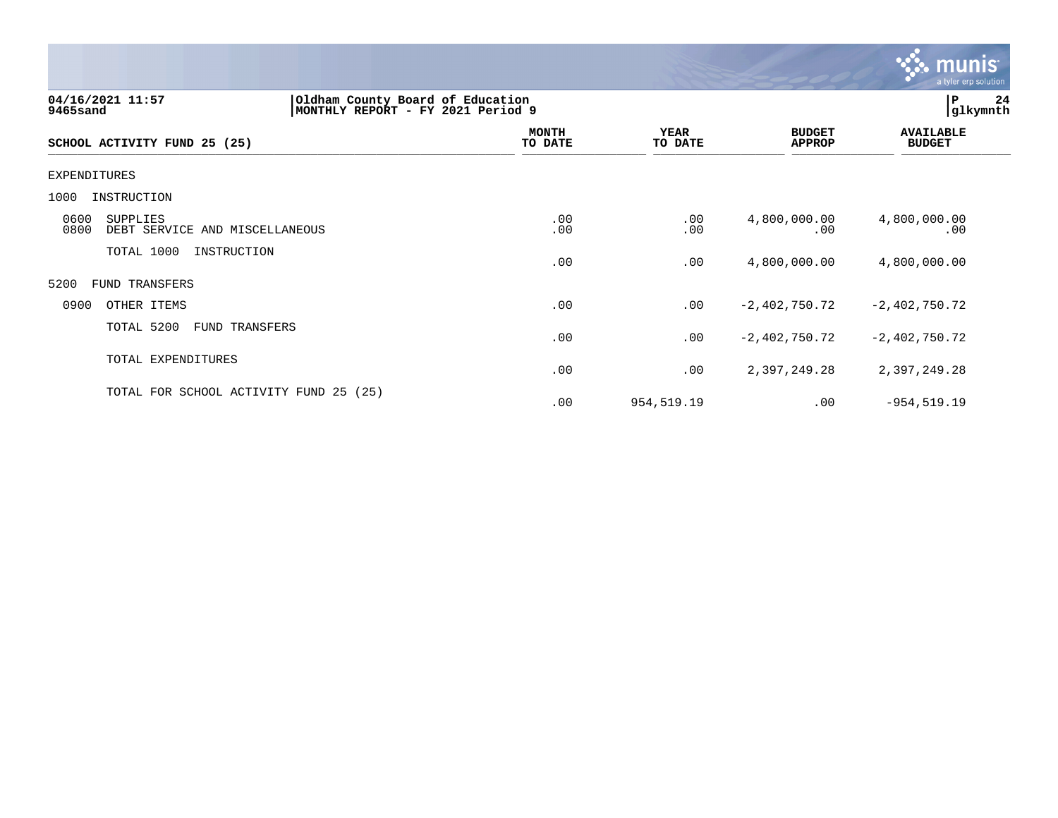

| 04/16/2021 11:57<br>9465sand                               | Oldham County Board of Education<br>MONTHLY REPORT - FY 2021 Period 9 |                         |                        |                                | 24<br>P<br>glkymnth               |
|------------------------------------------------------------|-----------------------------------------------------------------------|-------------------------|------------------------|--------------------------------|-----------------------------------|
| SCHOOL ACTIVITY FUND 25 (25)                               |                                                                       | <b>MONTH</b><br>TO DATE | <b>YEAR</b><br>TO DATE | <b>BUDGET</b><br><b>APPROP</b> | <b>AVAILABLE</b><br><b>BUDGET</b> |
| EXPENDITURES                                               |                                                                       |                         |                        |                                |                                   |
| 1000<br>INSTRUCTION                                        |                                                                       |                         |                        |                                |                                   |
| 0600<br>SUPPLIES<br>0800<br>DEBT SERVICE AND MISCELLANEOUS |                                                                       | .00<br>.00              | .00<br>.00             | 4,800,000.00<br>.00            | 4,800,000.00<br>.00               |
| TOTAL 1000<br>INSTRUCTION                                  |                                                                       | .00                     | .00                    | 4,800,000.00                   | 4,800,000.00                      |
| 5200<br>FUND TRANSFERS                                     |                                                                       |                         |                        |                                |                                   |
| 0900<br>OTHER ITEMS                                        |                                                                       | .00                     | .00                    | $-2,402,750.72$                | $-2,402,750.72$                   |
| TOTAL 5200<br>FUND TRANSFERS                               |                                                                       | .00                     | .00                    | $-2,402,750.72$                | $-2,402,750.72$                   |
| TOTAL EXPENDITURES                                         |                                                                       | .00                     | .00                    | 2,397,249.28                   | 2,397,249.28                      |
| TOTAL FOR SCHOOL ACTIVITY FUND 25 (25)                     |                                                                       | .00                     | 954,519.19             | .00                            | $-954, 519.19$                    |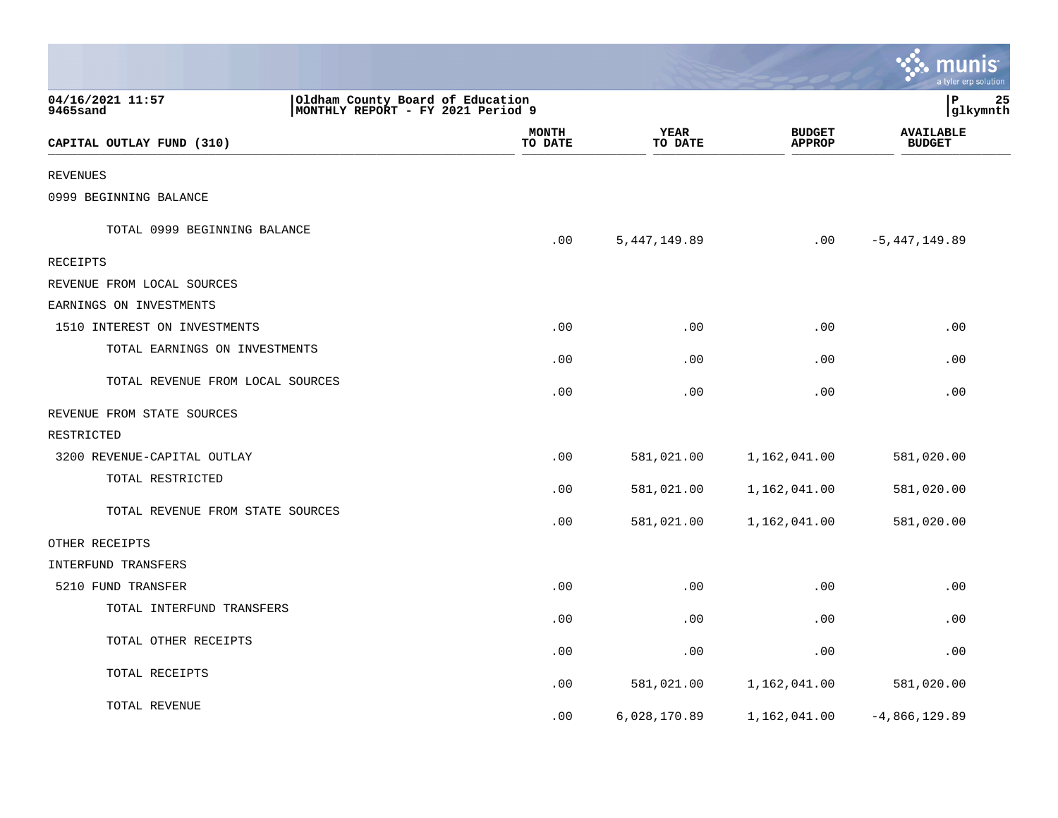|                                  |                                                                                               |                        |                                | munis<br>a tyler erp solution     |  |
|----------------------------------|-----------------------------------------------------------------------------------------------|------------------------|--------------------------------|-----------------------------------|--|
| 04/16/2021 11:57<br>9465sand     | Oldham County Board of Education<br>P<br>25<br>MONTHLY REPORT - FY 2021 Period 9<br> glkymnth |                        |                                |                                   |  |
| CAPITAL OUTLAY FUND (310)        | <b>MONTH</b><br>TO DATE                                                                       | <b>YEAR</b><br>TO DATE | <b>BUDGET</b><br><b>APPROP</b> | <b>AVAILABLE</b><br><b>BUDGET</b> |  |
|                                  |                                                                                               |                        |                                |                                   |  |
| <b>REVENUES</b>                  |                                                                                               |                        |                                |                                   |  |
| 0999 BEGINNING BALANCE           |                                                                                               |                        |                                |                                   |  |
| TOTAL 0999 BEGINNING BALANCE     | .00                                                                                           | 5, 447, 149.89         | .00                            | -5,447,149.89                     |  |
| <b>RECEIPTS</b>                  |                                                                                               |                        |                                |                                   |  |
| REVENUE FROM LOCAL SOURCES       |                                                                                               |                        |                                |                                   |  |
| EARNINGS ON INVESTMENTS          |                                                                                               |                        |                                |                                   |  |
| 1510 INTEREST ON INVESTMENTS     | .00                                                                                           | .00                    | .00                            | .00                               |  |
| TOTAL EARNINGS ON INVESTMENTS    | .00                                                                                           | .00                    | .00                            | .00                               |  |
| TOTAL REVENUE FROM LOCAL SOURCES | .00                                                                                           | .00                    | .00                            | .00                               |  |
| REVENUE FROM STATE SOURCES       |                                                                                               |                        |                                |                                   |  |
| RESTRICTED                       |                                                                                               |                        |                                |                                   |  |
| 3200 REVENUE-CAPITAL OUTLAY      | .00                                                                                           | 581,021.00             | 1,162,041.00                   | 581,020.00                        |  |
| TOTAL RESTRICTED                 | .00                                                                                           | 581,021.00             | 1,162,041.00                   | 581,020.00                        |  |
| TOTAL REVENUE FROM STATE SOURCES | .00                                                                                           | 581,021.00             | 1,162,041.00                   | 581,020.00                        |  |
| OTHER RECEIPTS                   |                                                                                               |                        |                                |                                   |  |
| INTERFUND TRANSFERS              |                                                                                               |                        |                                |                                   |  |
| 5210 FUND TRANSFER               | .00                                                                                           | .00                    | .00                            | .00                               |  |
| TOTAL INTERFUND TRANSFERS        | .00                                                                                           | .00                    | .00                            | .00                               |  |
| TOTAL OTHER RECEIPTS             | .00                                                                                           | .00                    | .00                            | .00                               |  |
| TOTAL RECEIPTS                   | .00                                                                                           | 581,021.00             | 1,162,041.00                   | 581,020.00                        |  |
| TOTAL REVENUE                    | .00                                                                                           | 6,028,170.89           | 1,162,041.00                   | $-4,866,129.89$                   |  |

**Contract**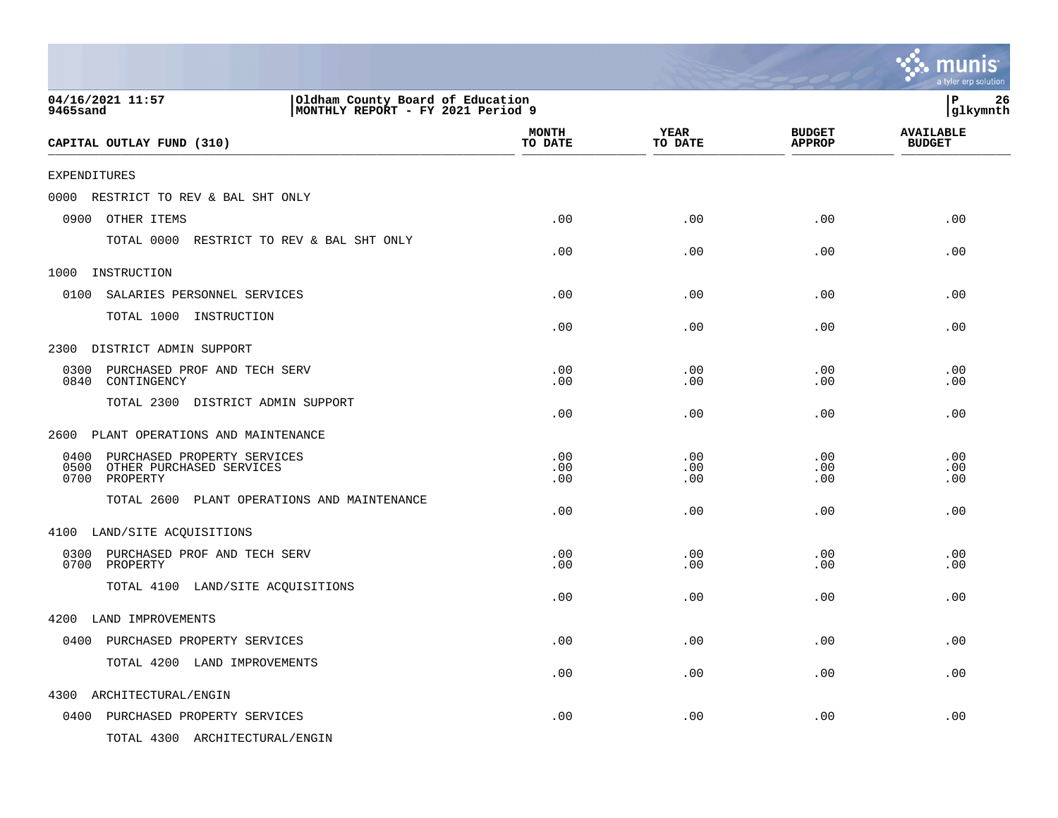|                                                                                                       |                         |                        |                                | munis<br>a tyler erp solution     |
|-------------------------------------------------------------------------------------------------------|-------------------------|------------------------|--------------------------------|-----------------------------------|
| 04/16/2021 11:57<br>Oldham County Board of Education<br>MONTHLY REPORT - FY 2021 Period 9<br>9465sand |                         |                        |                                | $\, {\bf P}$<br>26<br>glkymnth    |
| CAPITAL OUTLAY FUND (310)                                                                             | <b>MONTH</b><br>TO DATE | <b>YEAR</b><br>TO DATE | <b>BUDGET</b><br><b>APPROP</b> | <b>AVAILABLE</b><br><b>BUDGET</b> |
| <b>EXPENDITURES</b>                                                                                   |                         |                        |                                |                                   |
| 0000<br>RESTRICT TO REV & BAL SHT ONLY                                                                |                         |                        |                                |                                   |
| 0900<br>OTHER ITEMS                                                                                   | .00                     | .00                    | .00                            | .00                               |
| TOTAL 0000 RESTRICT TO REV & BAL SHT ONLY                                                             | .00                     | .00                    | .00                            | .00                               |
| 1000<br>INSTRUCTION                                                                                   |                         |                        |                                |                                   |
| 0100<br>SALARIES PERSONNEL SERVICES                                                                   | .00                     | .00                    | .00                            | .00                               |
| TOTAL 1000 INSTRUCTION                                                                                | .00                     | .00                    | .00                            | .00                               |
| DISTRICT ADMIN SUPPORT<br>2300                                                                        |                         |                        |                                |                                   |
| 0300<br>PURCHASED PROF AND TECH SERV<br>0840<br>CONTINGENCY                                           | .00<br>.00              | .00<br>.00             | .00<br>.00                     | .00<br>.00                        |
| TOTAL 2300 DISTRICT ADMIN SUPPORT                                                                     | .00                     | .00                    | .00                            | .00                               |
| PLANT OPERATIONS AND MAINTENANCE<br>2600                                                              |                         |                        |                                |                                   |
| 0400<br>PURCHASED PROPERTY SERVICES<br>0500<br>OTHER PURCHASED SERVICES<br>0700<br>PROPERTY           | .00<br>.00<br>.00       | .00<br>.00<br>.00      | .00<br>.00<br>.00              | .00<br>.00<br>.00                 |
| TOTAL 2600 PLANT OPERATIONS AND MAINTENANCE                                                           | .00                     | .00                    | .00                            | .00                               |
| 4100 LAND/SITE ACQUISITIONS                                                                           |                         |                        |                                |                                   |
| 0300<br>PURCHASED PROF AND TECH SERV<br>0700<br>PROPERTY                                              | .00<br>.00              | .00<br>.00             | .00<br>.00                     | .00<br>.00                        |
| TOTAL 4100 LAND/SITE ACQUISITIONS                                                                     | .00                     | .00                    | .00                            | .00                               |
| 4200 LAND IMPROVEMENTS                                                                                |                         |                        |                                |                                   |
| 0400 PURCHASED PROPERTY SERVICES                                                                      | .00                     | .00                    | .00                            | .00                               |
| TOTAL 4200 LAND IMPROVEMENTS                                                                          | .00                     | .00                    | .00                            | .00                               |
| 4300<br>ARCHITECTURAL/ENGIN                                                                           |                         |                        |                                |                                   |
| 0400 PURCHASED PROPERTY SERVICES                                                                      | .00                     | .00                    | .00                            | .00                               |
| TOTAL 4300 ARCHITECTURAL/ENGIN                                                                        |                         |                        |                                |                                   |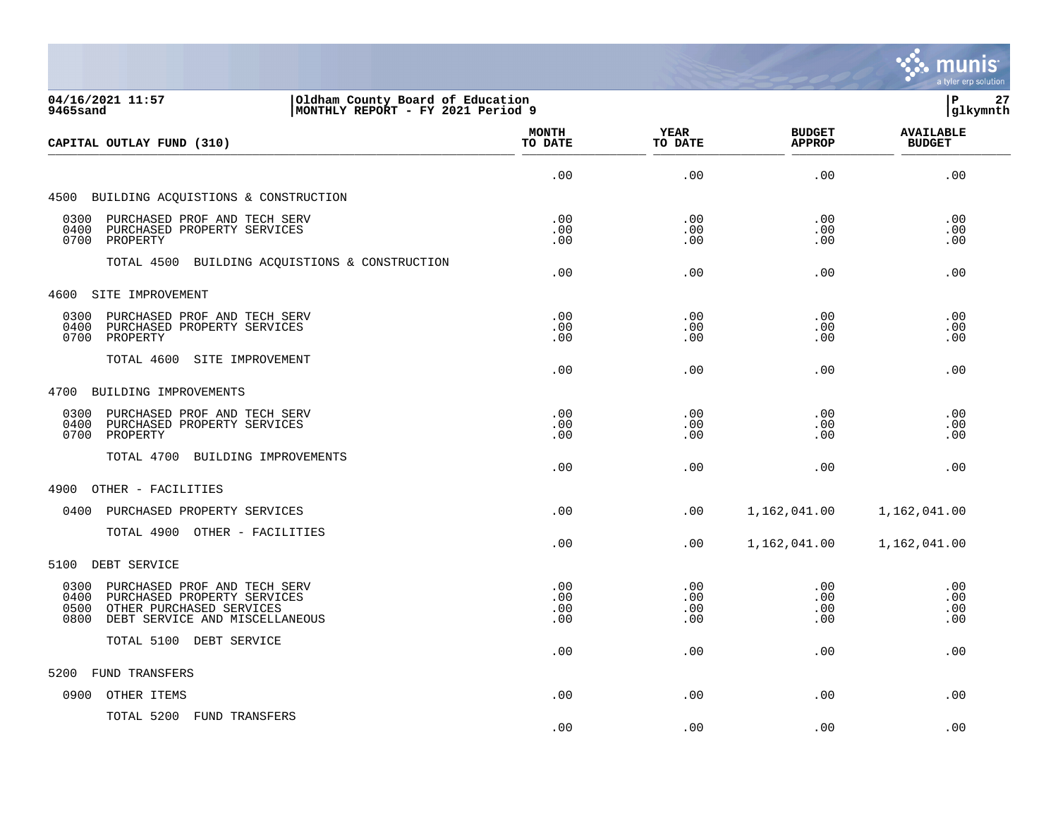

| 04/16/2021 11:57<br>Oldham County Board of Education<br>MONTHLY REPORT - FY 2021 Period 9<br>9465sand                                                     |                          |                          |                                | lР<br>27<br> glkymnth             |
|-----------------------------------------------------------------------------------------------------------------------------------------------------------|--------------------------|--------------------------|--------------------------------|-----------------------------------|
| CAPITAL OUTLAY FUND (310)                                                                                                                                 | <b>MONTH</b><br>TO DATE  | YEAR<br>TO DATE          | <b>BUDGET</b><br><b>APPROP</b> | <b>AVAILABLE</b><br><b>BUDGET</b> |
|                                                                                                                                                           | .00                      | .00                      | .00                            | .00                               |
| 4500 BUILDING ACQUISTIONS & CONSTRUCTION                                                                                                                  |                          |                          |                                |                                   |
| 0300<br>PURCHASED PROF AND TECH SERV<br>0400<br>PURCHASED PROPERTY SERVICES<br>0700<br>PROPERTY                                                           | .00<br>.00<br>.00        | .00<br>.00<br>.00        | .00<br>.00<br>.00              | .00<br>.00<br>.00                 |
| TOTAL 4500 BUILDING ACQUISTIONS & CONSTRUCTION                                                                                                            | .00                      | .00                      | .00                            | .00                               |
| 4600 SITE IMPROVEMENT                                                                                                                                     |                          |                          |                                |                                   |
| 0300<br>PURCHASED PROF AND TECH SERV<br>0400<br>PURCHASED PROPERTY SERVICES<br>0700<br>PROPERTY                                                           | .00<br>.00<br>.00        | .00<br>.00<br>.00        | .00<br>.00<br>.00              | .00<br>.00<br>.00                 |
| TOTAL 4600<br>SITE IMPROVEMENT                                                                                                                            | .00                      | .00                      | .00                            | .00                               |
| 4700<br>BUILDING IMPROVEMENTS                                                                                                                             |                          |                          |                                |                                   |
| 0300<br>PURCHASED PROF AND TECH SERV<br>0400<br>PURCHASED PROPERTY SERVICES<br>0700<br>PROPERTY                                                           | .00<br>.00<br>.00        | .00<br>.00<br>.00        | .00<br>.00<br>.00              | .00<br>.00<br>.00                 |
| TOTAL 4700 BUILDING IMPROVEMENTS                                                                                                                          | .00                      | .00                      | .00                            | .00                               |
| 4900<br>OTHER - FACILITIES                                                                                                                                |                          |                          |                                |                                   |
| 0400<br>PURCHASED PROPERTY SERVICES                                                                                                                       | .00                      | .00                      | 1,162,041.00                   | 1,162,041.00                      |
| TOTAL 4900 OTHER - FACILITIES                                                                                                                             | .00                      | .00                      | 1,162,041.00                   | 1,162,041.00                      |
| DEBT SERVICE<br>5100                                                                                                                                      |                          |                          |                                |                                   |
| 0300<br>PURCHASED PROF AND TECH SERV<br>0400<br>PURCHASED PROPERTY SERVICES<br>0500<br>OTHER PURCHASED SERVICES<br>0800<br>DEBT SERVICE AND MISCELLANEOUS | .00<br>.00<br>.00<br>.00 | .00<br>.00<br>.00<br>.00 | .00<br>.00<br>.00<br>.00       | .00<br>.00<br>.00<br>.00          |
| TOTAL 5100 DEBT SERVICE                                                                                                                                   | .00                      | .00                      | .00                            | .00                               |
| FUND TRANSFERS<br>5200                                                                                                                                    |                          |                          |                                |                                   |
| OTHER ITEMS<br>0900                                                                                                                                       | .00                      | .00                      | .00                            | .00                               |
| TOTAL 5200 FUND TRANSFERS                                                                                                                                 | .00                      | .00                      | .00                            | .00                               |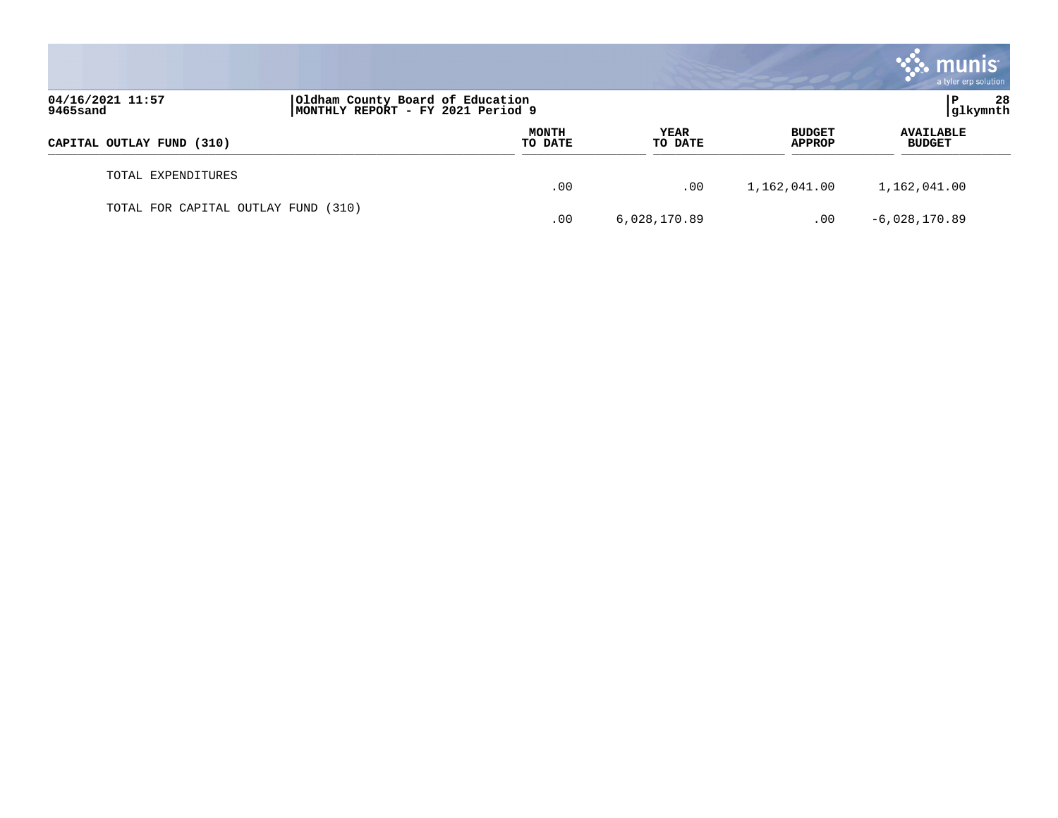|                                     |                                                                       |                         |                        |                                | munis <sup>®</sup><br>a tyler erp solution |
|-------------------------------------|-----------------------------------------------------------------------|-------------------------|------------------------|--------------------------------|--------------------------------------------|
| 04/16/2021 11:57<br>9465sand        | Oldham County Board of Education<br>MONTHLY REPORT - FY 2021 Period 9 |                         |                        |                                | 28<br> glkymnth                            |
| CAPITAL OUTLAY FUND (310)           |                                                                       | <b>MONTH</b><br>TO DATE | <b>YEAR</b><br>TO DATE | <b>BUDGET</b><br><b>APPROP</b> | <b>AVAILABLE</b><br><b>BUDGET</b>          |
| TOTAL EXPENDITURES                  |                                                                       | .00                     | .00                    | 1,162,041.00                   | 1,162,041.00                               |
| TOTAL FOR CAPITAL OUTLAY FUND (310) |                                                                       | .00                     | 6,028,170.89           | .00                            | $-6,028,170.89$                            |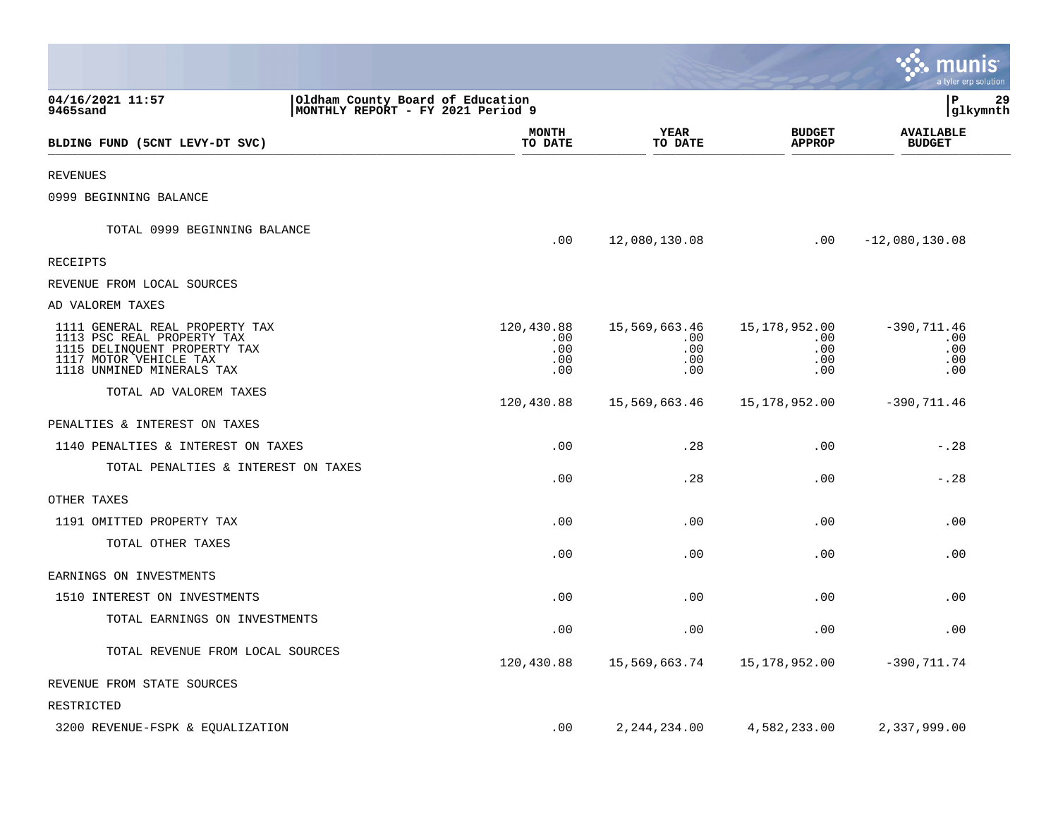|                                                                                                                                                     |                                                                        |                                         |                                           |                                           | munis<br>a tyler erp solution              |
|-----------------------------------------------------------------------------------------------------------------------------------------------------|------------------------------------------------------------------------|-----------------------------------------|-------------------------------------------|-------------------------------------------|--------------------------------------------|
| 04/16/2021 11:57<br>9465sand                                                                                                                        | Oldham County Board of Education<br> MONTHLY REPORT - FY 2021 Period 9 |                                         |                                           |                                           | P<br>29<br> glkymnth                       |
| BLDING FUND (5CNT LEVY-DT SVC)                                                                                                                      |                                                                        | MONTH<br>TO DATE                        | <b>YEAR</b><br>TO DATE                    | <b>BUDGET</b><br><b>APPROP</b>            | <b>AVAILABLE</b><br><b>BUDGET</b>          |
| REVENUES                                                                                                                                            |                                                                        |                                         |                                           |                                           |                                            |
| 0999 BEGINNING BALANCE                                                                                                                              |                                                                        |                                         |                                           |                                           |                                            |
| TOTAL 0999 BEGINNING BALANCE                                                                                                                        |                                                                        | .00                                     | 12,080,130.08                             | .00                                       | $-12,080,130.08$                           |
| RECEIPTS                                                                                                                                            |                                                                        |                                         |                                           |                                           |                                            |
| REVENUE FROM LOCAL SOURCES                                                                                                                          |                                                                        |                                         |                                           |                                           |                                            |
| AD VALOREM TAXES                                                                                                                                    |                                                                        |                                         |                                           |                                           |                                            |
| 1111 GENERAL REAL PROPERTY TAX<br>1113 PSC REAL PROPERTY TAX<br>1115 DELINQUENT PROPERTY TAX<br>1117 MOTOR VEHICLE TAX<br>1118 UNMINED MINERALS TAX |                                                                        | 120,430.88<br>.00.<br>.00<br>.00<br>.00 | 15,569,663.46<br>.00<br>.00<br>.00<br>.00 | 15,178,952.00<br>.00<br>.00<br>.00<br>.00 | $-390, 711.46$<br>.00<br>.00<br>.00<br>.00 |
| TOTAL AD VALOREM TAXES                                                                                                                              |                                                                        | 120,430.88                              | 15,569,663.46                             | 15,178,952.00                             | $-390, 711.46$                             |
| PENALTIES & INTEREST ON TAXES                                                                                                                       |                                                                        |                                         |                                           |                                           |                                            |
| 1140 PENALTIES & INTEREST ON TAXES                                                                                                                  |                                                                        | .00                                     | .28                                       | .00                                       | $-0.28$                                    |
| TOTAL PENALTIES & INTEREST ON TAXES                                                                                                                 |                                                                        | .00                                     | .28                                       | .00                                       | $-.28$                                     |
| OTHER TAXES                                                                                                                                         |                                                                        |                                         |                                           |                                           |                                            |
| 1191 OMITTED PROPERTY TAX                                                                                                                           |                                                                        | .00                                     | .00                                       | .00                                       | .00                                        |
| TOTAL OTHER TAXES                                                                                                                                   |                                                                        | .00                                     | .00                                       | .00                                       | .00                                        |
| EARNINGS ON INVESTMENTS                                                                                                                             |                                                                        |                                         |                                           |                                           |                                            |
| 1510 INTEREST ON INVESTMENTS                                                                                                                        |                                                                        | .00                                     | .00                                       | .00                                       | .00                                        |
| TOTAL EARNINGS ON INVESTMENTS                                                                                                                       |                                                                        | .00                                     | .00                                       | .00                                       | .00                                        |
| TOTAL REVENUE FROM LOCAL SOURCES                                                                                                                    |                                                                        | 120,430.88                              | 15,569,663.74                             | 15,178,952.00                             | $-390, 711.74$                             |
| REVENUE FROM STATE SOURCES                                                                                                                          |                                                                        |                                         |                                           |                                           |                                            |
| RESTRICTED                                                                                                                                          |                                                                        |                                         |                                           |                                           |                                            |
| 3200 REVENUE-FSPK & EQUALIZATION                                                                                                                    |                                                                        | .00                                     | 2, 244, 234.00                            | 4,582,233.00                              | 2,337,999.00                               |

**College**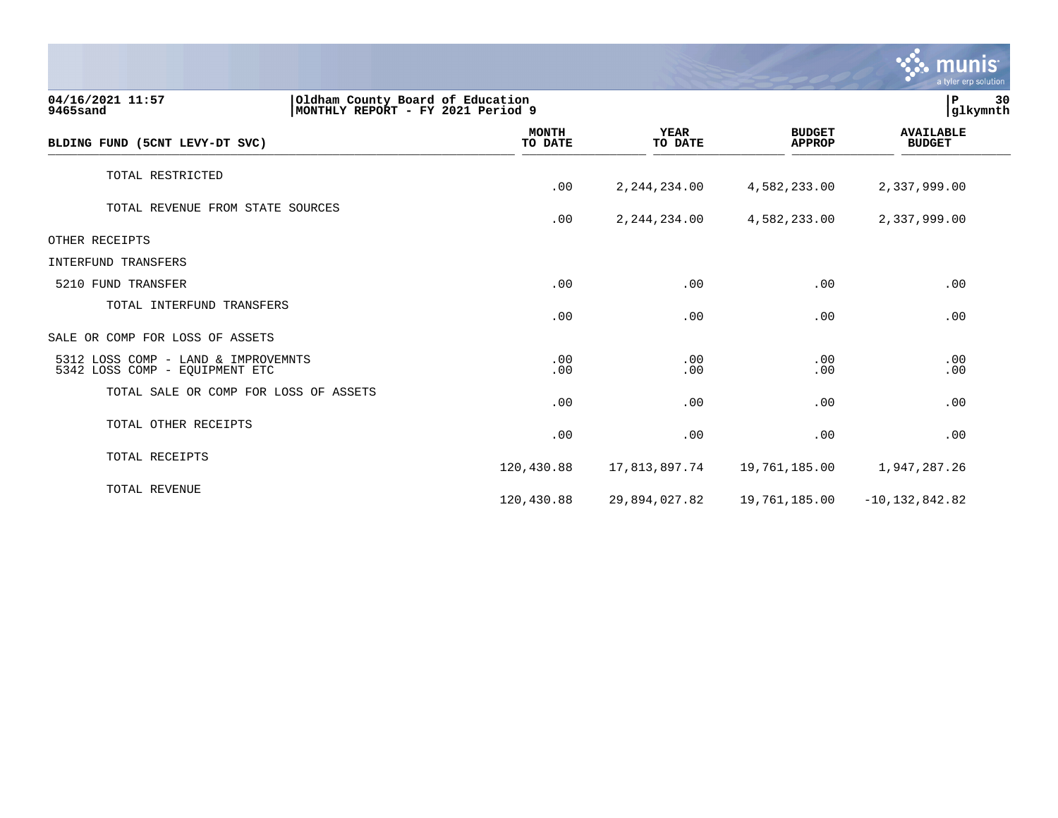|                                                                                                       |                         |                        |                                | munis<br>a tyler erp solution     |    |
|-------------------------------------------------------------------------------------------------------|-------------------------|------------------------|--------------------------------|-----------------------------------|----|
| 04/16/2021 11:57<br>Oldham County Board of Education<br>9465sand<br>MONTHLY REPORT - FY 2021 Period 9 |                         |                        |                                | P<br>glkymnth                     | 30 |
| BLDING FUND (5CNT LEVY-DT SVC)                                                                        | <b>MONTH</b><br>TO DATE | <b>YEAR</b><br>TO DATE | <b>BUDGET</b><br><b>APPROP</b> | <b>AVAILABLE</b><br><b>BUDGET</b> |    |
| TOTAL RESTRICTED                                                                                      | .00                     | 2, 244, 234.00         | 4,582,233.00                   | 2,337,999.00                      |    |
| TOTAL REVENUE FROM STATE SOURCES                                                                      | .00                     | 2, 244, 234.00         | 4,582,233.00                   | 2,337,999.00                      |    |
| OTHER RECEIPTS                                                                                        |                         |                        |                                |                                   |    |
| INTERFUND TRANSFERS                                                                                   |                         |                        |                                |                                   |    |
| 5210 FUND TRANSFER                                                                                    | .00                     | .00                    | .00                            | .00                               |    |
| TOTAL INTERFUND TRANSFERS                                                                             | .00                     | .00                    | .00                            | .00                               |    |
| SALE OR COMP FOR LOSS OF ASSETS                                                                       |                         |                        |                                |                                   |    |
| 5312 LOSS COMP - LAND & IMPROVEMNTS<br>5342 LOSS COMP - EQUIPMENT ETC                                 | .00<br>.00              | .00<br>.00             | .00<br>.00                     | .00<br>.00                        |    |
| TOTAL SALE OR COMP FOR LOSS OF ASSETS                                                                 | .00                     | .00                    | .00                            | .00                               |    |
| TOTAL OTHER RECEIPTS                                                                                  | .00                     | .00                    | .00                            | .00                               |    |
| TOTAL RECEIPTS                                                                                        | 120,430.88              | 17,813,897.74          | 19,761,185.00                  | 1,947,287.26                      |    |
| TOTAL REVENUE                                                                                         | 120,430.88              | 29,894,027.82          | 19,761,185.00                  | $-10, 132, 842.82$                |    |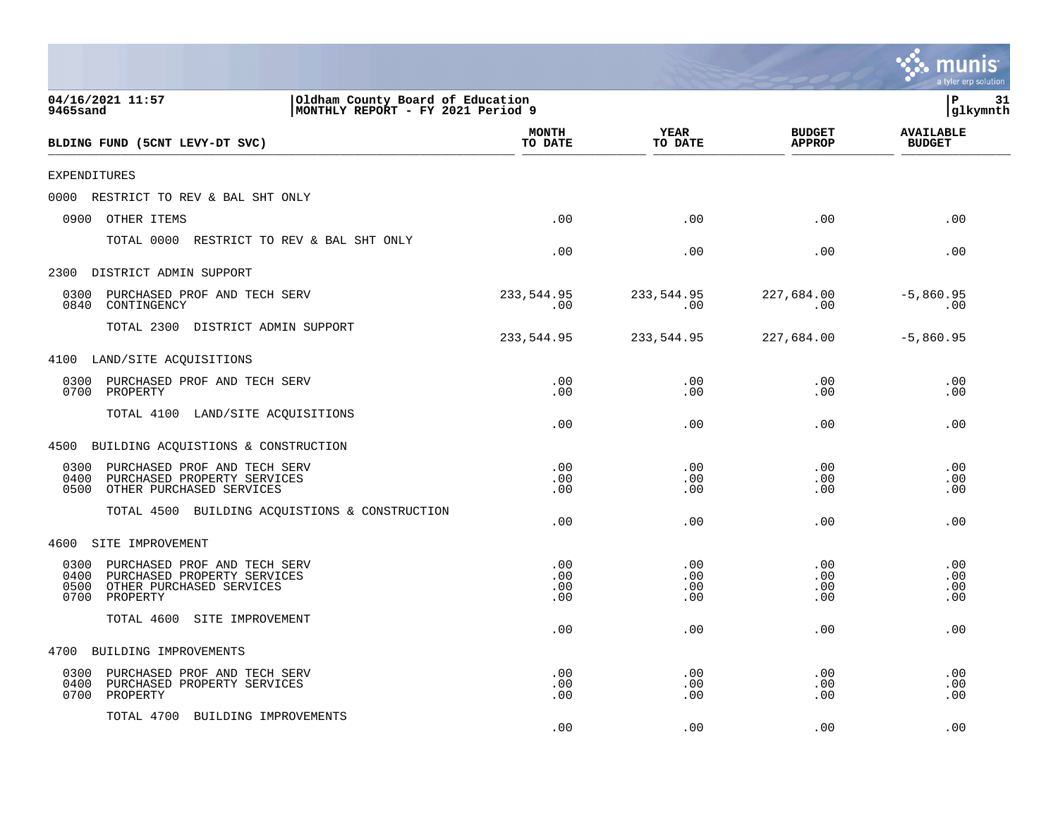|                                                                                                                                     |                          |                          |                                | mun<br>a tyler erp solution       |
|-------------------------------------------------------------------------------------------------------------------------------------|--------------------------|--------------------------|--------------------------------|-----------------------------------|
| 04/16/2021 11:57<br>Oldham County Board of Education<br>9465sand<br>MONTHLY REPORT - FY 2021 Period 9                               |                          |                          |                                | l P<br>31<br>glkymnth             |
| BLDING FUND (5CNT LEVY-DT SVC)                                                                                                      | <b>MONTH</b><br>TO DATE  | <b>YEAR</b><br>TO DATE   | <b>BUDGET</b><br><b>APPROP</b> | <b>AVAILABLE</b><br><b>BUDGET</b> |
| EXPENDITURES                                                                                                                        |                          |                          |                                |                                   |
| RESTRICT TO REV & BAL SHT ONLY<br>0000                                                                                              |                          |                          |                                |                                   |
| 0900<br>OTHER ITEMS                                                                                                                 | .00                      | .00                      | .00                            | .00                               |
| TOTAL 0000<br>RESTRICT TO REV & BAL SHT ONLY                                                                                        | .00                      | .00                      | .00                            | .00                               |
| 2300 DISTRICT ADMIN SUPPORT                                                                                                         |                          |                          |                                |                                   |
| PURCHASED PROF AND TECH SERV<br>0300<br>0840<br>CONTINGENCY                                                                         | 233,544.95<br>.00        | 233,544.95<br>.00        | 227,684.00<br>.00              | $-5,860.95$<br>.00                |
| TOTAL 2300<br>DISTRICT ADMIN SUPPORT                                                                                                | 233,544.95               | 233,544.95               | 227,684.00                     | $-5,860.95$                       |
| 4100<br>LAND/SITE ACQUISITIONS                                                                                                      |                          |                          |                                |                                   |
| PURCHASED PROF AND TECH SERV<br>0300<br>0700<br>PROPERTY                                                                            | .00<br>.00               | .00<br>.00               | .00<br>.00                     | .00<br>.00                        |
| TOTAL 4100<br>LAND/SITE ACQUISITIONS                                                                                                | .00                      | .00                      | .00                            | .00                               |
| 4500 BUILDING ACQUISTIONS & CONSTRUCTION                                                                                            |                          |                          |                                |                                   |
| 0300<br>PURCHASED PROF AND TECH SERV<br>0400<br>PURCHASED PROPERTY SERVICES<br>OTHER PURCHASED SERVICES<br>0500                     | .00<br>.00<br>.00        | .00<br>.00<br>.00        | .00<br>.00<br>.00              | .00<br>.00<br>.00                 |
| TOTAL 4500<br>BUILDING ACQUISTIONS & CONSTRUCTION                                                                                   | .00                      | .00                      | .00                            | .00                               |
| SITE IMPROVEMENT<br>4600                                                                                                            |                          |                          |                                |                                   |
| 0300<br>PURCHASED PROF AND TECH SERV<br>PURCHASED PROPERTY SERVICES<br>0400<br>0500<br>OTHER PURCHASED SERVICES<br>0700<br>PROPERTY | .00<br>.00<br>.00<br>.00 | .00<br>.00<br>.00<br>.00 | .00<br>.00<br>.00<br>.00       | .00<br>.00<br>.00<br>.00          |
| TOTAL 4600<br>SITE IMPROVEMENT                                                                                                      | .00                      | .00                      | .00                            | .00                               |
| 4700<br>BUILDING IMPROVEMENTS                                                                                                       |                          |                          |                                |                                   |
| PURCHASED PROF AND TECH SERV<br>0300<br>0400<br>PURCHASED PROPERTY SERVICES<br>0700<br>PROPERTY                                     | .00<br>.00<br>.00        | .00<br>.00<br>.00        | .00<br>.00<br>.00              | .00<br>.00<br>.00                 |
| TOTAL 4700<br>BUILDING IMPROVEMENTS                                                                                                 | .00                      | .00                      | .00                            | .00                               |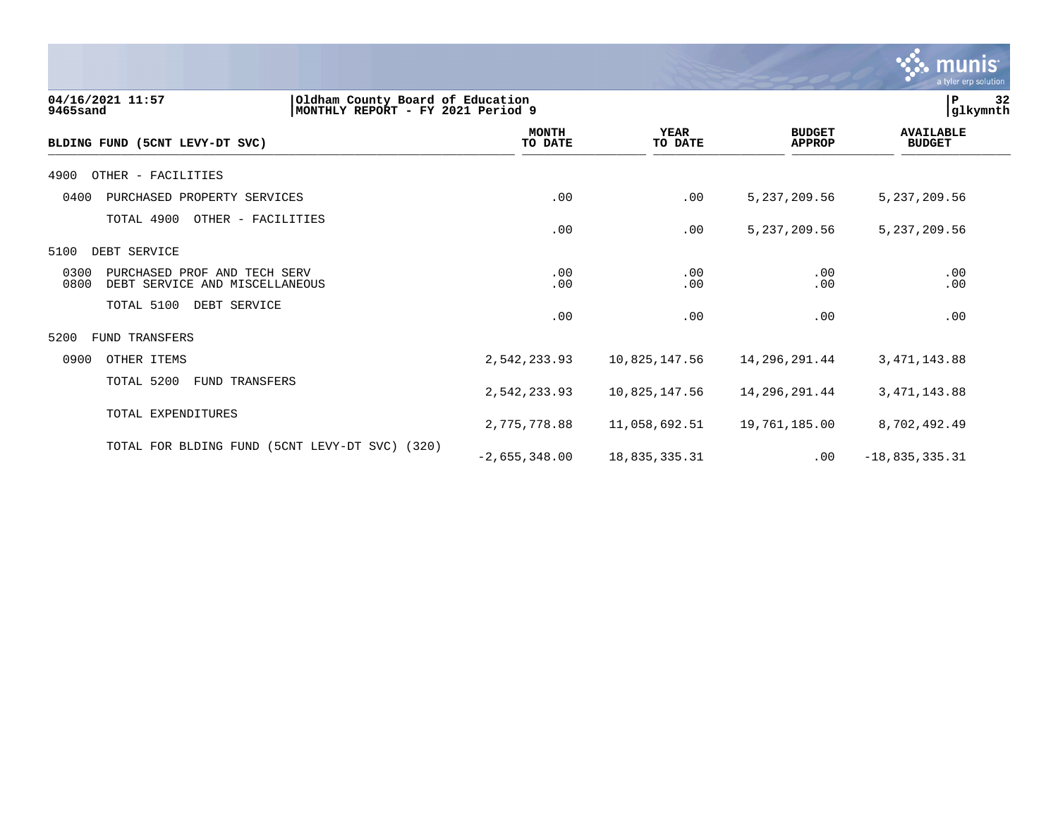

| 04/16/2021 11:57<br>9465sand                                                   | Oldham County Board of Education<br>MONTHLY REPORT - FY 2021 Period 9 |                        |                                | 32<br>P<br>glkymnth               |
|--------------------------------------------------------------------------------|-----------------------------------------------------------------------|------------------------|--------------------------------|-----------------------------------|
| BLDING FUND (5CNT LEVY-DT SVC)                                                 | <b>MONTH</b><br>TO DATE                                               | <b>YEAR</b><br>TO DATE | <b>BUDGET</b><br><b>APPROP</b> | <b>AVAILABLE</b><br><b>BUDGET</b> |
| 4900<br>OTHER - FACILITIES                                                     |                                                                       |                        |                                |                                   |
| 0400<br>PURCHASED PROPERTY SERVICES                                            | .00                                                                   | .00                    | 5, 237, 209.56                 | 5, 237, 209.56                    |
| TOTAL 4900<br>OTHER - FACILITIES                                               | .00                                                                   | .00                    | 5, 237, 209.56                 | 5, 237, 209.56                    |
| 5100<br>DEBT SERVICE                                                           |                                                                       |                        |                                |                                   |
| 0300<br>PURCHASED PROF AND TECH SERV<br>0800<br>DEBT SERVICE AND MISCELLANEOUS | .00<br>.00                                                            | .00<br>.00             | .00<br>.00                     | .00<br>.00                        |
| TOTAL 5100<br>DEBT SERVICE                                                     | .00                                                                   | .00                    | .00                            | .00                               |
| 5200<br><b>FUND TRANSFERS</b>                                                  |                                                                       |                        |                                |                                   |
| 0900<br>OTHER ITEMS                                                            | 2,542,233.93                                                          | 10,825,147.56          | 14,296,291.44                  | 3, 471, 143.88                    |
| TOTAL 5200<br>FUND TRANSFERS                                                   | 2,542,233.93                                                          | 10,825,147.56          | 14,296,291.44                  | 3, 471, 143.88                    |
| TOTAL EXPENDITURES                                                             | 2,775,778.88                                                          | 11,058,692.51          | 19,761,185.00                  | 8,702,492.49                      |
| TOTAL FOR BLDING FUND (5CNT LEVY-DT SVC)                                       | (320)<br>$-2,655,348.00$                                              | 18,835,335.31          | $.00 \,$                       | $-18,835,335.31$                  |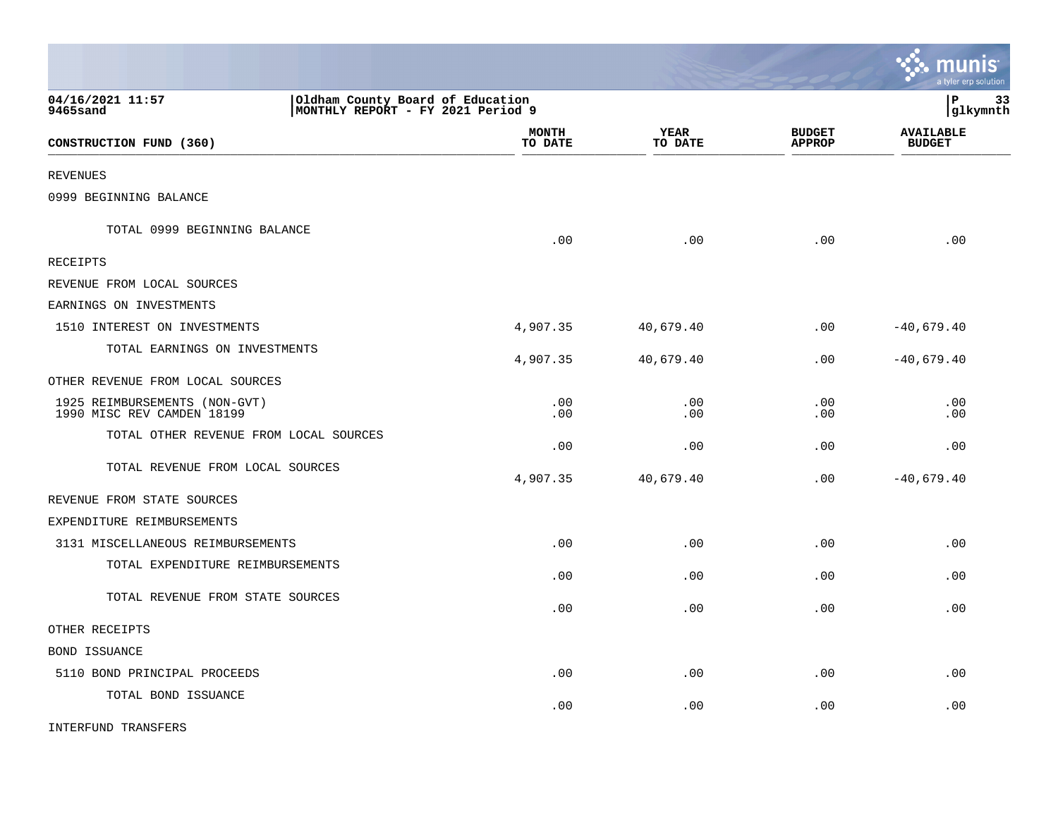|                                                             |                                                                       |                         |                        |                                | munis<br>a tyler erp solution     |
|-------------------------------------------------------------|-----------------------------------------------------------------------|-------------------------|------------------------|--------------------------------|-----------------------------------|
| 04/16/2021 11:57<br>9465sand                                | Oldham County Board of Education<br>MONTHLY REPORT - FY 2021 Period 9 |                         |                        |                                | P<br>33<br>glkymnth               |
| CONSTRUCTION FUND (360)                                     |                                                                       | <b>MONTH</b><br>TO DATE | <b>YEAR</b><br>TO DATE | <b>BUDGET</b><br><b>APPROP</b> | <b>AVAILABLE</b><br><b>BUDGET</b> |
| REVENUES                                                    |                                                                       |                         |                        |                                |                                   |
| 0999 BEGINNING BALANCE                                      |                                                                       |                         |                        |                                |                                   |
| TOTAL 0999 BEGINNING BALANCE                                |                                                                       | .00                     | .00                    | .00                            | .00                               |
| <b>RECEIPTS</b>                                             |                                                                       |                         |                        |                                |                                   |
| REVENUE FROM LOCAL SOURCES                                  |                                                                       |                         |                        |                                |                                   |
| EARNINGS ON INVESTMENTS                                     |                                                                       |                         |                        |                                |                                   |
| 1510 INTEREST ON INVESTMENTS                                |                                                                       | 4,907.35                | 40,679.40              | .00                            | $-40,679.40$                      |
| TOTAL EARNINGS ON INVESTMENTS                               |                                                                       | 4,907.35                | 40,679.40              | .00                            | $-40,679.40$                      |
| OTHER REVENUE FROM LOCAL SOURCES                            |                                                                       |                         |                        |                                |                                   |
| 1925 REIMBURSEMENTS (NON-GVT)<br>1990 MISC REV CAMDEN 18199 |                                                                       | .00<br>.00              | .00<br>.00             | .00<br>.00                     | .00<br>.00                        |
| TOTAL OTHER REVENUE FROM LOCAL SOURCES                      |                                                                       | .00                     | .00                    | .00                            | .00                               |
| TOTAL REVENUE FROM LOCAL SOURCES                            |                                                                       | 4,907.35                | 40,679.40              | .00                            | $-40,679.40$                      |
| REVENUE FROM STATE SOURCES                                  |                                                                       |                         |                        |                                |                                   |
| EXPENDITURE REIMBURSEMENTS                                  |                                                                       |                         |                        |                                |                                   |
| 3131 MISCELLANEOUS REIMBURSEMENTS                           |                                                                       | .00                     | .00                    | .00                            | .00                               |
| TOTAL EXPENDITURE REIMBURSEMENTS                            |                                                                       | .00                     | .00                    | .00                            | .00                               |
| TOTAL REVENUE FROM STATE SOURCES                            |                                                                       | .00                     | .00                    | .00                            | .00                               |
| OTHER RECEIPTS                                              |                                                                       |                         |                        |                                |                                   |
| BOND ISSUANCE                                               |                                                                       |                         |                        |                                |                                   |
| 5110 BOND PRINCIPAL PROCEEDS                                |                                                                       | .00                     | .00                    | .00                            | .00                               |
| TOTAL BOND ISSUANCE                                         |                                                                       | .00                     | .00                    | .00                            | .00                               |
| INTERFUND TRANSFERS                                         |                                                                       |                         |                        |                                |                                   |

 $\mathcal{L}$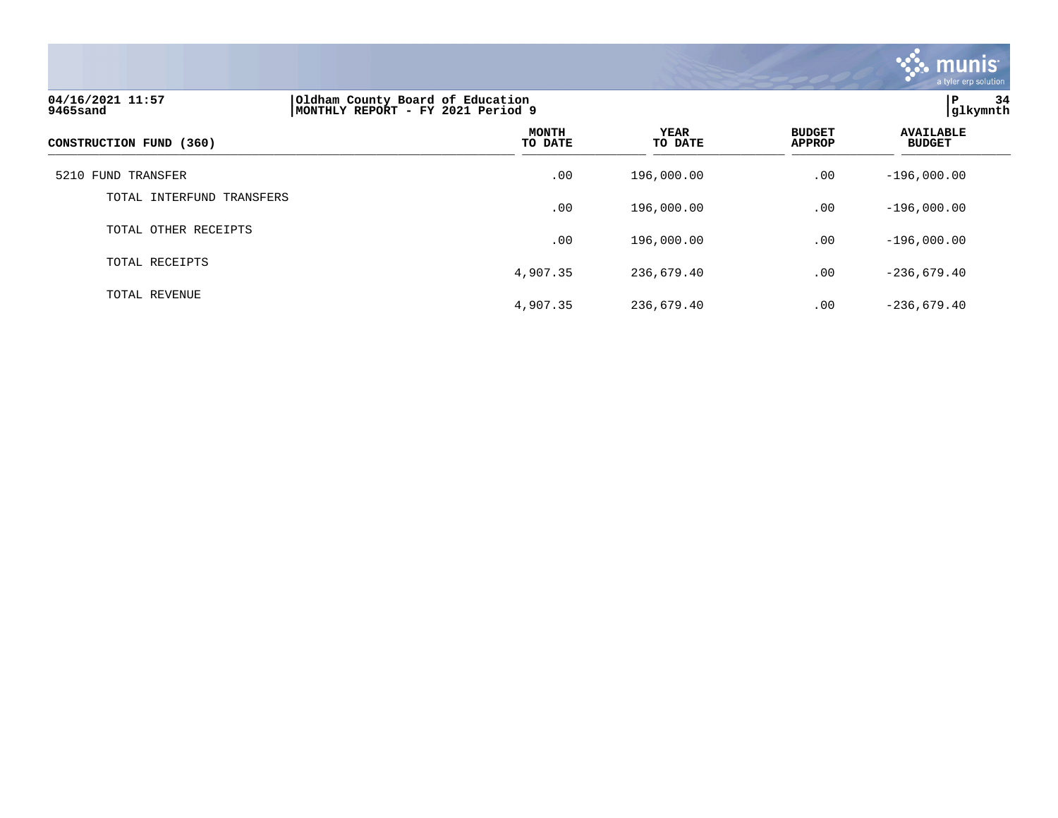

| 04/16/2021 11:57<br>9465sand | Oldham County Board of Education<br>MONTHLY REPORT - FY 2021 Period 9 | 34<br>ΙP<br> glkymnth  |                                |                                   |
|------------------------------|-----------------------------------------------------------------------|------------------------|--------------------------------|-----------------------------------|
| CONSTRUCTION FUND (360)      | MONTH<br>TO DATE                                                      | <b>YEAR</b><br>TO DATE | <b>BUDGET</b><br><b>APPROP</b> | <b>AVAILABLE</b><br><b>BUDGET</b> |
| 5210 FUND TRANSFER           | .00                                                                   | 196,000.00             | .00                            | $-196,000.00$                     |
| TOTAL INTERFUND TRANSFERS    | .00                                                                   | 196,000.00             | .00                            | $-196,000.00$                     |
| TOTAL OTHER RECEIPTS         | .00                                                                   | 196,000.00             | .00                            | $-196,000.00$                     |
| TOTAL RECEIPTS               | 4,907.35                                                              | 236,679.40             | .00                            | $-236,679.40$                     |
| TOTAL REVENUE                | 4,907.35                                                              | 236,679.40             | .00                            | $-236,679.40$                     |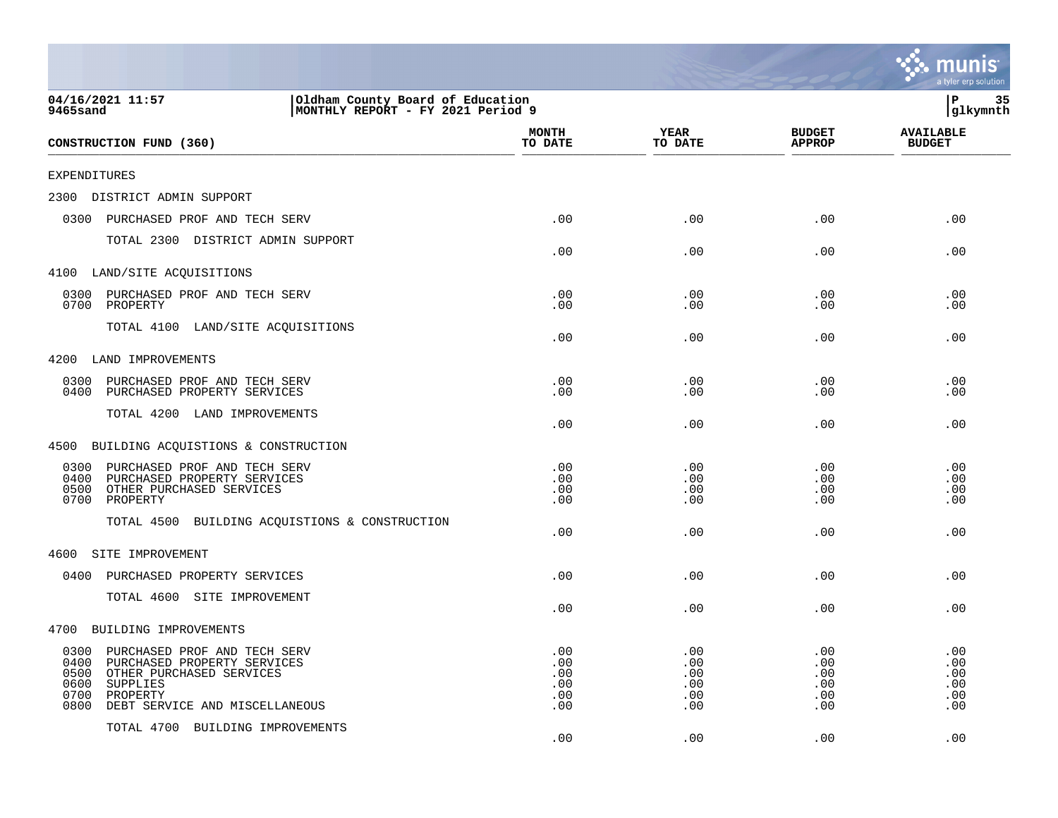|                                                                                                                                                                                                   |                                        |                                        |                                        | mu<br>a tyler erp solution             |
|---------------------------------------------------------------------------------------------------------------------------------------------------------------------------------------------------|----------------------------------------|----------------------------------------|----------------------------------------|----------------------------------------|
| 04/16/2021 11:57<br>Oldham County Board of Education<br>MONTHLY REPORT - FY 2021 Period 9<br>9465sand                                                                                             |                                        |                                        |                                        | ΙP<br>35<br>glkymnth                   |
| CONSTRUCTION FUND (360)                                                                                                                                                                           | <b>MONTH</b><br>TO DATE                | <b>YEAR</b><br>TO DATE                 | <b>BUDGET</b><br><b>APPROP</b>         | <b>AVAILABLE</b><br><b>BUDGET</b>      |
| EXPENDITURES                                                                                                                                                                                      |                                        |                                        |                                        |                                        |
| 2300<br>DISTRICT ADMIN SUPPORT                                                                                                                                                                    |                                        |                                        |                                        |                                        |
| 0300<br>PURCHASED PROF AND TECH SERV                                                                                                                                                              | .00                                    | .00                                    | .00                                    | .00                                    |
| TOTAL 2300 DISTRICT ADMIN SUPPORT                                                                                                                                                                 | .00                                    | .00                                    | .00                                    | .00                                    |
| 4100 LAND/SITE ACQUISITIONS                                                                                                                                                                       |                                        |                                        |                                        |                                        |
| 0300<br>PURCHASED PROF AND TECH SERV<br>0700<br>PROPERTY                                                                                                                                          | .00<br>.00                             | .00<br>.00                             | .00<br>.00                             | .00<br>.00                             |
| TOTAL 4100 LAND/SITE ACQUISITIONS                                                                                                                                                                 | .00                                    | .00                                    | .00                                    | .00                                    |
| 4200<br>LAND IMPROVEMENTS                                                                                                                                                                         |                                        |                                        |                                        |                                        |
| 0300<br>PURCHASED PROF AND TECH SERV<br>0400<br>PURCHASED PROPERTY SERVICES                                                                                                                       | .00<br>.00                             | .00<br>.00                             | .00<br>.00                             | .00<br>.00                             |
| TOTAL 4200 LAND IMPROVEMENTS                                                                                                                                                                      | .00                                    | .00                                    | .00                                    | .00                                    |
| 4500<br>BUILDING ACQUISTIONS & CONSTRUCTION                                                                                                                                                       |                                        |                                        |                                        |                                        |
| 0300<br>PURCHASED PROF AND TECH SERV<br>0400<br>PURCHASED PROPERTY SERVICES<br>0500<br>OTHER PURCHASED SERVICES<br>0700<br>PROPERTY<br>TOTAL 4500<br>BUILDING ACQUISTIONS & CONSTRUCTION          | .00<br>.00<br>.00<br>.00<br>.00        | .00<br>.00<br>.00<br>.00<br>.00        | .00<br>.00<br>.00<br>.00<br>.00        | .00<br>.00<br>.00<br>.00<br>.00        |
| SITE IMPROVEMENT<br>4600                                                                                                                                                                          |                                        |                                        |                                        |                                        |
| 0400<br>PURCHASED PROPERTY SERVICES                                                                                                                                                               | .00                                    | .00                                    | .00                                    | .00                                    |
| TOTAL 4600 SITE IMPROVEMENT                                                                                                                                                                       | .00                                    | .00                                    | .00                                    | .00                                    |
| 4700<br>BUILDING IMPROVEMENTS                                                                                                                                                                     |                                        |                                        |                                        |                                        |
| 0300<br>PURCHASED PROF AND TECH SERV<br>0400<br>PURCHASED PROPERTY SERVICES<br>0500<br>OTHER PURCHASED SERVICES<br>0600<br>SUPPLIES<br>0700<br>PROPERTY<br>0800<br>DEBT SERVICE AND MISCELLANEOUS | .00<br>.00<br>.00<br>.00<br>.00<br>.00 | .00<br>.00<br>.00<br>.00<br>.00<br>.00 | .00<br>.00<br>.00<br>.00<br>.00<br>.00 | .00<br>.00<br>.00<br>.00<br>.00<br>.00 |
| TOTAL 4700 BUILDING IMPROVEMENTS                                                                                                                                                                  | .00                                    | .00                                    | .00                                    | .00                                    |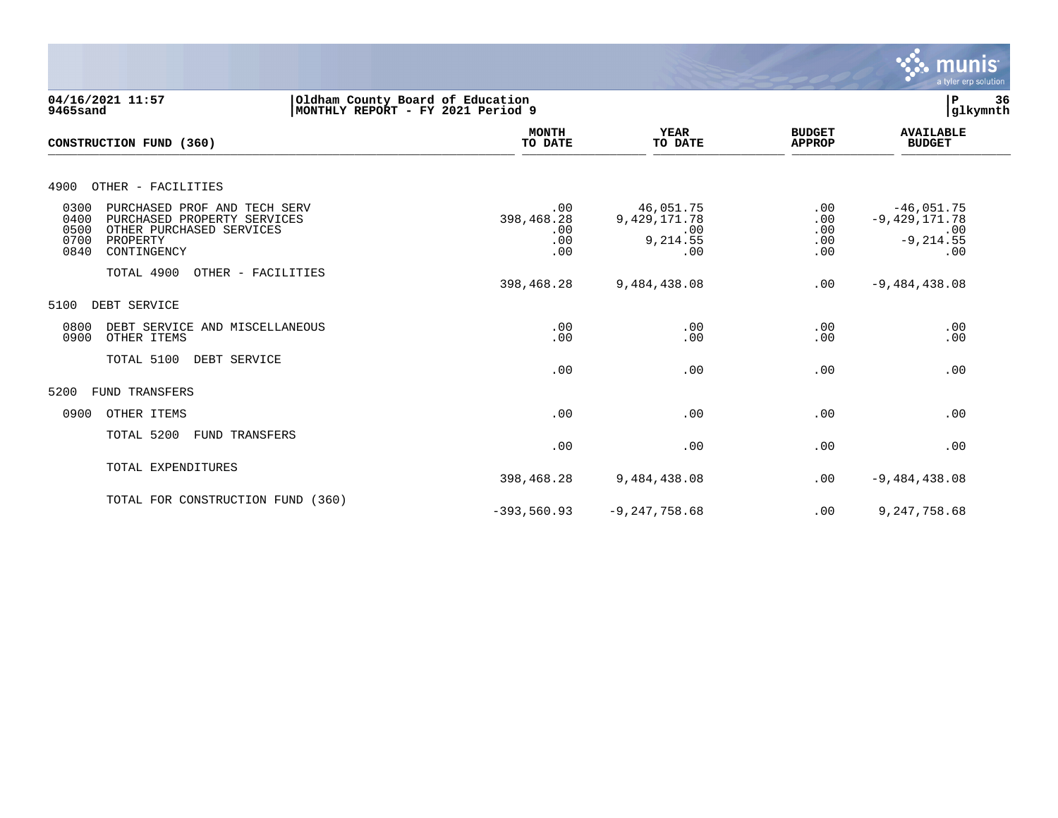

| 04/16/2021 11:57<br>9465sand                                                                                                                               | Oldham County Board of Education<br>MONTHLY REPORT - FY 2021 Period 9 |                                                        |                                 |                                                               | 36<br>glkymnth |
|------------------------------------------------------------------------------------------------------------------------------------------------------------|-----------------------------------------------------------------------|--------------------------------------------------------|---------------------------------|---------------------------------------------------------------|----------------|
| CONSTRUCTION FUND (360)                                                                                                                                    | <b>MONTH</b><br>TO DATE                                               | <b>YEAR</b><br>TO DATE                                 | <b>BUDGET</b><br><b>APPROP</b>  | <b>AVAILABLE</b><br><b>BUDGET</b>                             |                |
| 4900<br>OTHER - FACILITIES                                                                                                                                 |                                                                       |                                                        |                                 |                                                               |                |
| 0300<br>PURCHASED PROF AND TECH SERV<br>0400<br>PURCHASED PROPERTY SERVICES<br>0500<br>OTHER PURCHASED SERVICES<br>0700<br>PROPERTY<br>0840<br>CONTINGENCY | .00<br>398,468.28<br>.00<br>.00<br>.00                                | 46,051.75<br>9, 429, 171. 78<br>.00<br>9,214.55<br>.00 | .00<br>.00<br>.00<br>.00<br>.00 | $-46,051.75$<br>$-9,429,171.78$<br>.00<br>$-9, 214.55$<br>.00 |                |
| TOTAL 4900<br>OTHER - FACILITIES                                                                                                                           | 398,468.28                                                            | 9,484,438.08                                           | .00                             | $-9,484,438.08$                                               |                |
| 5100<br>DEBT SERVICE                                                                                                                                       |                                                                       |                                                        |                                 |                                                               |                |
| 0800<br>DEBT SERVICE AND MISCELLANEOUS<br>0900<br>OTHER ITEMS                                                                                              | .00<br>.00                                                            | .00<br>.00                                             | .00<br>.00                      | .00<br>.00                                                    |                |
| TOTAL 5100<br>DEBT SERVICE                                                                                                                                 | .00                                                                   | .00                                                    | .00                             | .00                                                           |                |
| 5200<br><b>FUND TRANSFERS</b>                                                                                                                              |                                                                       |                                                        |                                 |                                                               |                |
| OTHER ITEMS<br>0900                                                                                                                                        | .00                                                                   | .00                                                    | .00                             | .00                                                           |                |
| TOTAL 5200<br><b>FUND TRANSFERS</b>                                                                                                                        | .00                                                                   | .00                                                    | .00                             | .00                                                           |                |
| TOTAL EXPENDITURES                                                                                                                                         | 398,468.28                                                            | 9,484,438.08                                           | .00                             | $-9,484,438.08$                                               |                |
| TOTAL FOR CONSTRUCTION FUND (360)                                                                                                                          | $-393,560.93$                                                         | $-9, 247, 758.68$                                      | .00                             | 9, 247, 758.68                                                |                |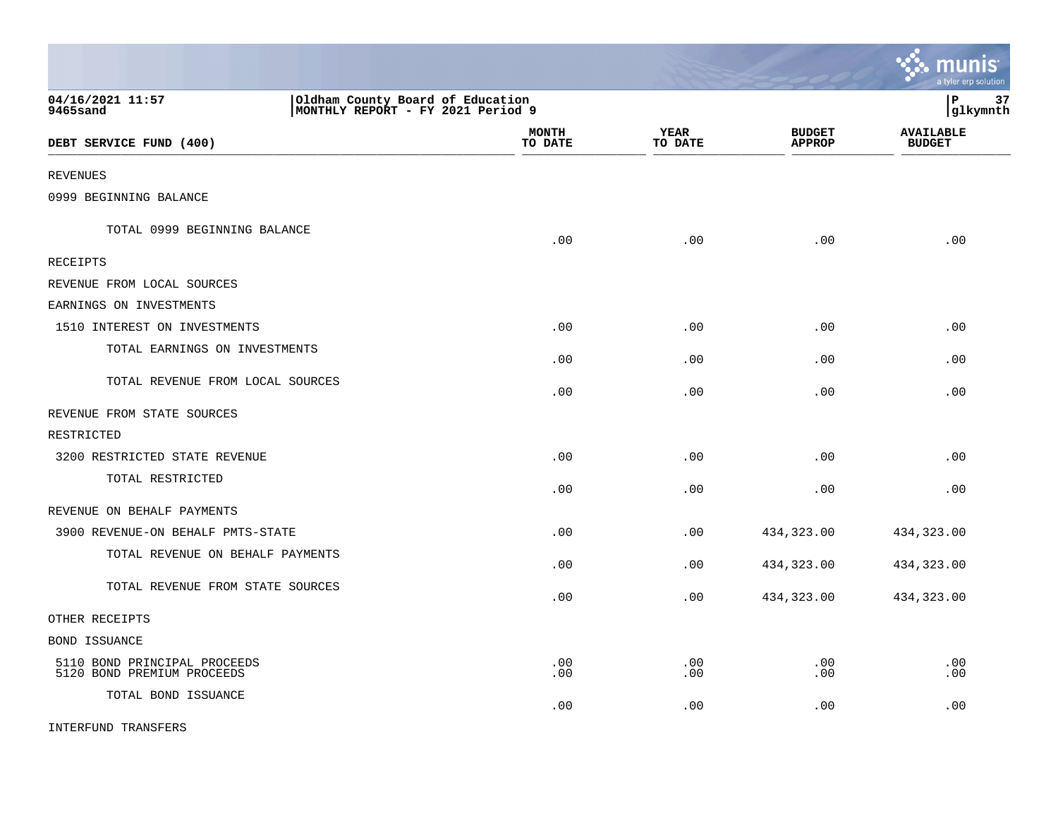|                                                            |                                                                       |                         |                        |                                | <u>munis</u><br>a tyler erp solution |
|------------------------------------------------------------|-----------------------------------------------------------------------|-------------------------|------------------------|--------------------------------|--------------------------------------|
| 04/16/2021 11:57<br>9465sand                               | Oldham County Board of Education<br>MONTHLY REPORT - FY 2021 Period 9 |                         |                        |                                | 37<br>lР<br> glkymnth                |
| DEBT SERVICE FUND (400)                                    |                                                                       | <b>MONTH</b><br>TO DATE | <b>YEAR</b><br>TO DATE | <b>BUDGET</b><br><b>APPROP</b> | <b>AVAILABLE</b><br><b>BUDGET</b>    |
| <b>REVENUES</b>                                            |                                                                       |                         |                        |                                |                                      |
| 0999 BEGINNING BALANCE                                     |                                                                       |                         |                        |                                |                                      |
| TOTAL 0999 BEGINNING BALANCE                               |                                                                       | .00                     | .00                    | .00                            | .00                                  |
| RECEIPTS                                                   |                                                                       |                         |                        |                                |                                      |
| REVENUE FROM LOCAL SOURCES                                 |                                                                       |                         |                        |                                |                                      |
| EARNINGS ON INVESTMENTS                                    |                                                                       |                         |                        |                                |                                      |
| 1510 INTEREST ON INVESTMENTS                               |                                                                       | .00                     | .00                    | .00                            | .00                                  |
| TOTAL EARNINGS ON INVESTMENTS                              |                                                                       | .00                     | .00                    | .00                            | .00                                  |
| TOTAL REVENUE FROM LOCAL SOURCES                           |                                                                       | .00                     | .00                    | .00                            | .00                                  |
| REVENUE FROM STATE SOURCES                                 |                                                                       |                         |                        |                                |                                      |
| RESTRICTED                                                 |                                                                       |                         |                        |                                |                                      |
| 3200 RESTRICTED STATE REVENUE                              |                                                                       | .00                     | .00                    | .00                            | .00                                  |
| TOTAL RESTRICTED                                           |                                                                       | .00                     | .00                    | .00                            | .00                                  |
| REVENUE ON BEHALF PAYMENTS                                 |                                                                       |                         |                        |                                |                                      |
| 3900 REVENUE-ON BEHALF PMTS-STATE                          |                                                                       | .00                     | .00                    | 434,323.00                     | 434,323.00                           |
| TOTAL REVENUE ON BEHALF PAYMENTS                           |                                                                       | .00                     | .00                    | 434,323.00                     | 434,323.00                           |
| TOTAL REVENUE FROM STATE SOURCES                           |                                                                       | .00                     | .00                    | 434,323.00                     | 434,323.00                           |
| OTHER RECEIPTS                                             |                                                                       |                         |                        |                                |                                      |
| BOND ISSUANCE                                              |                                                                       |                         |                        |                                |                                      |
| 5110 BOND PRINCIPAL PROCEEDS<br>5120 BOND PREMIUM PROCEEDS |                                                                       | .00<br>.00              | .00<br>.00             | .00<br>.00                     | .00<br>.00                           |
| TOTAL BOND ISSUANCE                                        |                                                                       | .00                     | .00                    | .00                            | .00                                  |
| INTERFUND TRANSFERS                                        |                                                                       |                         |                        |                                |                                      |

 $\mathcal{L}$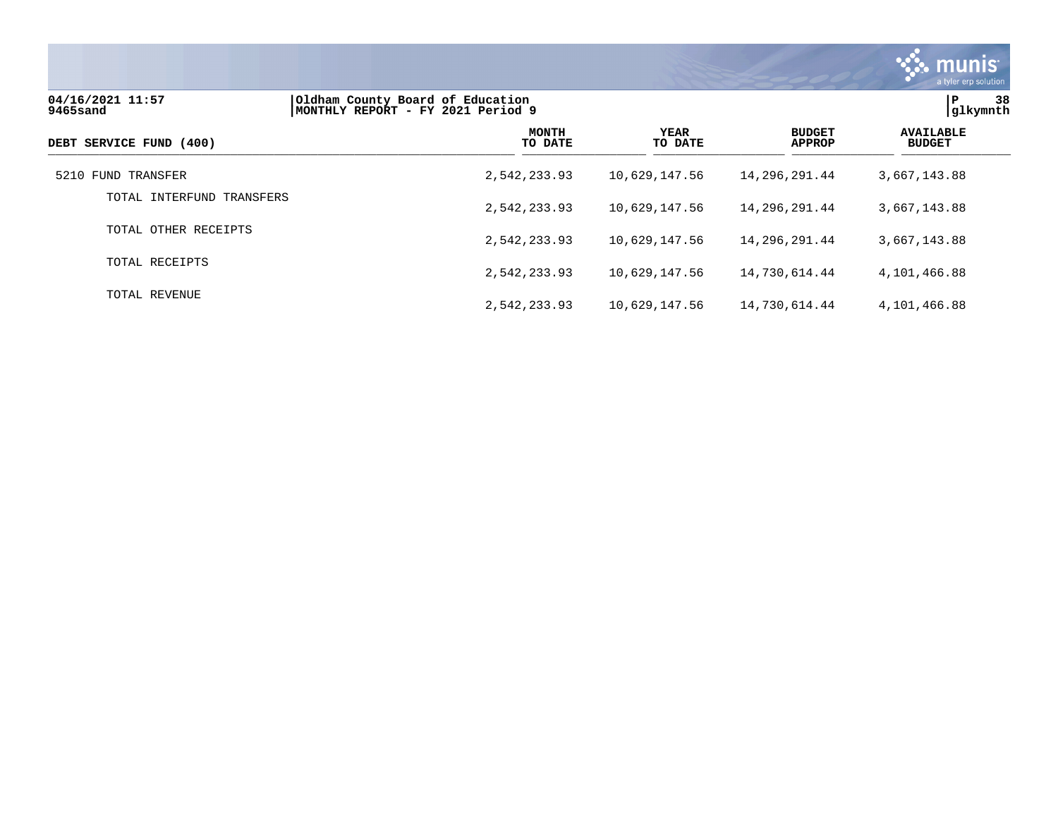

| 04/16/2021 11:57<br>9465sand | Oldham County Board of Education<br>MONTHLY REPORT - FY 2021 Period 9 | 38<br>ΙP<br> glkymnth  |                                |                                   |
|------------------------------|-----------------------------------------------------------------------|------------------------|--------------------------------|-----------------------------------|
| DEBT SERVICE FUND (400)      | <b>MONTH</b><br>TO DATE                                               | <b>YEAR</b><br>TO DATE | <b>BUDGET</b><br><b>APPROP</b> | <b>AVAILABLE</b><br><b>BUDGET</b> |
| 5210 FUND TRANSFER           | 2,542,233.93                                                          | 10,629,147.56          | 14,296,291.44                  | 3,667,143.88                      |
| TOTAL INTERFUND TRANSFERS    | 2,542,233.93                                                          | 10,629,147.56          | 14,296,291.44                  | 3,667,143.88                      |
| TOTAL OTHER RECEIPTS         | 2,542,233.93                                                          | 10,629,147.56          | 14,296,291.44                  | 3,667,143.88                      |
| TOTAL RECEIPTS               | 2,542,233.93                                                          | 10,629,147.56          | 14,730,614.44                  | 4,101,466.88                      |
| TOTAL REVENUE                | 2,542,233.93                                                          | 10,629,147.56          | 14,730,614.44                  | 4,101,466.88                      |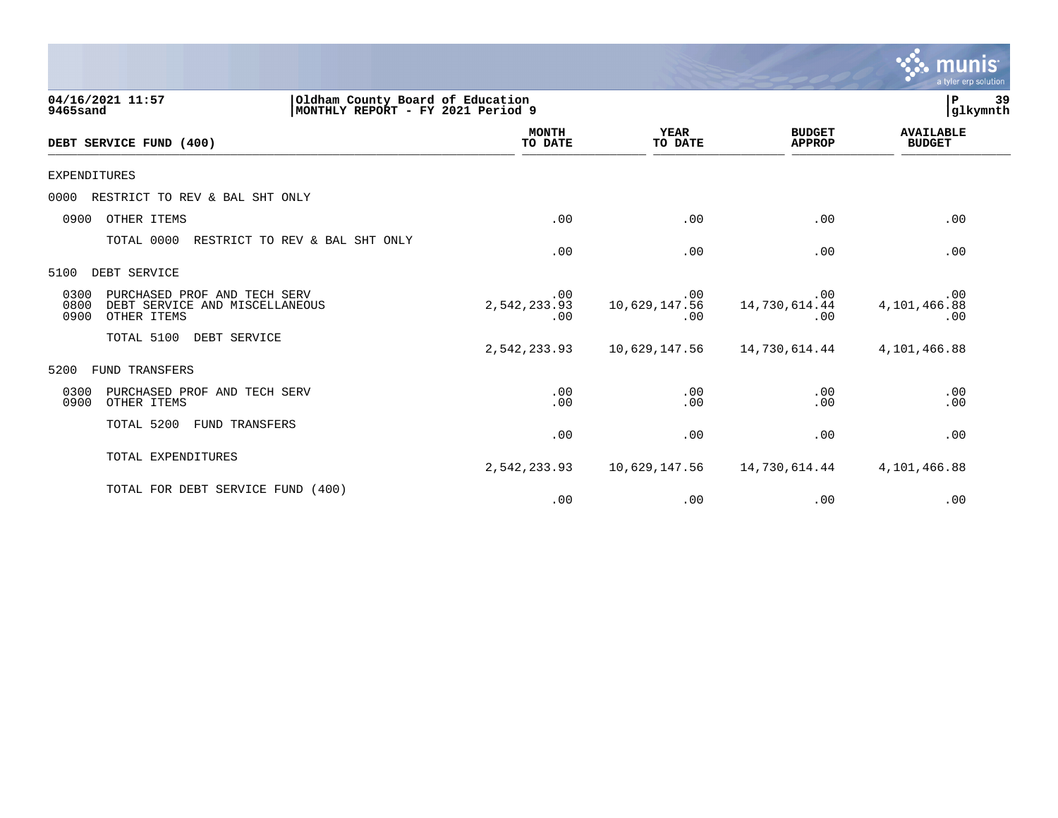|                                                                                                       |                                                                       |                             |                                | a tyler erp solution              |
|-------------------------------------------------------------------------------------------------------|-----------------------------------------------------------------------|-----------------------------|--------------------------------|-----------------------------------|
| 04/16/2021 11:57<br>9465sand                                                                          | Oldham County Board of Education<br>MONTHLY REPORT - FY 2021 Period 9 |                             |                                | 39<br>P<br>glkymnth               |
| DEBT SERVICE FUND (400)                                                                               | <b>MONTH</b><br>TO DATE                                               | <b>YEAR</b><br>TO DATE      | <b>BUDGET</b><br><b>APPROP</b> | <b>AVAILABLE</b><br><b>BUDGET</b> |
| <b>EXPENDITURES</b>                                                                                   |                                                                       |                             |                                |                                   |
| RESTRICT TO REV & BAL SHT ONLY<br>0000                                                                |                                                                       |                             |                                |                                   |
| OTHER ITEMS<br>0900                                                                                   | .00                                                                   | .00                         | .00                            | .00                               |
| TOTAL 0000<br>RESTRICT TO REV & BAL SHT ONLY                                                          | .00                                                                   | .00                         | .00                            | .00                               |
| DEBT SERVICE<br>5100                                                                                  |                                                                       |                             |                                |                                   |
| 0300<br>PURCHASED PROF AND TECH SERV<br>0800<br>DEBT SERVICE AND MISCELLANEOUS<br>0900<br>OTHER ITEMS | .00<br>2,542,233.93<br>.00                                            | .00<br>10,629,147.56<br>.00 | .00<br>14,730,614.44<br>.00    | .00<br>4,101,466.88<br>.00        |
| TOTAL 5100<br>DEBT SERVICE                                                                            | 2,542,233.93                                                          | 10,629,147.56               | 14,730,614.44                  | 4,101,466.88                      |
| FUND TRANSFERS<br>5200                                                                                |                                                                       |                             |                                |                                   |
| 0300<br>PURCHASED PROF AND TECH SERV<br>0900<br>OTHER ITEMS                                           | .00<br>.00                                                            | .00<br>.00                  | .00<br>.00                     | .00<br>.00                        |
| TOTAL 5200<br>FUND TRANSFERS                                                                          | .00                                                                   | .00                         | .00                            | .00                               |
| TOTAL EXPENDITURES                                                                                    | 2,542,233.93                                                          | 10,629,147.56               | 14,730,614.44                  | 4,101,466.88                      |
| TOTAL FOR DEBT SERVICE FUND<br>(400)                                                                  | .00                                                                   | .00                         | .00                            | .00                               |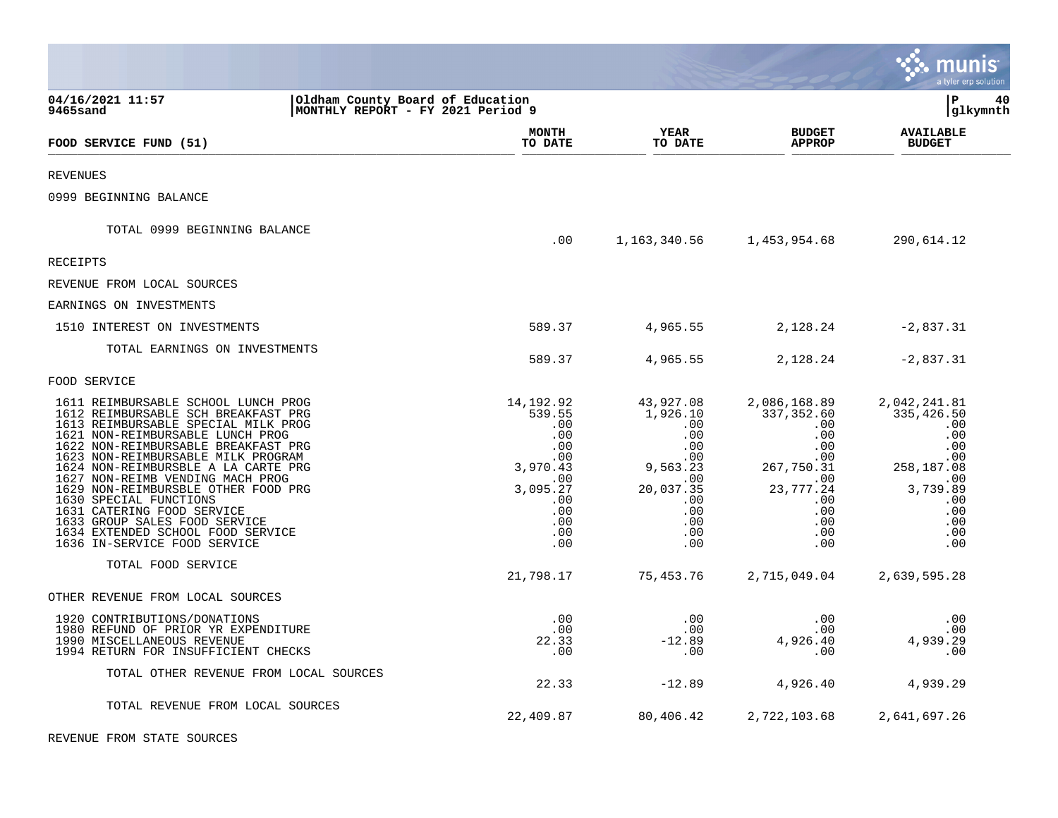|                                                                                                                                                                                                                                                                                                                                                                                                                                                                                                                    |                                                                                                                               |                                                                                                                      |                                                                                                                                                 | a tyler erp solution                                                                                                       |
|--------------------------------------------------------------------------------------------------------------------------------------------------------------------------------------------------------------------------------------------------------------------------------------------------------------------------------------------------------------------------------------------------------------------------------------------------------------------------------------------------------------------|-------------------------------------------------------------------------------------------------------------------------------|----------------------------------------------------------------------------------------------------------------------|-------------------------------------------------------------------------------------------------------------------------------------------------|----------------------------------------------------------------------------------------------------------------------------|
| 04/16/2021 11:57<br>9465sand                                                                                                                                                                                                                                                                                                                                                                                                                                                                                       | Oldham County Board of Education<br>MONTHLY REPORT - FY 2021 Period 9                                                         |                                                                                                                      |                                                                                                                                                 | lР<br>40<br> glkymnth                                                                                                      |
| FOOD SERVICE FUND (51)                                                                                                                                                                                                                                                                                                                                                                                                                                                                                             | <b>MONTH</b><br>TO DATE                                                                                                       | YEAR<br>TO DATE                                                                                                      | <b>BUDGET</b><br><b>APPROP</b>                                                                                                                  | <b>AVAILABLE</b><br><b>BUDGET</b>                                                                                          |
| <b>REVENUES</b>                                                                                                                                                                                                                                                                                                                                                                                                                                                                                                    |                                                                                                                               |                                                                                                                      |                                                                                                                                                 |                                                                                                                            |
| 0999 BEGINNING BALANCE                                                                                                                                                                                                                                                                                                                                                                                                                                                                                             |                                                                                                                               |                                                                                                                      |                                                                                                                                                 |                                                                                                                            |
| TOTAL 0999 BEGINNING BALANCE                                                                                                                                                                                                                                                                                                                                                                                                                                                                                       | .00                                                                                                                           |                                                                                                                      | 1, 163, 340. 56 1, 453, 954. 68                                                                                                                 | 290,614.12                                                                                                                 |
| <b>RECEIPTS</b>                                                                                                                                                                                                                                                                                                                                                                                                                                                                                                    |                                                                                                                               |                                                                                                                      |                                                                                                                                                 |                                                                                                                            |
| REVENUE FROM LOCAL SOURCES                                                                                                                                                                                                                                                                                                                                                                                                                                                                                         |                                                                                                                               |                                                                                                                      |                                                                                                                                                 |                                                                                                                            |
| EARNINGS ON INVESTMENTS                                                                                                                                                                                                                                                                                                                                                                                                                                                                                            |                                                                                                                               |                                                                                                                      |                                                                                                                                                 |                                                                                                                            |
| 1510 INTEREST ON INVESTMENTS                                                                                                                                                                                                                                                                                                                                                                                                                                                                                       | 589.37                                                                                                                        | 4,965.55                                                                                                             | 2,128.24                                                                                                                                        | $-2,837.31$                                                                                                                |
| TOTAL EARNINGS ON INVESTMENTS                                                                                                                                                                                                                                                                                                                                                                                                                                                                                      | 589.37                                                                                                                        | 4,965.55                                                                                                             | 2,128.24                                                                                                                                        | $-2,837.31$                                                                                                                |
| FOOD SERVICE                                                                                                                                                                                                                                                                                                                                                                                                                                                                                                       |                                                                                                                               |                                                                                                                      |                                                                                                                                                 |                                                                                                                            |
| 1611 REIMBURSABLE SCHOOL LUNCH PROG<br>1612 REIMBURSABLE SCH BREAKFAST PRG<br>1613 REIMBURSABLE SPECIAL MILK PROG<br>1621 NON-REIMBURSABLE LUNCH PROG<br>1622 NON-REIMBURSABLE BREAKFAST PRG<br>1623 NON-REIMBURSABLE MILK PROGRAM<br>1624 NON-REIMBURSBLE A LA CARTE PRG<br>1627 NON-REIMB VENDING MACH PROG<br>1629 NON-REIMBURSBLE OTHER FOOD PRG<br>1630 SPECIAL FUNCTIONS<br>1631 CATERING FOOD SERVICE<br>1633 GROUP SALES FOOD SERVICE<br>1634 EXTENDED SCHOOL FOOD SERVICE<br>1636 IN-SERVICE FOOD SERVICE | 14, 192. 92<br>539.55<br>$.00 \,$<br>.00<br>.00<br>.00<br>3,970.43<br>$.00 \,$<br>3,095.27<br>.00<br>.00<br>.00<br>.00<br>.00 | 43,927.08<br>1,926.10<br>.00<br>.00<br>.00<br>.00<br>9,563.23<br>.00<br>20,037.35<br>.00<br>.00<br>.00<br>.00<br>.00 | 2,086,168.89<br>337,352.60<br>.00<br>.00<br>$.00 \,$<br>$.00 \,$<br>267,750.31<br>.00<br>23,777.24<br>$.00 \,$<br>$.00 \,$<br>.00<br>.00<br>.00 | 2,042,241.81<br>335,426.50<br>.00<br>.00<br>.00<br>.00<br>258,187.08<br>.00<br>3,739.89<br>.00<br>.00<br>.00<br>.00<br>.00 |
| TOTAL FOOD SERVICE                                                                                                                                                                                                                                                                                                                                                                                                                                                                                                 | 21,798.17                                                                                                                     | 75,453.76                                                                                                            | 2,715,049.04                                                                                                                                    | 2,639,595.28                                                                                                               |
| OTHER REVENUE FROM LOCAL SOURCES                                                                                                                                                                                                                                                                                                                                                                                                                                                                                   |                                                                                                                               |                                                                                                                      |                                                                                                                                                 |                                                                                                                            |
| 1920 CONTRIBUTIONS/DONATIONS<br>1980 REFUND OF PRIOR YR EXPENDITURE<br>1990 MISCELLANEOUS REVENUE<br>1994 RETURN FOR INSUFFICIENT CHECKS                                                                                                                                                                                                                                                                                                                                                                           | .00<br>.00<br>22.33<br>.00                                                                                                    | .00<br>.00<br>$-12.89$<br>.00                                                                                        | $.00 \,$<br>$.00 \,$<br>4,926.40<br>.00                                                                                                         | .00<br>.00<br>4,939.29<br>.00                                                                                              |
| TOTAL OTHER REVENUE FROM LOCAL SOURCES                                                                                                                                                                                                                                                                                                                                                                                                                                                                             | 22.33                                                                                                                         | $-12.89$                                                                                                             | 4,926.40                                                                                                                                        | 4,939.29                                                                                                                   |
| TOTAL REVENUE FROM LOCAL SOURCES                                                                                                                                                                                                                                                                                                                                                                                                                                                                                   | 22,409.87                                                                                                                     | 80,406.42                                                                                                            | 2,722,103.68                                                                                                                                    | 2,641,697.26                                                                                                               |

REVENUE FROM STATE SOURCES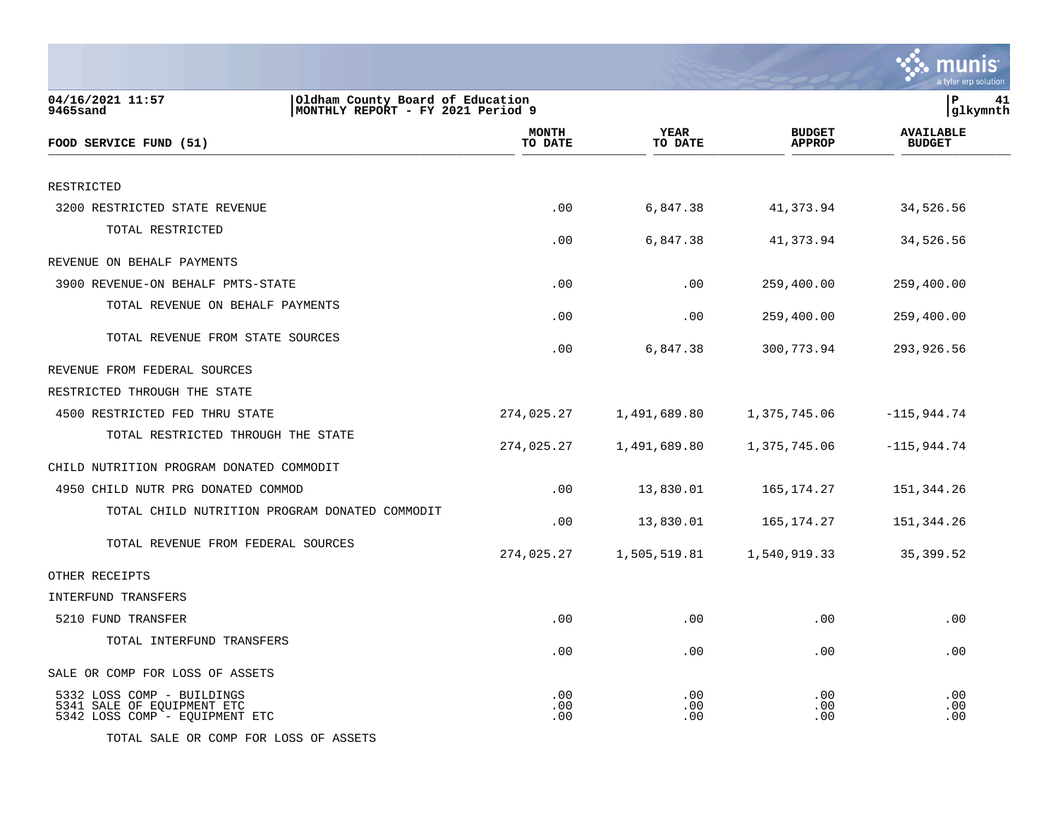|                                                                                                       |                         |                        |                                | nunis<br>a tyler erp solution     |
|-------------------------------------------------------------------------------------------------------|-------------------------|------------------------|--------------------------------|-----------------------------------|
| 04/16/2021 11:57<br>Oldham County Board of Education<br>9465sand<br>MONTHLY REPORT - FY 2021 Period 9 |                         |                        |                                | l P<br>41<br> glkymnth            |
| FOOD SERVICE FUND (51)                                                                                | <b>MONTH</b><br>TO DATE | <b>YEAR</b><br>TO DATE | <b>BUDGET</b><br><b>APPROP</b> | <b>AVAILABLE</b><br><b>BUDGET</b> |
| RESTRICTED                                                                                            |                         |                        |                                |                                   |
| 3200 RESTRICTED STATE REVENUE                                                                         | .00                     | 6,847.38               | 41,373.94                      | 34,526.56                         |
| TOTAL RESTRICTED                                                                                      | .00                     | 6,847.38               | 41,373.94                      | 34,526.56                         |
| REVENUE ON BEHALF PAYMENTS                                                                            |                         |                        |                                |                                   |
| 3900 REVENUE-ON BEHALF PMTS-STATE                                                                     | .00                     | .00                    | 259,400.00                     | 259,400.00                        |
| TOTAL REVENUE ON BEHALF PAYMENTS                                                                      | .00                     | .00                    | 259,400.00                     | 259,400.00                        |
| TOTAL REVENUE FROM STATE SOURCES                                                                      | .00                     | 6,847.38               | 300,773.94                     | 293,926.56                        |
| REVENUE FROM FEDERAL SOURCES                                                                          |                         |                        |                                |                                   |
| RESTRICTED THROUGH THE STATE                                                                          |                         |                        |                                |                                   |
| 4500 RESTRICTED FED THRU STATE                                                                        | 274,025.27              | 1,491,689.80           | 1,375,745.06                   | $-115,944.74$                     |
| TOTAL RESTRICTED THROUGH THE STATE                                                                    | 274,025.27              | 1,491,689.80           | 1,375,745.06                   | $-115,944.74$                     |
| CHILD NUTRITION PROGRAM DONATED COMMODIT                                                              |                         |                        |                                |                                   |
| 4950 CHILD NUTR PRG DONATED COMMOD                                                                    | .00                     | 13,830.01              | 165, 174. 27                   | 151,344.26                        |
| TOTAL CHILD NUTRITION PROGRAM DONATED COMMODIT                                                        | .00                     | 13,830.01              | 165, 174. 27                   | 151,344.26                        |
| TOTAL REVENUE FROM FEDERAL SOURCES                                                                    | 274,025.27              | 1,505,519.81           | 1,540,919.33                   | 35, 399.52                        |
| OTHER RECEIPTS                                                                                        |                         |                        |                                |                                   |
| INTERFUND TRANSFERS                                                                                   |                         |                        |                                |                                   |
| 5210 FUND TRANSFER                                                                                    | .00                     | .00                    | .00                            | .00                               |
| TOTAL INTERFUND TRANSFERS                                                                             | .00                     | .00                    | .00                            | .00                               |
| SALE OR COMP FOR LOSS OF ASSETS                                                                       |                         |                        |                                |                                   |
| 5332 LOSS COMP - BUILDINGS<br>5341 SALE OF EQUIPMENT ETC<br>5342 LOSS COMP - EQUIPMENT ETC            | .00<br>.00<br>.00       | .00<br>.00<br>.00      | .00<br>.00<br>.00              | .00<br>.00<br>.00                 |

TOTAL SALE OR COMP FOR LOSS OF ASSETS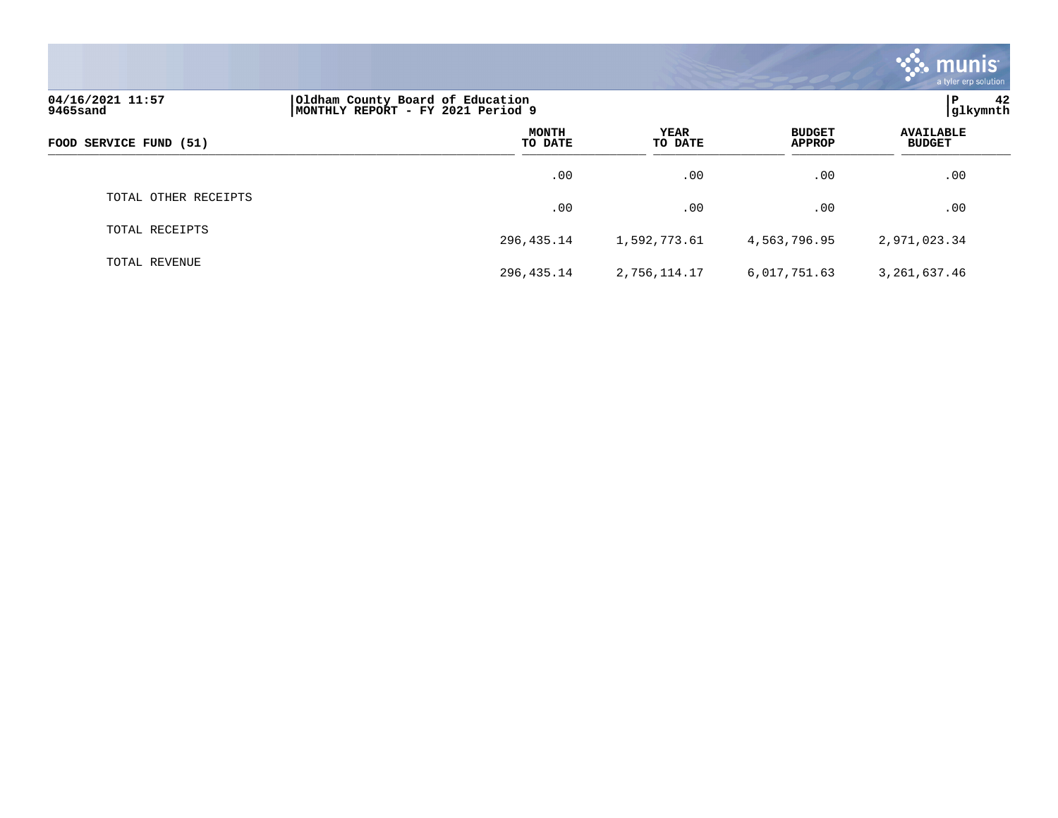|                              |                                                                       |                 |                                | <b>munis</b><br>a tyler erp solution |
|------------------------------|-----------------------------------------------------------------------|-----------------|--------------------------------|--------------------------------------|
| 04/16/2021 11:57<br>9465sand | Oldham County Board of Education<br>MONTHLY REPORT - FY 2021 Period 9 |                 |                                | 42<br>PΡ<br>glkymnth                 |
| FOOD SERVICE FUND (51)       | <b>MONTH</b><br>TO DATE                                               | YEAR<br>TO DATE | <b>BUDGET</b><br><b>APPROP</b> | <b>AVAILABLE</b><br><b>BUDGET</b>    |
|                              | $.00 \,$                                                              | .00             | .00                            | .00                                  |
| TOTAL OTHER RECEIPTS         | .00                                                                   | .00             | .00                            | .00                                  |
| TOTAL RECEIPTS               | 296,435.14                                                            | 1,592,773.61    | 4,563,796.95                   | 2,971,023.34                         |
| TOTAL REVENUE                | 296, 435. 14                                                          | 2,756,114.17    | 6,017,751.63                   | 3,261,637.46                         |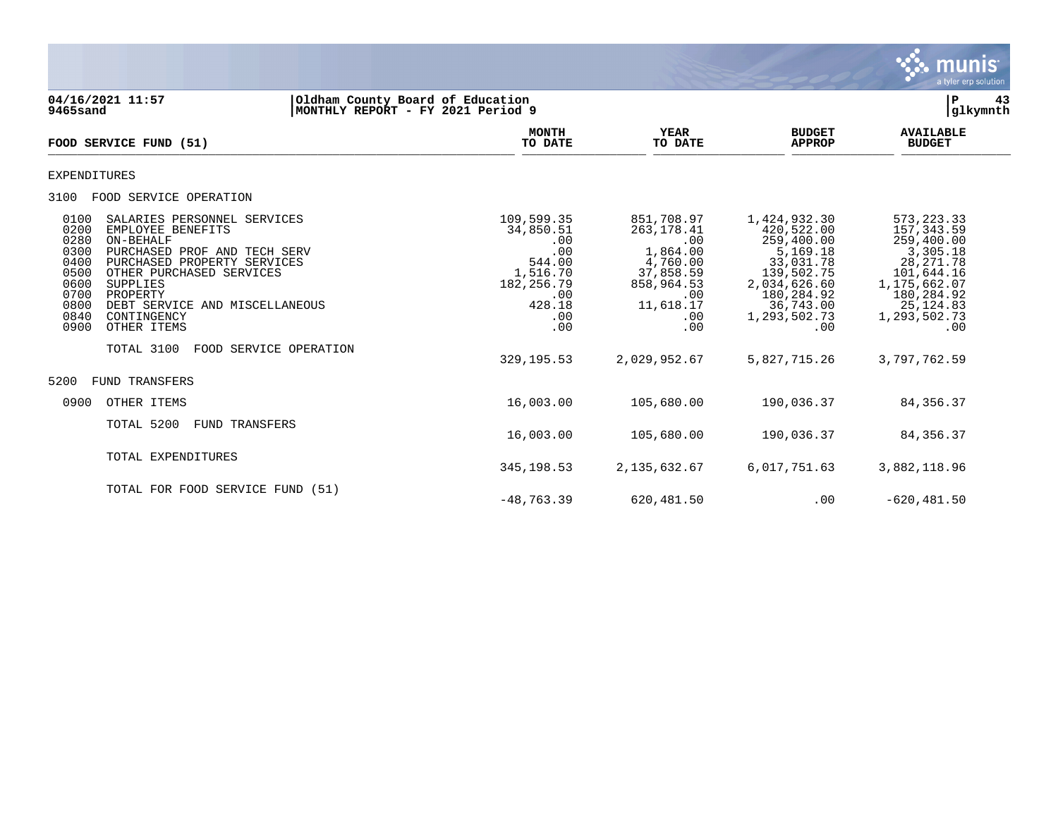

**04/16/2021 11:57 |Oldham County Board of Education |P 43 9465sand |MONTHLY REPORT - FY 2021 Period 9 |glkymnth MONTH AVAILABLE YEAR BUDGET** AVAILABLE **FOOD SERVICE FUND (51) TO DATE TO DATE APPROP BUDGET**   $\overline{10 \text{ MHz}}$  and  $\overline{10 \text{ MHz}}$  is the set of  $\overline{10 \text{ MHz}}$  and  $\overline{10 \text{ MHz}}$  and  $\overline{10 \text{ MHz}}$  and  $\overline{10 \text{ MHz}}$  and  $\overline{10 \text{ MHz}}$  and  $\overline{10 \text{ MHz}}$  and  $\overline{10 \text{ MHz}}$  and  $\overline{10 \text{ MHz}}$  and  $\overline{10 \text{ MHz}}$  and  $\overline{10 \text{ MHz}}$ EXPENDITURES 3100 FOOD SERVICE OPERATION 0100 SALARIES PERSONNEL SERVICES 109,599.35 851,708.97 1,424,932.30 573,223.33 0200 EMPLOYEE BENEFITS 34,850.51 263,178.41 420,522.00 157,343.59 0280 ON-BEHALF .00 .00 259,400.00 259,400.00 0300 PURCHASED PROF AND TECH SERV .00 1,864.00 5,169.18 3,305.18 0400 PURCHASED PROPERTY SERVICES 644.00 544.00 4,760.00 33,031.78 28,271.78<br>0500 OTHER PURCHASED SERVICES 647.16 28,271.78 37,858.59 139,502.75 101,644.16 0500 OTHER PURCHASED SERVICES (1,516.70 37,858.59 139,502.75 101,644.16<br>182,256.79 858,964.53 2,034,626.60 1,175,662.07 0600 SUPPLIES 182,256.79 858,964.53 2,034,626.60 1,175,662.07 0700 PROPERTY .00 .00 180,284.92 180,284.92 0700 PROPERTY 180,284.92 180,284.92<br>0800 DEBT SERVICE AND MISCELLANEOUS 428.18 428.18 11,618.17 36,743.00 25,124.83<br>0840 CONTINGENCY 1,293,502.73 1,293,502.73 0840 CONTINGENCY .00 .00 1,293,502.73 1,293,502.73 0900 OTHER ITEMS .00 .00 .00 .00 TOTAL 3100 FOOD SERVICE OPERATION 329,195.53 2,029,952.67 5,827,715.26 3,797,762.59 5200 FUND TRANSFERS 0900 OTHER ITEMS 16,003.00 105,680.00 190,036.37 84,356.37 TOTAL 5200 FUND TRANSFERS 16,003.00 105,680.00 190,036.37 84,356.37 TOTAL EXPENDITURES 345,198.53 2,135,632.67 6,017,751.63 3,882,118.96 TOTAL FOR FOOD SERVICE FUND (51)

 $-48,763,39$  620, 481, 50 .00 -620, 481, 50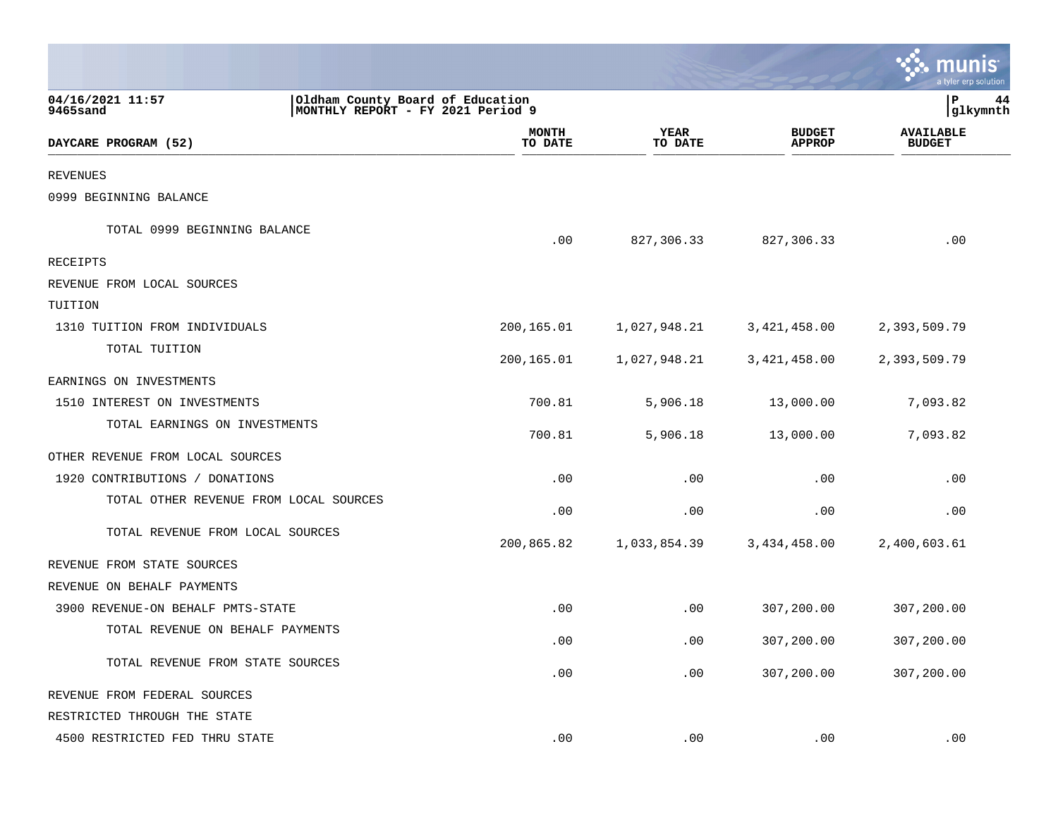|                                        |                                                                       |                        |                                | nıs<br>tyler erp solution         |    |
|----------------------------------------|-----------------------------------------------------------------------|------------------------|--------------------------------|-----------------------------------|----|
| 04/16/2021 11:57<br>9465sand           | Oldham County Board of Education<br>MONTHLY REPORT - FY 2021 Period 9 |                        |                                | ΙP<br> glkymnth                   | 44 |
| DAYCARE PROGRAM (52)                   | <b>MONTH</b><br>TO DATE                                               | <b>YEAR</b><br>TO DATE | <b>BUDGET</b><br><b>APPROP</b> | <b>AVAILABLE</b><br><b>BUDGET</b> |    |
| <b>REVENUES</b>                        |                                                                       |                        |                                |                                   |    |
| 0999 BEGINNING BALANCE                 |                                                                       |                        |                                |                                   |    |
| TOTAL 0999 BEGINNING BALANCE           | .00                                                                   | 827,306.33             | 827,306.33                     | .00                               |    |
| RECEIPTS                               |                                                                       |                        |                                |                                   |    |
| REVENUE FROM LOCAL SOURCES             |                                                                       |                        |                                |                                   |    |
| TUITION                                |                                                                       |                        |                                |                                   |    |
| 1310 TUITION FROM INDIVIDUALS          | 200,165.01                                                            | 1,027,948.21           | 3, 421, 458.00                 | 2,393,509.79                      |    |
| TOTAL TUITION                          | 200,165.01                                                            | 1,027,948.21           | 3,421,458.00                   | 2,393,509.79                      |    |
| EARNINGS ON INVESTMENTS                |                                                                       |                        |                                |                                   |    |
| 1510 INTEREST ON INVESTMENTS           | 700.81                                                                | 5,906.18               | 13,000.00                      | 7,093.82                          |    |
| TOTAL EARNINGS ON INVESTMENTS          | 700.81                                                                | 5,906.18               | 13,000.00                      | 7,093.82                          |    |
| OTHER REVENUE FROM LOCAL SOURCES       |                                                                       |                        |                                |                                   |    |
| 1920 CONTRIBUTIONS / DONATIONS         | .00                                                                   | .00                    | .00                            | .00                               |    |
| TOTAL OTHER REVENUE FROM LOCAL SOURCES | .00                                                                   | .00                    | .00                            | .00                               |    |
| TOTAL REVENUE FROM LOCAL SOURCES       | 200,865.82                                                            | 1,033,854.39           | 3,434,458.00                   | 2,400,603.61                      |    |
| REVENUE FROM STATE SOURCES             |                                                                       |                        |                                |                                   |    |
| REVENUE ON BEHALF PAYMENTS             |                                                                       |                        |                                |                                   |    |
| 3900 REVENUE-ON BEHALF PMTS-STATE      | .00                                                                   | .00                    | 307,200.00                     | 307,200.00                        |    |
| TOTAL REVENUE ON BEHALF PAYMENTS       | .00                                                                   | .00                    | 307,200.00                     | 307,200.00                        |    |
| TOTAL REVENUE FROM STATE SOURCES       | .00                                                                   | .00                    | 307,200.00                     | 307,200.00                        |    |
| REVENUE FROM FEDERAL SOURCES           |                                                                       |                        |                                |                                   |    |
| RESTRICTED THROUGH THE STATE           |                                                                       |                        |                                |                                   |    |
| 4500 RESTRICTED FED THRU STATE         | .00                                                                   | .00                    | .00                            | .00                               |    |

a sa mga magaalang na mga magaalang ng mga magaalang ng mga magaalang ng magaalang ng magaalang ng magaalang n

the contract of the contract of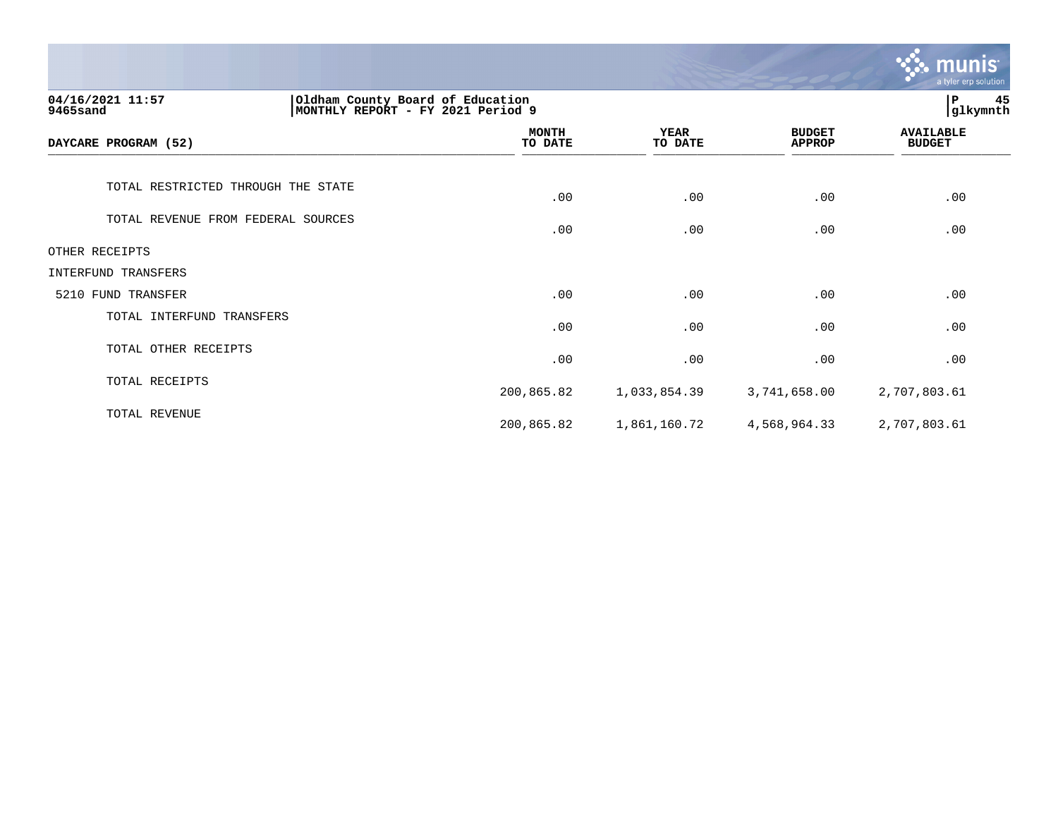|                                                                                                        |                         |                        |                                | <u>munis </u><br>a tyler erp solution |
|--------------------------------------------------------------------------------------------------------|-------------------------|------------------------|--------------------------------|---------------------------------------|
| 04/16/2021 11:57<br>Oldham County Board of Education<br> MONTHLY REPORT - FY 2021 Period 9<br>9465sand |                         |                        |                                | 45<br>P<br>glkymnth                   |
| DAYCARE PROGRAM (52)                                                                                   | <b>MONTH</b><br>TO DATE | <b>YEAR</b><br>TO DATE | <b>BUDGET</b><br><b>APPROP</b> | <b>AVAILABLE</b><br><b>BUDGET</b>     |
| TOTAL RESTRICTED THROUGH THE STATE                                                                     | .00                     | .00                    | .00                            | .00                                   |
| TOTAL REVENUE FROM FEDERAL SOURCES                                                                     | .00                     | .00                    | .00                            | .00                                   |
| OTHER RECEIPTS                                                                                         |                         |                        |                                |                                       |
| INTERFUND TRANSFERS                                                                                    |                         |                        |                                |                                       |
| 5210 FUND TRANSFER                                                                                     | .00                     | .00                    | .00                            | .00                                   |
| TOTAL INTERFUND TRANSFERS                                                                              | .00                     | .00                    | .00                            | .00                                   |
| TOTAL OTHER RECEIPTS                                                                                   | .00                     | .00                    | .00                            | .00                                   |
| TOTAL RECEIPTS                                                                                         | 200,865.82              | 1,033,854.39           | 3,741,658.00                   | 2,707,803.61                          |
| TOTAL REVENUE                                                                                          | 200,865.82              | 1,861,160.72           | 4,568,964.33                   | 2,707,803.61                          |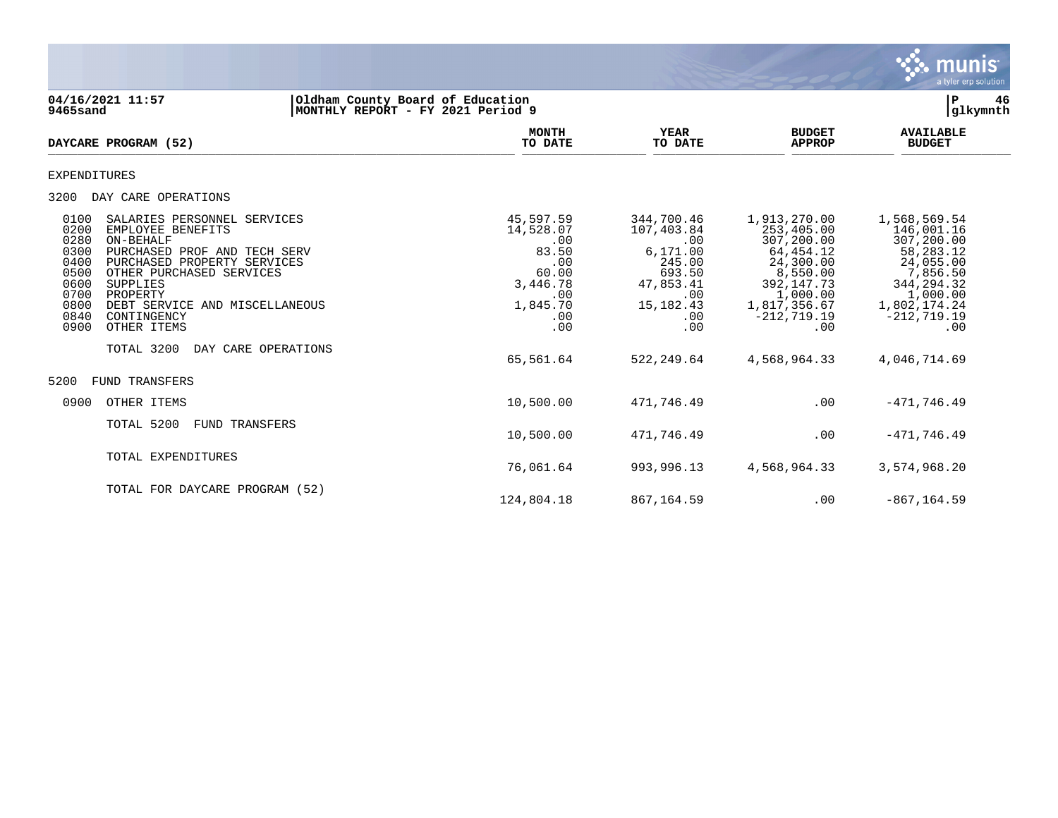

**04/16/2021 11:57 |Oldham County Board of Education |P 46 9465sand |MONTHLY REPORT - FY 2021 Period 9 |glkymnth MONTH AVAILABLE YEAR BUDGET** AVAILABLE **DAYCARE PROGRAM (52)** TO DATE TO DATE APPROP BUDGET  $\frac{10 \text{ Bile}}{10 \text{ Bile}}$ EXPENDITURES 3200 DAY CARE OPERATIONS 0100 SALARIES PERSONNEL SERVICES (1,597.59 344,700.46 1,913,270.00 1,568,569.54 1,910<br>0200 EMPLOYEE BENEFITS (1,528.07 107,403.84 253,405.00 146,001.16 0200 EMPLOYEE BENEFITS 14,528.07 107,403.84 253,405.00 146,001.16 0280 ON-BEHALF .00 .00 307,200.00 307,200.00 0300 PURCHASED PROF AND TECH SERV 683.50 6,171.00 64,454.12 66,283.12<br>04.055.00 64,454.12 68,283.12 055.00 64,055.00 64,055.00 64,055.00 0400 PURCHASED PROPERTY SERVICES .00 .00 .00 24,300.00 24,300.00 24,055.00 24,055.00<br>0500 0THER PURCHASED SERVICES .00 24,000 693.50 8,550.00 7,856.50 0500 OTHER PURCHASED SERVICES 60.00 693.50 8,550.00 7,856.50 8,550.00 7,856.50<br>344,294.32 60.00 600 693.50 8,550.00 8,550.00 8,550.00 8,550.00 7,853.50 8,550.00 7,853.50 8,550.00 7,856.50 0600 SUPPLIES 3,446.78 47,853.41 392,147.73 344,294.32 0700 PROPERTY .00 .00 1,000.00 1,000.00 0800 DEBT SERVICE AND MISCELLANEOUS 1,845.70 15,182.43 1,817,356.67 1,802,174.24 0840 CONTINGENCY .00 .00 -212,719.19 -212,719.19 0900 OTHER ITEMS TOTAL 3200 DAY CARE OPERATIONS 65,561.64 522,249.64 4,568,964.33 4,046,714.69 5200 FUND TRANSFERS 0900 OTHER ITEMS 10,500.00 471,746.49 .00 -471,746.49 TOTAL 5200 FUND TRANSFERS 10,500.00 471,746.49 .00 -471,746.49 TOTAL EXPENDITURES 76,061.64 993,996.13 4,568,964.33 3,574,968.20 TOTAL FOR DAYCARE PROGRAM (52)

124,804.18 867,164.59 .00 -867,164.59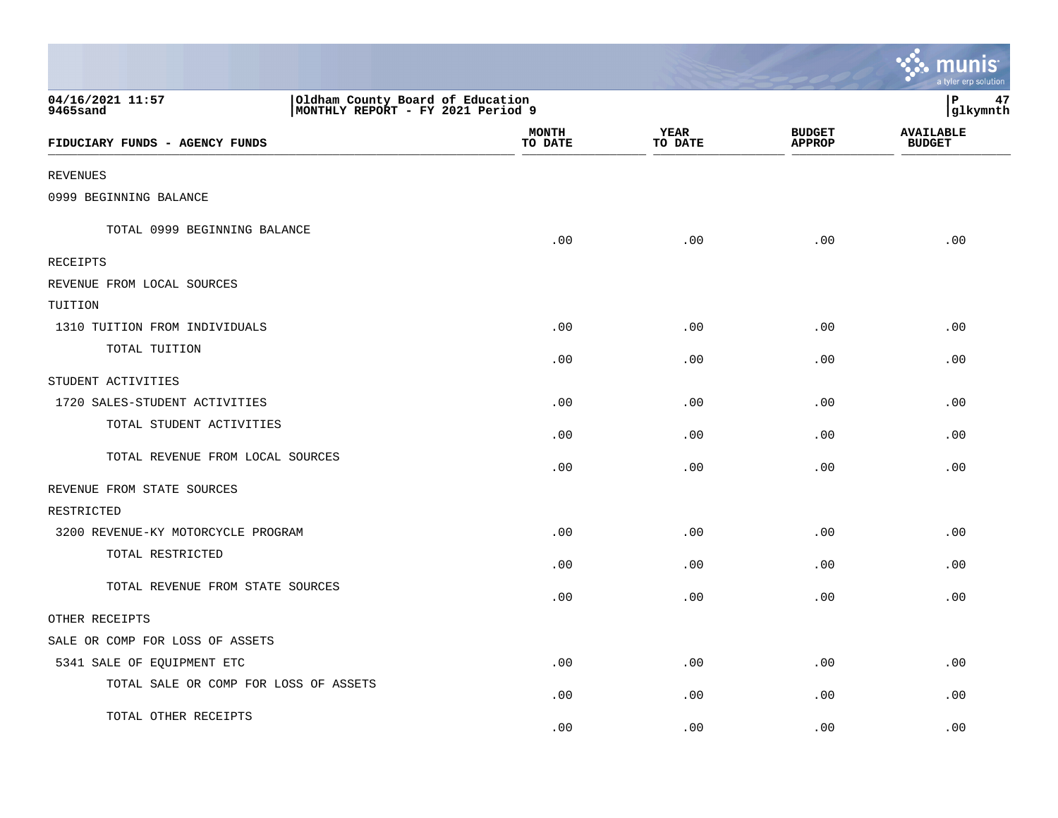|                                                                                                       |                         |                        |                                | mп<br>a tyler erp solution        |
|-------------------------------------------------------------------------------------------------------|-------------------------|------------------------|--------------------------------|-----------------------------------|
| 04/16/2021 11:57<br>Oldham County Board of Education<br>MONTHLY REPORT - FY 2021 Period 9<br>9465sand |                         |                        |                                | P<br>47<br>glkymnth               |
| FIDUCIARY FUNDS - AGENCY FUNDS                                                                        | <b>MONTH</b><br>TO DATE | <b>YEAR</b><br>TO DATE | <b>BUDGET</b><br><b>APPROP</b> | <b>AVAILABLE</b><br><b>BUDGET</b> |
| <b>REVENUES</b>                                                                                       |                         |                        |                                |                                   |
| 0999 BEGINNING BALANCE                                                                                |                         |                        |                                |                                   |
| TOTAL 0999 BEGINNING BALANCE                                                                          | .00                     | .00                    | .00                            | .00                               |
| <b>RECEIPTS</b>                                                                                       |                         |                        |                                |                                   |
| REVENUE FROM LOCAL SOURCES                                                                            |                         |                        |                                |                                   |
| TUITION                                                                                               |                         |                        |                                |                                   |
| 1310 TUITION FROM INDIVIDUALS                                                                         | .00                     | .00                    | .00                            | .00                               |
| TOTAL TUITION                                                                                         | .00                     | .00                    | .00                            | .00                               |
| STUDENT ACTIVITIES                                                                                    |                         |                        |                                |                                   |
| 1720 SALES-STUDENT ACTIVITIES                                                                         | .00                     | .00                    | .00                            | .00                               |
| TOTAL STUDENT ACTIVITIES                                                                              | .00                     | .00                    | .00                            | .00                               |
| TOTAL REVENUE FROM LOCAL SOURCES                                                                      | .00                     | .00                    | .00                            | .00                               |
| REVENUE FROM STATE SOURCES                                                                            |                         |                        |                                |                                   |
| RESTRICTED                                                                                            |                         |                        |                                |                                   |
| 3200 REVENUE-KY MOTORCYCLE PROGRAM                                                                    | .00                     | .00                    | .00                            | .00                               |
| TOTAL RESTRICTED                                                                                      | .00                     | .00                    | .00                            | .00                               |
| TOTAL REVENUE FROM STATE SOURCES                                                                      | .00                     | .00                    | .00                            | .00                               |
| OTHER RECEIPTS                                                                                        |                         |                        |                                |                                   |
| SALE OR COMP FOR LOSS OF ASSETS                                                                       |                         |                        |                                |                                   |
| 5341 SALE OF EQUIPMENT ETC                                                                            | .00                     | .00                    | .00                            | .00                               |
| TOTAL SALE OR COMP FOR LOSS OF ASSETS                                                                 | .00                     | .00                    | .00                            | .00                               |
| TOTAL OTHER RECEIPTS                                                                                  | .00                     | .00                    | .00                            | .00                               |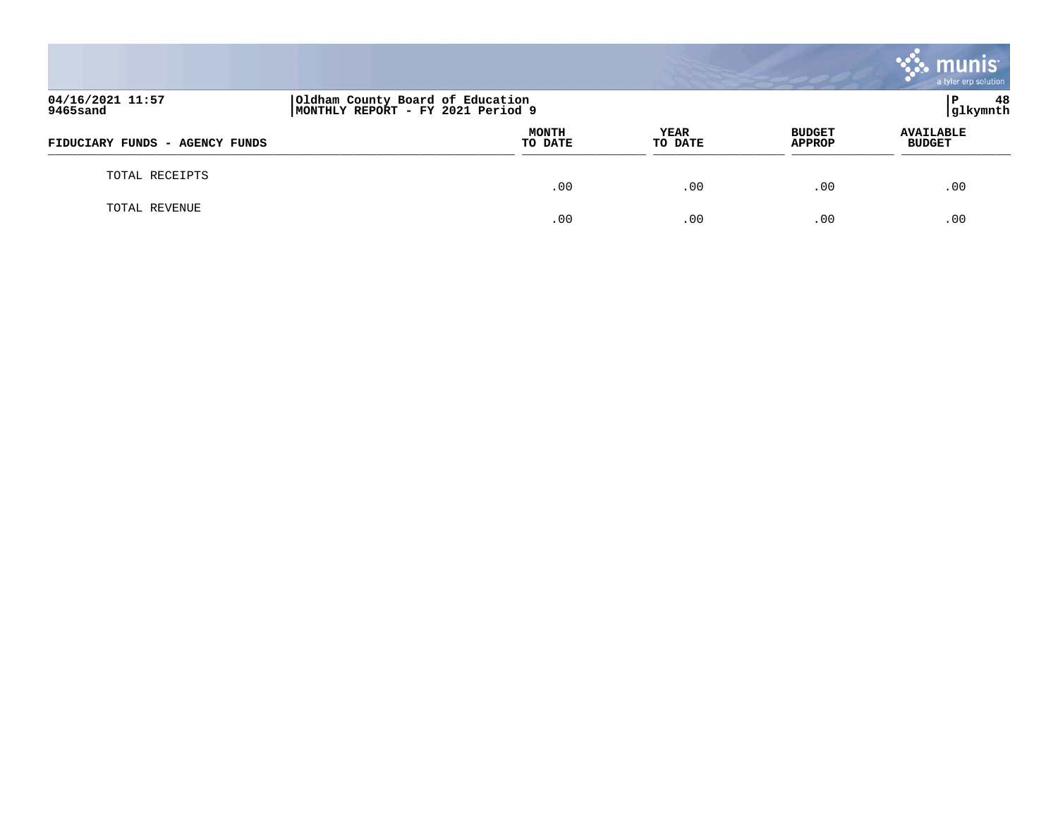|                                |                                                                       |                 |                                | munis<br>a tyler erp solution     |
|--------------------------------|-----------------------------------------------------------------------|-----------------|--------------------------------|-----------------------------------|
| 04/16/2021 11:57<br>9465sand   | Oldham County Board of Education<br>MONTHLY REPORT - FY 2021 Period 9 |                 |                                | 48<br>l P<br>glkymnth             |
| FIDUCIARY FUNDS - AGENCY FUNDS | <b>MONTH</b><br>TO DATE                                               | YEAR<br>TO DATE | <b>BUDGET</b><br><b>APPROP</b> | <b>AVAILABLE</b><br><b>BUDGET</b> |
| TOTAL RECEIPTS                 | .00                                                                   | .00             | .00                            | .00                               |
| TOTAL REVENUE                  | .00                                                                   | .00             | .00                            | .00                               |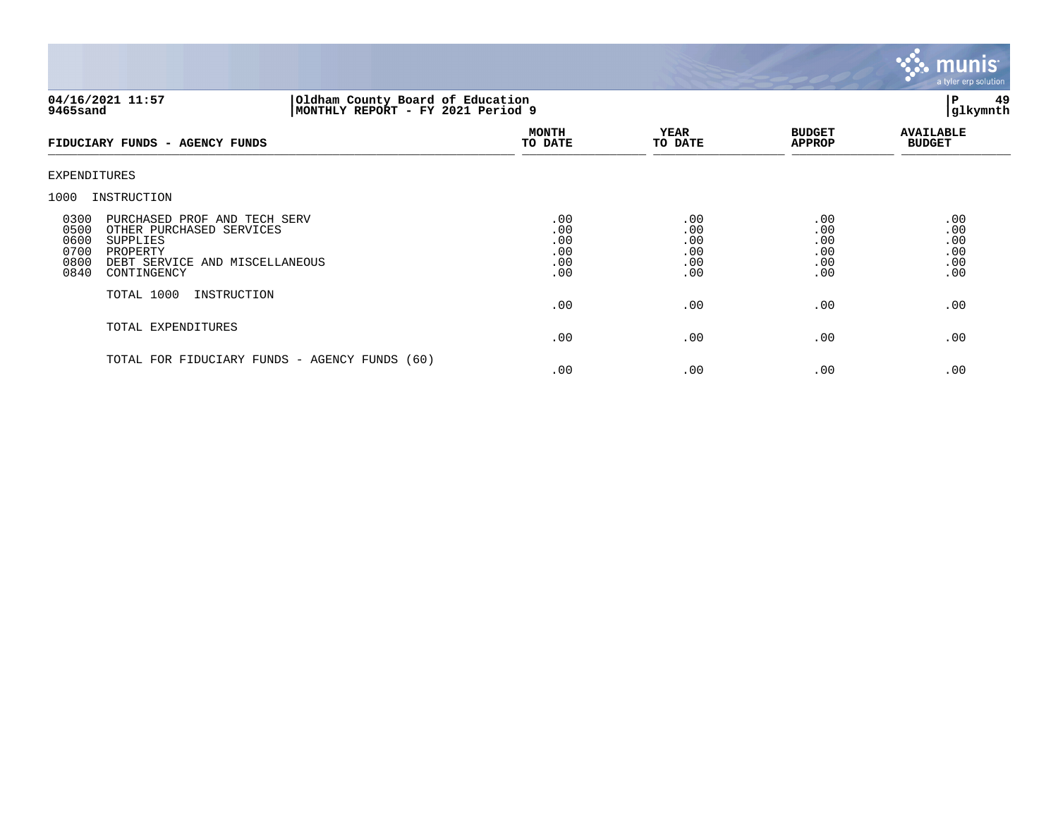

## **04/16/2021 11:57 |Oldham County Board of Education |P 49 9465sand |MONTHLY REPORT - FY 2021 Period 9 |glkymnth**

| FIDUCIARY FUNDS - AGENCY FUNDS                                                                                                                                                    | <b>MONTH</b><br>TO DATE                | <b>YEAR</b><br>TO DATE                 | <b>BUDGET</b><br><b>APPROP</b>         | <b>AVAILABLE</b><br><b>BUDGET</b>      |
|-----------------------------------------------------------------------------------------------------------------------------------------------------------------------------------|----------------------------------------|----------------------------------------|----------------------------------------|----------------------------------------|
| EXPENDITURES                                                                                                                                                                      |                                        |                                        |                                        |                                        |
| INSTRUCTION<br>1000                                                                                                                                                               |                                        |                                        |                                        |                                        |
| 0300<br>PURCHASED PROF AND TECH SERV<br>0500<br>OTHER PURCHASED SERVICES<br>0600<br>SUPPLIES<br>0700<br>PROPERTY<br>0800<br>DEBT SERVICE AND MISCELLANEOUS<br>0840<br>CONTINGENCY | .00<br>.00<br>.00<br>.00<br>.00<br>.00 | .00<br>.00<br>.00<br>.00<br>.00<br>.00 | .00<br>.00<br>.00<br>.00<br>.00<br>.00 | .00<br>.00<br>.00<br>.00<br>.00<br>.00 |
| TOTAL 1000<br>INSTRUCTION                                                                                                                                                         | .00                                    | .00                                    | .00                                    | .00                                    |
| TOTAL EXPENDITURES                                                                                                                                                                | .00                                    | .00                                    | .00                                    | .00                                    |
| TOTAL FOR FIDUCIARY FUNDS - AGENCY FUNDS (60)                                                                                                                                     | .00                                    | .00                                    | .00                                    | .00                                    |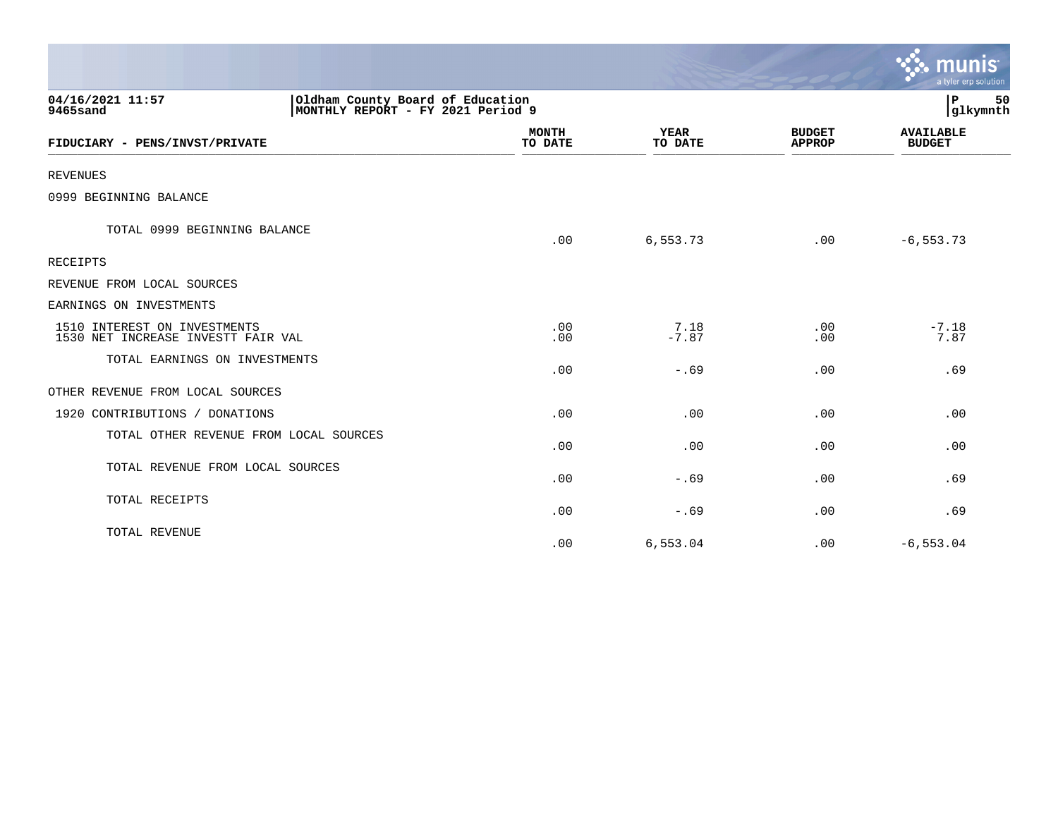|                                                                                                       |                         |                        |                                | munis<br>a tyler erp solution     |
|-------------------------------------------------------------------------------------------------------|-------------------------|------------------------|--------------------------------|-----------------------------------|
| 04/16/2021 11:57<br>Oldham County Board of Education<br>MONTHLY REPORT - FY 2021 Period 9<br>9465sand |                         |                        |                                | 50<br>IΡ<br>glkymnth              |
| FIDUCIARY - PENS/INVST/PRIVATE                                                                        | <b>MONTH</b><br>TO DATE | <b>YEAR</b><br>TO DATE | <b>BUDGET</b><br><b>APPROP</b> | <b>AVAILABLE</b><br><b>BUDGET</b> |
| <b>REVENUES</b>                                                                                       |                         |                        |                                |                                   |
| 0999 BEGINNING BALANCE                                                                                |                         |                        |                                |                                   |
| TOTAL 0999 BEGINNING BALANCE                                                                          | .00                     | 6,553.73               | .00                            | $-6, 553.73$                      |
| <b>RECEIPTS</b>                                                                                       |                         |                        |                                |                                   |
| REVENUE FROM LOCAL SOURCES                                                                            |                         |                        |                                |                                   |
| EARNINGS ON INVESTMENTS                                                                               |                         |                        |                                |                                   |
| 1510 INTEREST ON INVESTMENTS<br>1530 NET INCREASE INVESTT FAIR VAL                                    | .00<br>.00              | 7.18<br>$-7.87$        | .00<br>.00                     | $-7.18$<br>7.87                   |
| TOTAL EARNINGS ON INVESTMENTS                                                                         | .00                     | $-.69$                 | .00                            | .69                               |
| OTHER REVENUE FROM LOCAL SOURCES                                                                      |                         |                        |                                |                                   |
| 1920 CONTRIBUTIONS / DONATIONS                                                                        | .00                     | .00                    | .00                            | .00                               |
| TOTAL OTHER REVENUE FROM LOCAL SOURCES                                                                | .00                     | .00                    | .00                            | .00                               |
| TOTAL REVENUE FROM LOCAL SOURCES                                                                      | .00                     | $-.69$                 | .00                            | .69                               |
| TOTAL RECEIPTS                                                                                        | .00                     | $-.69$                 | .00                            | .69                               |
| TOTAL REVENUE                                                                                         | .00                     | 6.553.04               | .00                            | $-6, 553.04$                      |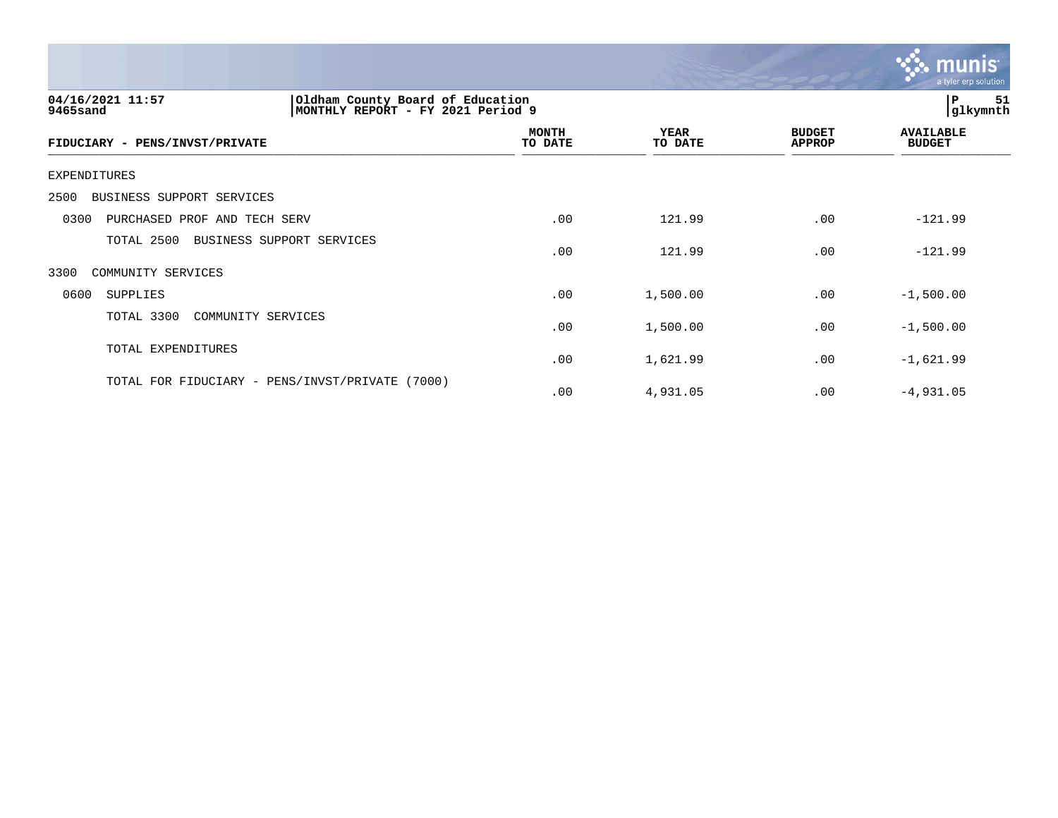

| 04/16/2021 11:57<br>Oldham County Board of Education<br>9465sand<br>MONTHLY REPORT - FY | 2021 Period 9           |                        |                                | 51<br>P<br>glkymnth               |  |
|-----------------------------------------------------------------------------------------|-------------------------|------------------------|--------------------------------|-----------------------------------|--|
| FIDUCIARY - PENS/INVST/PRIVATE                                                          | <b>MONTH</b><br>TO DATE | <b>YEAR</b><br>TO DATE | <b>BUDGET</b><br><b>APPROP</b> | <b>AVAILABLE</b><br><b>BUDGET</b> |  |
| EXPENDITURES                                                                            |                         |                        |                                |                                   |  |
| BUSINESS SUPPORT SERVICES<br>2500                                                       |                         |                        |                                |                                   |  |
| PURCHASED PROF AND TECH SERV<br>0300                                                    | .00                     | 121.99                 | .00                            | $-121.99$                         |  |
| TOTAL 2500<br>BUSINESS SUPPORT SERVICES                                                 | .00                     | 121.99                 | .00                            | $-121.99$                         |  |
| 3300<br>COMMUNITY SERVICES                                                              |                         |                        |                                |                                   |  |
| 0600<br><b>SUPPLIES</b>                                                                 | .00                     | 1,500.00               | .00                            | $-1,500.00$                       |  |
| TOTAL 3300<br>COMMUNITY SERVICES                                                        | .00                     | 1,500.00               | .00                            | $-1,500.00$                       |  |
| TOTAL EXPENDITURES                                                                      | .00                     | 1,621.99               | .00                            | $-1,621.99$                       |  |
| TOTAL FOR FIDUCIARY - PENS/INVST/PRIVATE<br>(7000)                                      | .00                     | 4,931.05               | .00                            | $-4,931.05$                       |  |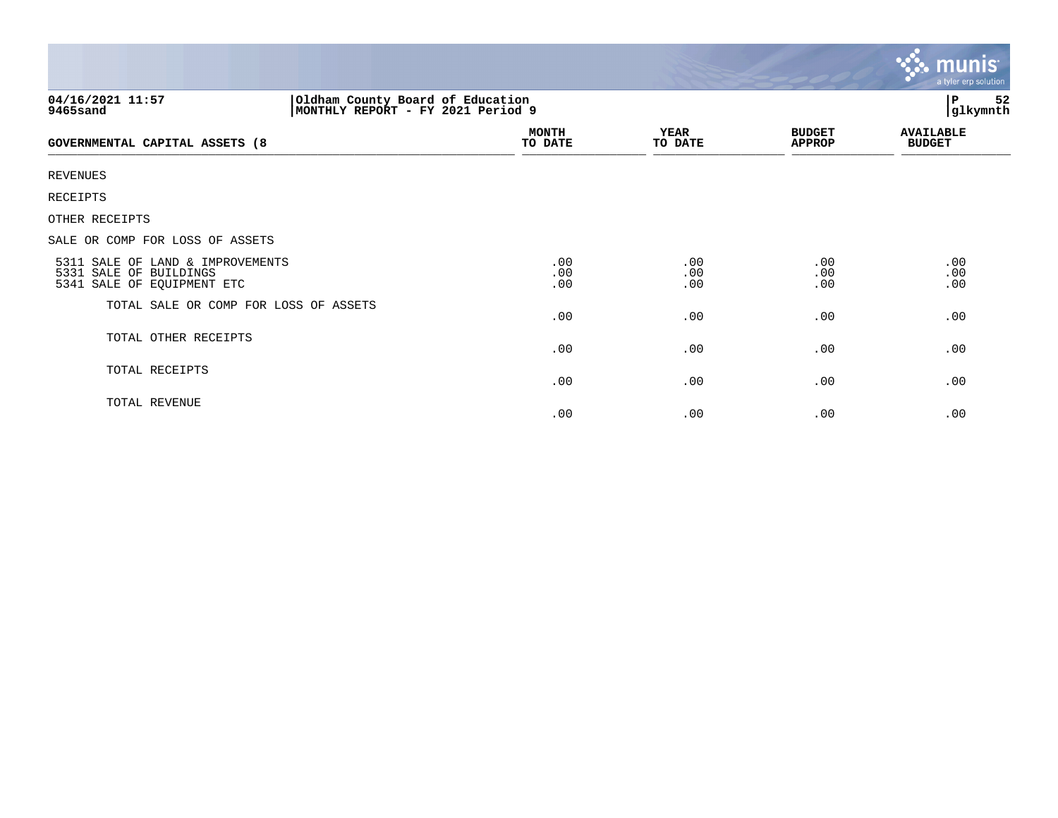|                                                                                                        |                         |                        |                                | <b>munis</b><br>a tyler erp solution |
|--------------------------------------------------------------------------------------------------------|-------------------------|------------------------|--------------------------------|--------------------------------------|
| Oldham County Board of Education<br> MONTHLY REPORT - FY 2021 Period 9<br>04/16/2021 11:57<br>9465sand |                         |                        |                                | 52<br>P<br>glkymnth                  |
| <b>GOVERNMENTAL CAPITAL ASSETS (8</b>                                                                  | <b>MONTH</b><br>TO DATE | <b>YEAR</b><br>TO DATE | <b>BUDGET</b><br><b>APPROP</b> | <b>AVAILABLE</b><br><b>BUDGET</b>    |
| <b>REVENUES</b>                                                                                        |                         |                        |                                |                                      |
| RECEIPTS                                                                                               |                         |                        |                                |                                      |
| OTHER RECEIPTS                                                                                         |                         |                        |                                |                                      |
| SALE OR COMP FOR LOSS OF ASSETS                                                                        |                         |                        |                                |                                      |
| 5311 SALE OF LAND & IMPROVEMENTS<br>5331 SALE OF BUILDINGS<br>5341 SALE OF EQUIPMENT ETC               | .00<br>.00<br>.00       | .00<br>.00<br>.00      | .00<br>.00<br>.00              | .00<br>.00<br>.00                    |
| TOTAL SALE OR COMP FOR LOSS OF ASSETS                                                                  | .00                     | .00                    | .00                            | .00                                  |
| TOTAL OTHER RECEIPTS                                                                                   | .00                     | .00                    | .00                            | .00                                  |
| TOTAL RECEIPTS                                                                                         | .00                     | .00                    | .00                            | .00                                  |
| TOTAL REVENUE                                                                                          | .00                     | .00                    | .00                            | .00                                  |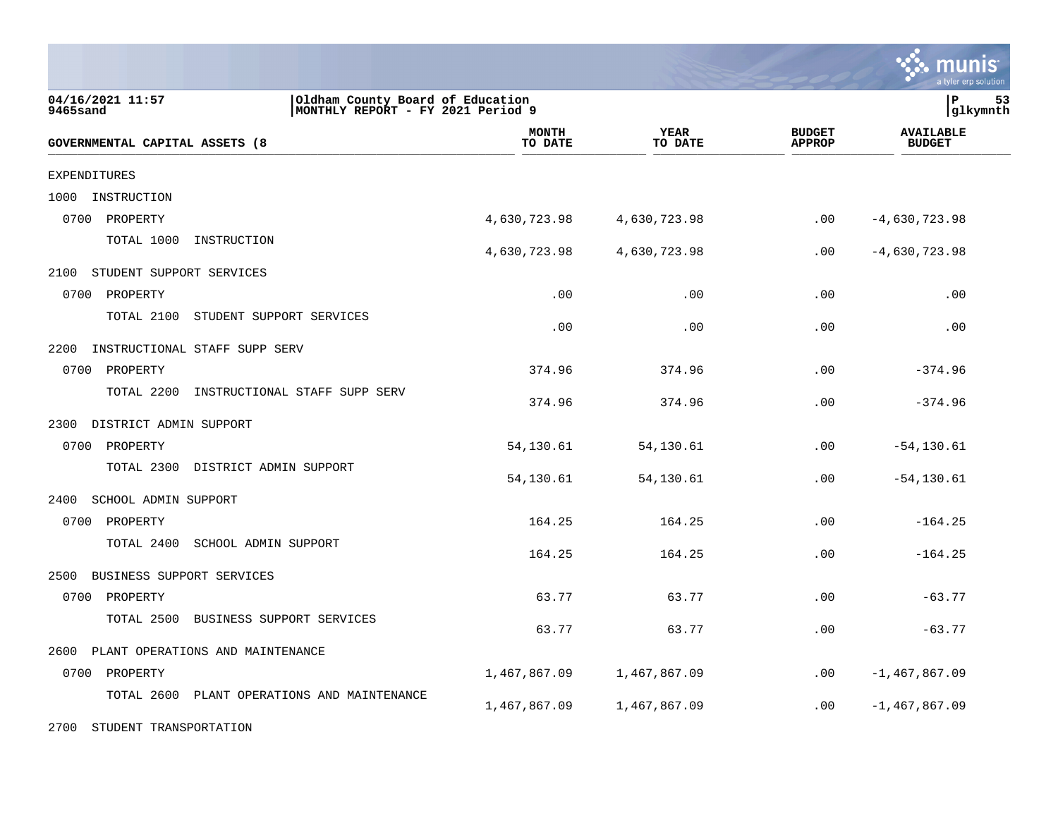|                                                |                                                                        |                        |                                | munis<br>a tyler erp solution     |
|------------------------------------------------|------------------------------------------------------------------------|------------------------|--------------------------------|-----------------------------------|
| 04/16/2021 11:57<br>9465sand                   | Oldham County Board of Education<br> MONTHLY REPORT - FY 2021 Period 9 |                        |                                | lР<br>53<br> glkymnth             |
| GOVERNMENTAL CAPITAL ASSETS (8                 | <b>MONTH</b><br>TO DATE                                                | <b>YEAR</b><br>TO DATE | <b>BUDGET</b><br><b>APPROP</b> | <b>AVAILABLE</b><br><b>BUDGET</b> |
| EXPENDITURES                                   |                                                                        |                        |                                |                                   |
| 1000<br>INSTRUCTION                            |                                                                        |                        |                                |                                   |
| 0700<br>PROPERTY                               | 4,630,723.98                                                           | 4,630,723.98           | .00                            | $-4,630,723.98$                   |
| TOTAL 1000<br>INSTRUCTION                      | 4,630,723.98                                                           | 4,630,723.98           | .00                            | $-4,630,723.98$                   |
| STUDENT SUPPORT SERVICES<br>2100               |                                                                        |                        |                                |                                   |
| 0700<br>PROPERTY                               | .00                                                                    | .00                    | .00                            | .00                               |
| TOTAL 2100<br>STUDENT SUPPORT SERVICES         | .00                                                                    | .00                    | .00                            | .00                               |
| 2200<br>INSTRUCTIONAL STAFF SUPP SERV          |                                                                        |                        |                                |                                   |
| 0700<br>PROPERTY                               | 374.96                                                                 | 374.96                 | .00                            | $-374.96$                         |
| TOTAL 2200<br>INSTRUCTIONAL STAFF SUPP SERV    | 374.96                                                                 | 374.96                 | .00                            | $-374.96$                         |
| DISTRICT ADMIN SUPPORT<br>2300                 |                                                                        |                        |                                |                                   |
| PROPERTY<br>0700                               | 54,130.61                                                              | 54,130.61              | .00                            | $-54, 130.61$                     |
| TOTAL 2300<br>DISTRICT ADMIN SUPPORT           | 54,130.61                                                              | 54,130.61              | .00                            | $-54, 130.61$                     |
| 2400<br>SCHOOL ADMIN SUPPORT                   |                                                                        |                        |                                |                                   |
| 0700<br>PROPERTY                               | 164.25                                                                 | 164.25                 | .00                            | $-164.25$                         |
| TOTAL 2400<br>SCHOOL ADMIN SUPPORT             | 164.25                                                                 | 164.25                 | .00                            | $-164.25$                         |
| 2500<br>BUSINESS SUPPORT SERVICES              |                                                                        |                        |                                |                                   |
| 0700<br>PROPERTY                               | 63.77                                                                  | 63.77                  | .00                            | $-63.77$                          |
| TOTAL 2500<br>BUSINESS SUPPORT SERVICES        | 63.77                                                                  | 63.77                  | .00                            | $-63.77$                          |
| 2600<br>PLANT OPERATIONS AND MAINTENANCE       |                                                                        |                        |                                |                                   |
| 0700<br>PROPERTY                               | 1,467,867.09                                                           | 1,467,867.09           | .00                            | $-1,467,867.09$                   |
| TOTAL 2600<br>PLANT OPERATIONS AND MAINTENANCE | 1,467,867.09                                                           | 1,467,867.09           | .00                            | $-1,467,867.09$                   |

2700 STUDENT TRANSPORTATION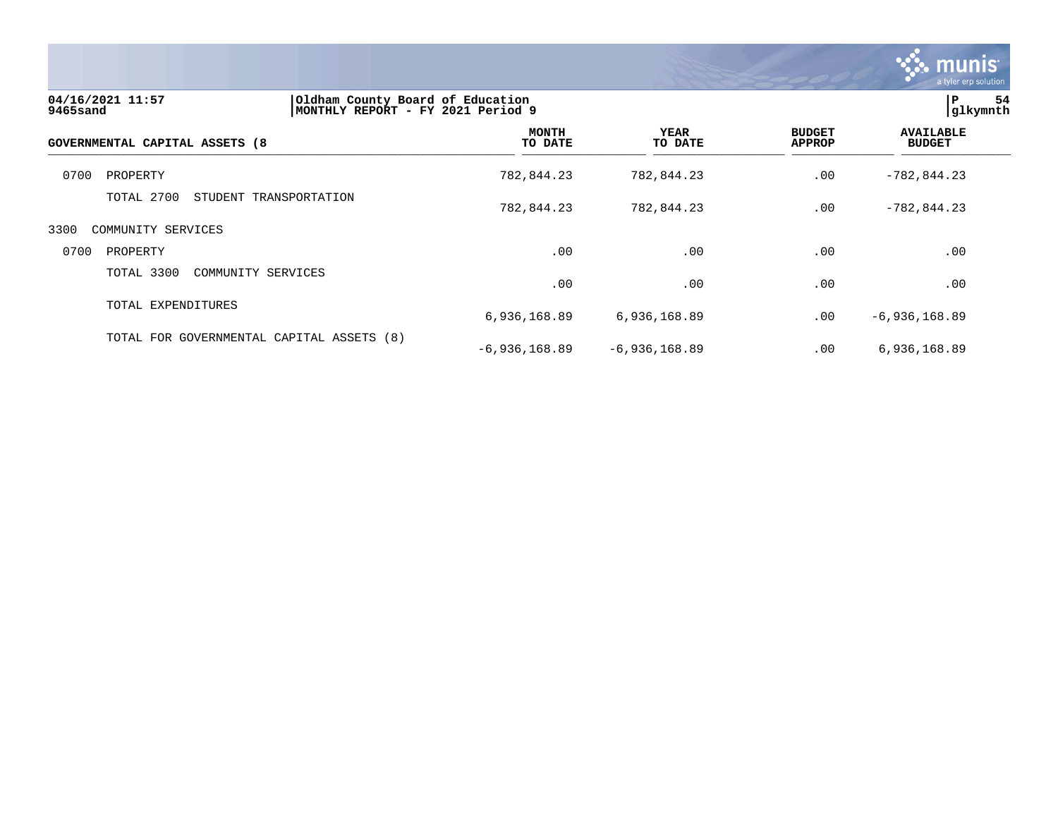

| 04/16/2021 11:57<br>9465sand   | Oldham County Board of Education<br>MONTHLY REPORT - FY 2021 Period 9 |                         |                        | IP.<br>54<br>glkymnth          |                                   |  |
|--------------------------------|-----------------------------------------------------------------------|-------------------------|------------------------|--------------------------------|-----------------------------------|--|
| GOVERNMENTAL CAPITAL ASSETS (8 |                                                                       | <b>MONTH</b><br>TO DATE | <b>YEAR</b><br>TO DATE | <b>BUDGET</b><br><b>APPROP</b> | <b>AVAILABLE</b><br><b>BUDGET</b> |  |
| 0700<br>PROPERTY               |                                                                       | 782,844.23              | 782,844.23             | .00                            | $-782,844.23$                     |  |
| TOTAL 2700                     | STUDENT TRANSPORTATION                                                | 782,844.23              | 782,844.23             | .00                            | $-782, 844.23$                    |  |
| 3300<br>COMMUNITY SERVICES     |                                                                       |                         |                        |                                |                                   |  |
| 0700<br>PROPERTY               |                                                                       | .00                     | .00                    | .00                            | .00                               |  |
| TOTAL 3300                     | COMMUNITY SERVICES                                                    | .00                     | .00                    | .00                            | .00                               |  |
| TOTAL EXPENDITURES             |                                                                       | 6,936,168.89            | 6,936,168.89           | .00                            | $-6,936,168.89$                   |  |
|                                | TOTAL FOR GOVERNMENTAL CAPITAL ASSETS (8)                             | $-6,936,168.89$         | $-6,936,168.89$        | .00                            | 6,936,168.89                      |  |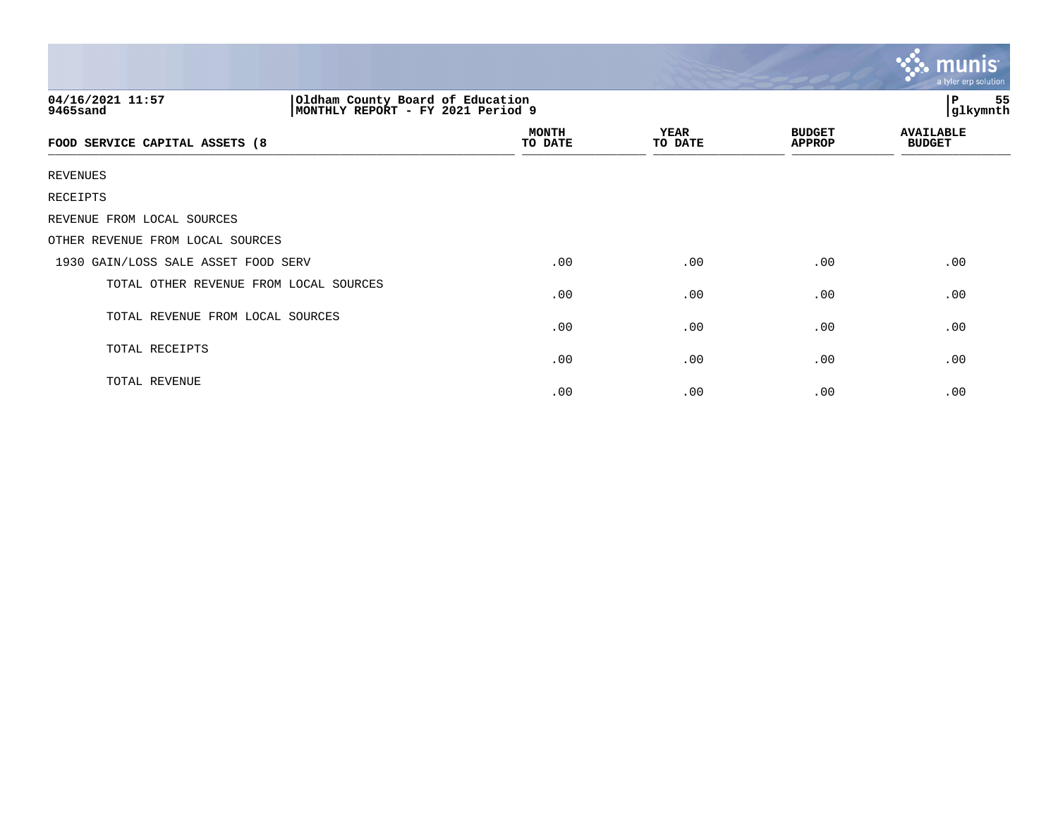|                                                                                                       |                         |                 |                                | $\ddotsc$ munis<br>a tyler erp solution |
|-------------------------------------------------------------------------------------------------------|-------------------------|-----------------|--------------------------------|-----------------------------------------|
| Oldham County Board of Education<br>04/16/2021 11:57<br>MONTHLY REPORT - FY 2021 Period 9<br>9465sand |                         |                 |                                |                                         |
| FOOD SERVICE CAPITAL ASSETS (8                                                                        | <b>MONTH</b><br>TO DATE | YEAR<br>TO DATE | <b>BUDGET</b><br><b>APPROP</b> | <b>AVAILABLE</b><br><b>BUDGET</b>       |
| <b>REVENUES</b>                                                                                       |                         |                 |                                |                                         |
| RECEIPTS                                                                                              |                         |                 |                                |                                         |
| REVENUE FROM LOCAL SOURCES                                                                            |                         |                 |                                |                                         |
| OTHER REVENUE FROM LOCAL SOURCES                                                                      |                         |                 |                                |                                         |
| 1930 GAIN/LOSS SALE ASSET FOOD SERV                                                                   | .00                     | .00             | .00                            | .00                                     |
| TOTAL OTHER REVENUE FROM LOCAL SOURCES                                                                | .00                     | .00             | .00                            | .00                                     |
| TOTAL REVENUE FROM LOCAL SOURCES                                                                      | .00                     | .00             | .00                            | .00                                     |
| TOTAL RECEIPTS                                                                                        | .00                     | .00             | .00                            | .00                                     |
| TOTAL REVENUE                                                                                         | .00                     | .00             | .00                            | .00                                     |

the contract of the contract of the contract of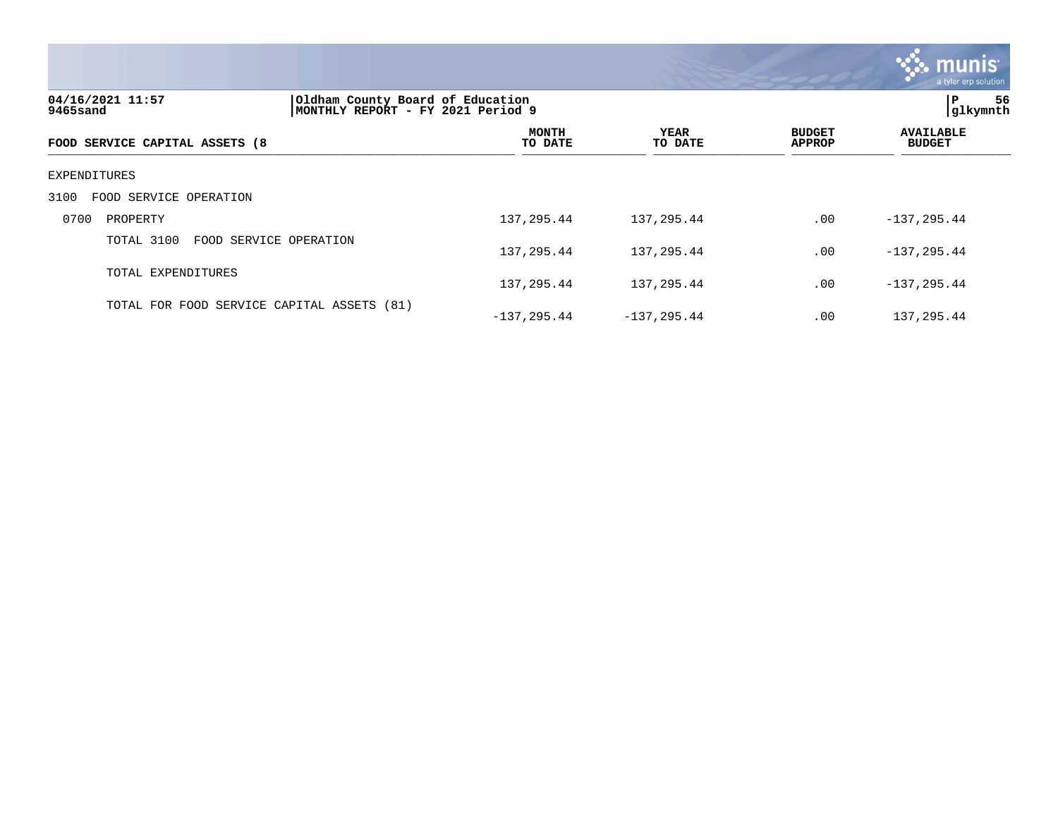|                                                                                                       |                         |                 |                                | a tyler erp solution              |
|-------------------------------------------------------------------------------------------------------|-------------------------|-----------------|--------------------------------|-----------------------------------|
| 04/16/2021 11:57<br>Oldham County Board of Education<br>MONTHLY REPORT - FY 2021 Period 9<br>9465sand |                         |                 |                                | P<br>56<br>glkymnth               |
| FOOD SERVICE CAPITAL ASSETS (8                                                                        | <b>MONTH</b><br>TO DATE | YEAR<br>TO DATE | <b>BUDGET</b><br><b>APPROP</b> | <b>AVAILABLE</b><br><b>BUDGET</b> |
| EXPENDITURES                                                                                          |                         |                 |                                |                                   |
| 3100<br>FOOD SERVICE OPERATION                                                                        |                         |                 |                                |                                   |
| 0700<br>PROPERTY                                                                                      | 137,295.44              | 137,295.44      | .00                            | $-137, 295.44$                    |
| TOTAL 3100<br>FOOD SERVICE OPERATION                                                                  | 137,295.44              | 137, 295.44     | .00                            | $-137, 295.44$                    |
| TOTAL EXPENDITURES                                                                                    | 137,295.44              | 137,295.44      | .00                            | $-137, 295.44$                    |
| TOTAL FOR FOOD SERVICE CAPITAL ASSETS (81)                                                            | $-137, 295.44$          | $-137, 295.44$  | .00                            | 137,295.44                        |